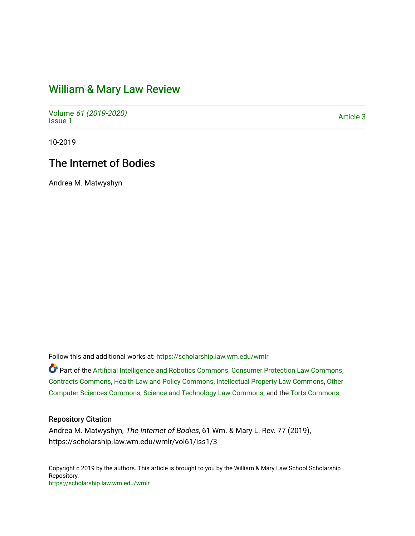# [William & Mary Law Review](https://scholarship.law.wm.edu/wmlr)

Volume [61 \(2019-2020\)](https://scholarship.law.wm.edu/wmlr/vol61)  volume or (2019-2020)<br>[Issue 1](https://scholarship.law.wm.edu/wmlr/vol61/iss1)

10-2019

# The Internet of Bodies

Andrea M. Matwyshyn

Follow this and additional works at: [https://scholarship.law.wm.edu/wmlr](https://scholarship.law.wm.edu/wmlr?utm_source=scholarship.law.wm.edu%2Fwmlr%2Fvol61%2Fiss1%2F3&utm_medium=PDF&utm_campaign=PDFCoverPages)

Part of the [Artificial Intelligence and Robotics Commons](http://network.bepress.com/hgg/discipline/143?utm_source=scholarship.law.wm.edu%2Fwmlr%2Fvol61%2Fiss1%2F3&utm_medium=PDF&utm_campaign=PDFCoverPages), [Consumer Protection Law Commons](http://network.bepress.com/hgg/discipline/838?utm_source=scholarship.law.wm.edu%2Fwmlr%2Fvol61%2Fiss1%2F3&utm_medium=PDF&utm_campaign=PDFCoverPages), [Contracts Commons,](http://network.bepress.com/hgg/discipline/591?utm_source=scholarship.law.wm.edu%2Fwmlr%2Fvol61%2Fiss1%2F3&utm_medium=PDF&utm_campaign=PDFCoverPages) [Health Law and Policy Commons](http://network.bepress.com/hgg/discipline/901?utm_source=scholarship.law.wm.edu%2Fwmlr%2Fvol61%2Fiss1%2F3&utm_medium=PDF&utm_campaign=PDFCoverPages), [Intellectual Property Law Commons](http://network.bepress.com/hgg/discipline/896?utm_source=scholarship.law.wm.edu%2Fwmlr%2Fvol61%2Fiss1%2F3&utm_medium=PDF&utm_campaign=PDFCoverPages), [Other](http://network.bepress.com/hgg/discipline/152?utm_source=scholarship.law.wm.edu%2Fwmlr%2Fvol61%2Fiss1%2F3&utm_medium=PDF&utm_campaign=PDFCoverPages)  [Computer Sciences Commons](http://network.bepress.com/hgg/discipline/152?utm_source=scholarship.law.wm.edu%2Fwmlr%2Fvol61%2Fiss1%2F3&utm_medium=PDF&utm_campaign=PDFCoverPages), [Science and Technology Law Commons,](http://network.bepress.com/hgg/discipline/875?utm_source=scholarship.law.wm.edu%2Fwmlr%2Fvol61%2Fiss1%2F3&utm_medium=PDF&utm_campaign=PDFCoverPages) and the [Torts Commons](http://network.bepress.com/hgg/discipline/913?utm_source=scholarship.law.wm.edu%2Fwmlr%2Fvol61%2Fiss1%2F3&utm_medium=PDF&utm_campaign=PDFCoverPages) 

# Repository Citation

Andrea M. Matwyshyn, The Internet of Bodies, 61 Wm. & Mary L. Rev. 77 (2019), https://scholarship.law.wm.edu/wmlr/vol61/iss1/3

Copyright c 2019 by the authors. This article is brought to you by the William & Mary Law School Scholarship Repository. <https://scholarship.law.wm.edu/wmlr>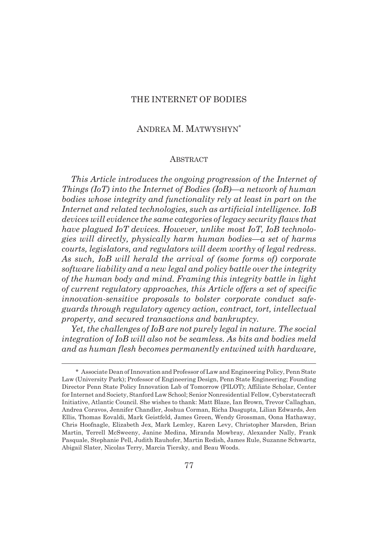# THE INTERNET OF BODIES

# ANDREA M. MATWYSHYN\*

## **ABSTRACT**

*This Article introduces the ongoing progression of the Internet of Things (IoT) into the Internet of Bodies (IoB)—a network of human bodies whose integrity and functionality rely at least in part on the Internet and related technologies, such as artificial intelligence. IoB devices will evidence the same categories of legacy security flaws that have plagued IoT devices. However, unlike most IoT, IoB technologies will directly, physically harm human bodies—a set of harms courts, legislators, and regulators will deem worthy of legal redress. As such, IoB will herald the arrival of (some forms of) corporate software liability and a new legal and policy battle over the integrity of the human body and mind. Framing this integrity battle in light of current regulatory approaches, this Article offers a set of specific innovation-sensitive proposals to bolster corporate conduct safeguards through regulatory agency action, contract, tort, intellectual property, and secured transactions and bankruptcy.*

*Yet, the challenges of IoB are not purely legal in nature. The social integration of IoB will also not be seamless. As bits and bodies meld and as human flesh becomes permanently entwined with hardware,*

<sup>\*</sup> Associate Dean of Innovation and Professor of Law and Engineering Policy, Penn State Law (University Park); Professor of Engineering Design, Penn State Engineering; Founding Director Penn State Policy Innovation Lab of Tomorrow (PILOT); Affiliate Scholar, Center for Internet and Society, Stanford Law School; Senior Nonresidential Fellow, Cyberstatecraft Initiative, Atlantic Council. She wishes to thank: Matt Blaze, Ian Brown, Trevor Callaghan, Andrea Coravos, Jennifer Chandler, Joshua Corman, Richa Dasgupta, Lilian Edwards, Jen Ellis, Thomas Eovaldi, Mark Geistfeld, James Green, Wendy Grossman, Oona Hathaway, Chris Hoofnagle, Elizabeth Jex, Mark Lemley, Karen Levy, Christopher Marsden, Brian Martin, Terrell McSweeny, Janine Medina, Miranda Mowbray, Alexander Nally, Frank Pasquale, Stephanie Pell, Judith Rauhofer, Martin Redish, James Rule, Suzanne Schwartz, Abigail Slater, Nicolas Terry, Marcia Tiersky, and Beau Woods.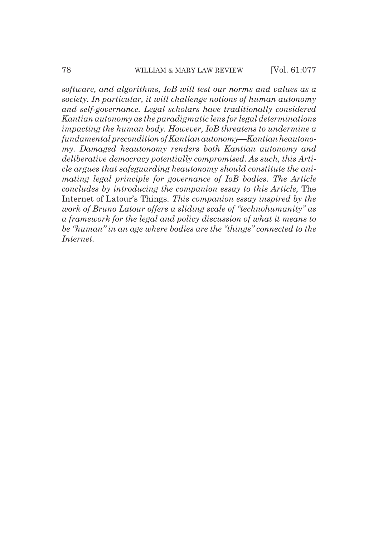*software, and algorithms, IoB will test our norms and values as a society. In particular, it will challenge notions of human autonomy and self-governance. Legal scholars have traditionally considered Kantian autonomy as the paradigmatic lens for legal determinations impacting the human body. However, IoB threatens to undermine a fundamental precondition of Kantian autonomy—Kantian heautonomy. Damaged heautonomy renders both Kantian autonomy and deliberative democracy potentially compromised. As such, this Article argues that safeguarding heautonomy should constitute the animating legal principle for governance of IoB bodies. The Article concludes by introducing the companion essay to this Article.* The Internet of Latour's Things*. This companion essay inspired by the work of Bruno Latour offers a sliding scale of "technohumanity" as a framework for the legal and policy discussion of what it means to be "human" in an age where bodies are the "things" connected to the Internet.*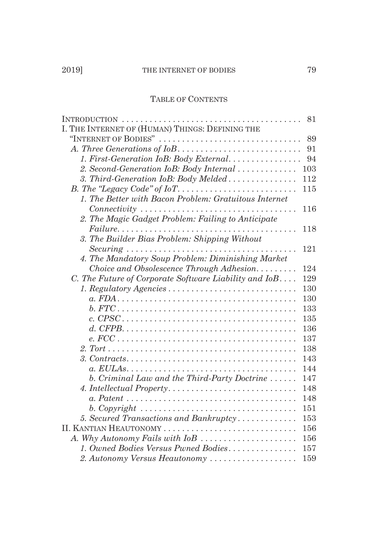# 2019] THE INTERNET OF BODIES 79

# TABLE OF CONTENTS

|                                                                                                | 81  |
|------------------------------------------------------------------------------------------------|-----|
| I. THE INTERNET OF (HUMAN) THINGS: DEFINING THE                                                |     |
| "INTERNET OF BODIES"                                                                           | 89  |
| A. Three Generations of IoB                                                                    | 91  |
| 1. First-Generation IoB: Body External                                                         | 94  |
| 2. Second-Generation IoB: Body Internal                                                        | 103 |
| 3. Third-Generation IoB: Body Melded                                                           | 112 |
|                                                                                                | 115 |
| 1. The Better with Bacon Problem: Gratuitous Internet                                          |     |
| $Connectivity \dots \dots \dots \dots \dots \dots \dots \dots \dots \dots \dots \dots$         | 116 |
| 2. The Magic Gadget Problem: Failing to Anticipate                                             |     |
| $\it{Failure.} \dots \dots \dots \dots \dots \dots \dots \dots \dots \dots \dots \dots \dots$  | 118 |
| 3. The Builder Bias Problem: Shipping Without                                                  |     |
| $Security \dots \dots \dots \dots \dots \dots \dots \dots \dots \dots \dots$                   | 121 |
| 4. The Mandatory Soup Problem: Diminishing Market                                              |     |
| Choice and Obsolescence Through Adhesion                                                       | 124 |
| C. The Future of Corporate Software Liability and $I \circ B$                                  | 129 |
| 1. Regulatory Agencies                                                                         | 130 |
|                                                                                                | 130 |
|                                                                                                | 133 |
| $c. \text{CPSC} \dots \dots \dots \dots \dots \dots \dots \dots \dots \dots \dots \dots \dots$ | 135 |
| $d. CFPB. \ldots \ldots \ldots \ldots \ldots \ldots \ldots \ldots \ldots \ldots \ldots \ldots$ | 136 |
|                                                                                                | 137 |
|                                                                                                | 138 |
|                                                                                                | 143 |
| $a. EULAS. \ldots \ldots \ldots \ldots \ldots \ldots \ldots \ldots \ldots \ldots \ldots$       | 144 |
| b. Criminal Law and the Third-Party Doctrine $\dots$ .                                         | 147 |
| 4. Intellectual Property                                                                       | 148 |
|                                                                                                | 148 |
| b. Copyright $\ldots \ldots \ldots \ldots \ldots \ldots \ldots \ldots \ldots \ldots$           | 151 |
| 5. Secured Transactions and Bankruptcy                                                         | 153 |
| II. KANTIAN HEAUTONOMY                                                                         | 156 |
| A. Why Autonomy Fails with IoB                                                                 | 156 |
| 1. Owned Bodies Versus Pwned Bodies                                                            | 157 |
| 2. Autonomy Versus Heautonomy                                                                  | 159 |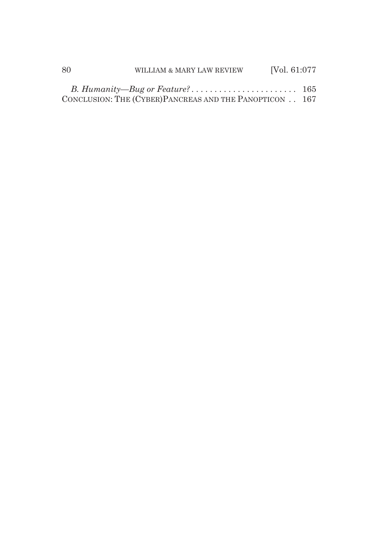| 80. | WILLIAM & MARY LAW REVIEW                                 | [Vol. 61:077 |
|-----|-----------------------------------------------------------|--------------|
|     | CONCLUSION: THE (CYBER) PANCREAS AND THE PANOPTICON . 167 |              |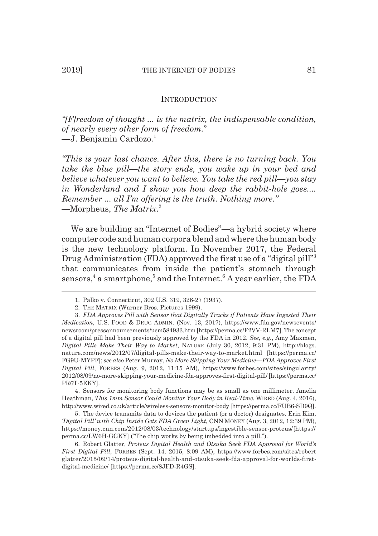## **INTRODUCTION**

*"[F]reedom of thought ... is the matrix, the indispensable condition, of nearly every other form of freedom.*" —J. Benjamin Cardozo.1

*"This is your last chance. After this, there is no turning back. You take the blue pill—the story ends, you wake up in your bed and believe whatever you want to believe. You take the red pill—you stay in Wonderland and I show you how deep the rabbit-hole goes.... Remember ... all I'm offering is the truth. Nothing more."* —Morpheus, *The Matrix*. 2

We are building an "Internet of Bodies"—a hybrid society where computer code and human corpora blend and where the human body is the new technology platform. In November 2017, the Federal Drug Administration (FDA) approved the first use of a "digital pill"<sup>3</sup> that communicates from inside the patient's stomach through sensors,<sup>4</sup> a smartphone,<sup>5</sup> and the Internet.<sup>6</sup> A year earlier, the FDA

4. Sensors for monitoring body functions may be as small as one millimeter. Amelia Heathman, *This 1mm Sensor Could Monitor Your Body in Real-Time*, WIRED (Aug. 4, 2016), http://www.wired.co.uk/article/wireless-sensors-monitor-body [https://perma.cc/FUB6-SD9Q].

5. The device transmits data to devices the patient (or a doctor) designates. Erin Kim, *'Digital Pill' with Chip Inside Gets FDA Green Light*, CNN MONEY (Aug. 3, 2012, 12:39 PM), https://money.cnn.com/2012/08/03/technology/startups/ingestible-sensor-proteus/ [https:// perma.cc/LW6H-GGKY] ("The chip works by being imbedded into a pill.").

6. Robert Glatter, *Proteus Digital Health and Otsuka Seek FDA Approval for World's First Digital Pill*, FORBES (Sept. 14, 2015, 8:09 AM), https://www.forbes.com/sites/robert glatter/2015/09/14/proteus-digital-health-and-otsuka-seek-fda-approval-for-worlds-firstdigital-medicine/ [https://perma.cc/8JFD-R4GS].

<sup>1.</sup> Palko v. Connecticut, 302 U.S. 319, 326-27 (1937).

<sup>2.</sup> THE MATRIX (Warner Bros. Pictures 1999).

<sup>3.</sup> *FDA Approves Pill with Sensor that Digitally Tracks if Patients Have Ingested Their Medication*, U.S. FOOD & DRUG ADMIN. (Nov. 13, 2017), https://www.fda.gov/newsevents/ newsroom/pressannouncements/ucm584933.htm [https://perma.cc/F2VV-RLM7]. The concept of a digital pill had been previously approved by the FDA in 2012. *See, e.g.*, Amy Maxmen, *Digital Pills Make Their Way to Market*, NATURE (July 30, 2012, 9:31 PM), http://blogs. nature.com/news/2012/07/digital-pills-make-their-way-to-market.html [https://perma.cc/ FG9U-MYPF]; *see also* Peter Murray, *No More Skipping Your Medicine—FDA Approves First Digital Pill*, FORBES (Aug. 9, 2012, 11:15 AM), https://www.forbes.com/sites/singularity/ 2012/08/09/no-more-skipping-your-medicine-fda-approves-first-digital-pill/ [https://perma.cc/ PR6T-5EKY].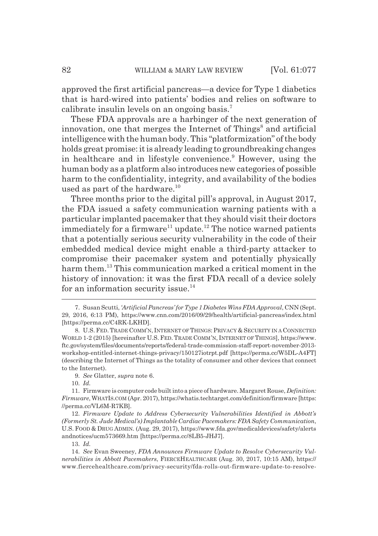approved the first artificial pancreas—a device for Type 1 diabetics that is hard-wired into patients' bodies and relies on software to calibrate insulin levels on an ongoing basis.7

These FDA approvals are a harbinger of the next generation of innovation, one that merges the Internet of Things<sup>8</sup> and artificial intelligence with the human body. This "platformization" of the body holds great promise: it is already leading to groundbreaking changes in healthcare and in lifestyle convenience.<sup>9</sup> However, using the human body as a platform also introduces new categories of possible harm to the confidentiality, integrity, and availability of the bodies used as part of the hardware. $^{10}$ 

Three months prior to the digital pill's approval, in August 2017, the FDA issued a safety communication warning patients with a particular implanted pacemaker that they should visit their doctors immediately for a firmware<sup>11</sup> update.<sup>12</sup> The notice warned patients that a potentially serious security vulnerability in the code of their embedded medical device might enable a third-party attacker to compromise their pacemaker system and potentially physically harm them.<sup>13</sup> This communication marked a critical moment in the history of innovation: it was the first FDA recall of a device solely for an information security issue. $14$ 

<sup>7.</sup> Susan Scutti, *'Artificial Pancreas' for Type 1 Diabetes Wins FDA Approval*, CNN (Sept. 29, 2016, 6:13 PM), https://www.cnn.com/2016/09/29/health/artificial-pancreas/index.html [https://perma.cc/C4RK-LKHD].

<sup>8.</sup> U.S.FED.TRADE COMM'N, INTERNET OF THINGS:PRIVACY & SECURITY IN A CONNECTED WORLD 1-2 (2015) [hereinafter U.S.FED.TRADE COMM'N, INTERNET OF THINGS], https://www. ftc.gov/system/files/documents/reports/federal-trade-commission-staff-report-november-2013 workshop-entitled-internet-things-privacy/150127iotrpt.pdf [https://perma.cc/W5DL-A4FT] (describing the Internet of Things as the totality of consumer and other devices that connect to the Internet).

<sup>9.</sup> *See* Glatter, *supra* note 6.

<sup>10.</sup> *Id.*

<sup>11.</sup> Firmware is computer code built into a piece of hardware. Margaret Rouse, *Definition: Firmware*, WHATIS.COM (Apr. 2017), https://whatis.techtarget.com/definition/firmware [https: //perma.cc/VL6M-R7KB].

<sup>12.</sup> *Firmware Update to Address Cybersecurity Vulnerabilities Identified in Abbott's (Formerly St. Jude Medical's) Implantable Cardiac Pacemakers: FDA Safety Communication*, U.S. FOOD & DRUG ADMIN. (Aug. 29, 2017), https://www.fda.gov/medicaldevices/safety/alerts andnotices/ucm573669.htm [https://perma.cc/8LB5-JHJ7].

<sup>13.</sup> *Id.*

<sup>14.</sup> *See* Evan Sweeney, *FDA Announces Firmware Update to Resolve Cybersecurity Vulnerabilities in Abbott Pacemakers*, FIERCEHEALTHCARE (Aug. 30, 2017, 10:15 AM), https:// www.fiercehealthcare.com/privacy-security/fda-rolls-out-firmware-update-to-resolve-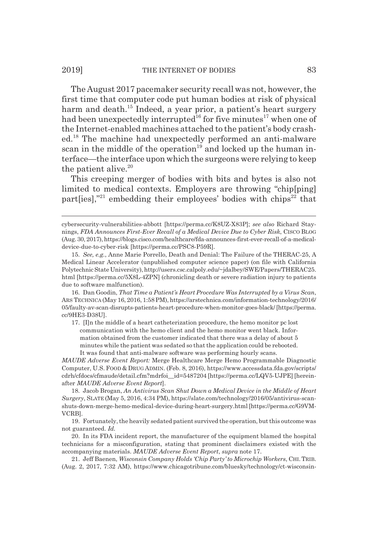#### 2019] THE INTERNET OF BODIES 83

The August 2017 pacemaker security recall was not, however, the first time that computer code put human bodies at risk of physical harm and death.<sup>15</sup> Indeed, a year prior, a patient's heart surgery had been unexpectedly interrupted<sup>16</sup> for five minutes<sup>17</sup> when one of the Internet-enabled machines attached to the patient's body crashed.18 The machine had unexpectedly performed an anti-malware scan in the middle of the operation<sup>19</sup> and locked up the human interface—the interface upon which the surgeons were relying to keep the patient alive. $20$ 

This creeping merger of bodies with bits and bytes is also not limited to medical contexts. Employers are throwing "chip[ping] part [ies],"<sup>21</sup> embedding their employees' bodies with chips<sup>22</sup> that

17. [I]n the middle of a heart catheterization procedure, the hemo monitor pc lost communication with the hemo client and the hemo monitor went black. Information obtained from the customer indicated that there was a delay of about 5 minutes while the patient was sedated so that the application could be rebooted. It was found that anti-malware software was performing hourly scans.

*MAUDE Adverse Event Report:* Merge Healthcare Merge Hemo Programmable Diagnostic Computer, U.S. FOOD & DRUG ADMIN. (Feb. 8, 2016), https://www.accessdata.fda.gov/scripts/ cdrh/cfdocs/cfmaude/detail.cfm?mdrfoi\_\_id=5487204 [https://perma.cc/LQV5-UJPE] [hereinafter *MAUDE Adverse Event Report*].

18. Jacob Brogan, *An Antivirus Scan Shut Down a Medical Device in the Middle of Heart Surgery*, SLATE (May 5, 2016, 4:34 PM), https://slate.com/technology/2016/05/antivirus-scanshuts-down-merge-hemo-medical-device-during-heart-surgery.html [https://perma.cc/G9VM-VCRB].

19. Fortunately, the heavily sedated patient survived the operation, but this outcome was not guaranteed. *Id.*

20. In its FDA incident report, the manufacturer of the equipment blamed the hospital technicians for a misconfiguration, stating that prominent disclaimers existed with the accompanying materials. *MAUDE Adverse Event Report*, *supra* note 17.

21. Jeff Baenen, *Wisconsin Company Holds 'Chip Party' to Microchip Workers*, CHI.TRIB. (Aug. 2, 2017, 7:32 AM), https://www.chicagotribune.com/bluesky/technology/ct-wisconsin-

cybersecurity-vulnerabilities-abbott [https://perma.cc/K8UZ-X83P]; *see also* Richard Staynings, *FDA Announces First-Ever Recall of a Medical Device Due to Cyber Risk*, CISCO BLOG (Aug. 30, 2017), https://blogs.cisco.com/healthcare/fda-announces-first-ever-recall-of-a-medicaldevice-due-to-cyber-risk [https://perma.cc/PSC8-P59R].

<sup>15.</sup> *See, e.g.*, Anne Marie Porrello, Death and Denial: The Failure of the THERAC-25, A Medical Linear Accelerator (unpublished computer science paper) (on file with California Polytechnic State University), http://users.csc.calpoly.edu/~jdalbey/SWE/Papers/THERAC25. html [https://perma.cc/5X8L-4ZPN] (chronicling death or severe radiation injury to patients due to software malfunction).

<sup>16.</sup> Dan Goodin, *That Time a Patient's Heart Procedure Was Interrupted by a Virus Scan*, ARS TECHNICA (May 16, 2016, 1:58 PM), https://arstechnica.com/information-technology/2016/ 05/faulty-av-scan-disrupts-patients-heart-procedure-when-monitor-goes-black/ [https://perma. cc/9HE3-D38U].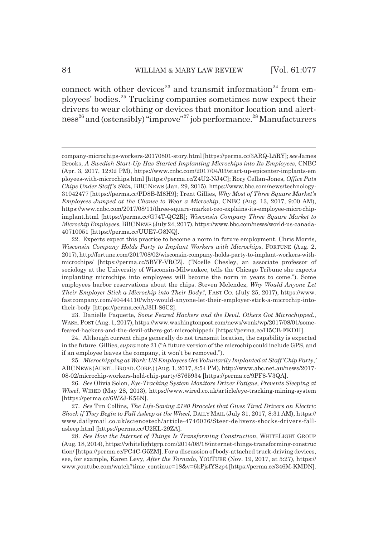84 WILLIAM & MARY LAW REVIEW [Vol. 61:077

connect with other devices<sup>23</sup> and transmit information<sup>24</sup> from employees' bodies.25 Trucking companies sometimes now expect their drivers to wear clothing or devices that monitor location and alertness<sup>26</sup> and (ostensibly) "improve"<sup>27</sup> job performance.<sup>28</sup> Manufacturers

23. Danielle Paquette, *Some Feared Hackers and the Devil. Others Got Microchipped.*, WASH.POST (Aug. 1, 2017), https://www.washingtonpost.com/news/wonk/wp/2017/08/01/somefeared-hackers-and-the-devil-others-got-microchipped/ [https://perma.cc/H5CB-FKDH].

24. Although current chips generally do not transmit location, the capability is expected in the future. Gillies, *supra* note 21 ("A future version of the microchip could include GPS, and if an employee leaves the company, it won't be removed.").

25. *Microchipping at Work: US Employees Get Voluntarily Implanted at Staff 'Chip Party*,*'* ABCNEWS (AUSTL.BROAD.CORP.) (Aug. 1, 2017, 8:54 PM), http://www.abc.net.au/news/2017- 08-02/microchip-workers-hold-chip-party/8765934 [https://perma.cc/9PF8-V3QA].

26. *See* Olivia Solon, *Eye-Tracking System Monitors Driver Fatigue, Prevents Sleeping at Wheel*, WIRED (May 28, 2013), https://www.wired.co.uk/article/eye-tracking-mining-system [https://perma.cc/6WZJ-K56N].

27. *See* Tim Collins, *The Life-Saving £180 Bracelet that Gives Tired Drivers an Electric Shock if They Begin to Fall Asleep at the Wheel,* DAILY MAIL (July 31, 2017, 8:31 AM), https:// www.dailymail.co.uk/sciencetech/article-4746076/Steer-delivers-shocks-drivers-fallasleep.html [https://perma.cc/U2KL-29ZA].

28. *See How the Internet of Things Is Transforming Construction*, WHITELIGHT GROUP (Aug. 18, 2014), https://whitelightgrp.com/2014/08/18/internet-things-transforming-construc tion/ [https://perma.cc/PC4C-G5ZM]. For a discussion of body-attached truck-driving devices, see, for example, Karen Levy, *After the Tornado*, YOUTUBE (Nov. 19, 2017, at 5:27), https:// www.youtube.com/watch?time\_continue=18&v=6kPjsfYSzp4 [https://perma.cc/346M-KMDN].

company-microchips-workers-20170801-story.html [https://perma.cc/3ARQ-L5RY]; *see* James Brooks, *A Swedish Start-Up Has Started Implanting Microchips into Its Employees*, CNBC (Apr. 3, 2017, 12:02 PM), https://www.cnbc.com/2017/04/03/start-up-epicenter-implants-em ployees-with-microchips.html [https://perma.cc/Z4U2-NJ4C]; Rory Cellan-Jones, *Office Puts Chips Under Staff's Skin*, BBC NEWS (Jan. 29, 2015), https://www.bbc.com/news/technology-31042477 [https://perma.cc/PD8B-M8H9]; Trent Gillies, *Why Most of Three Square Market's Employees Jumped at the Chance to Wear a Microchip*, CNBC (Aug. 13, 2017, 9:00 AM), https://www.cnbc.com/2017/08/11/three-square-market-ceo-explains-its-employee-micro chipimplant.html [https://perma.cc/G74T-QC2R]; *Wisconsin Company Three Square Market to Microchip Employees*, BBCNEWS (July 24, 2017), https://www.bbc.com/news/world-us-canada-40710051 [https://perma.cc/UUE7-G8NQ].

<sup>22.</sup> Experts expect this practice to become a norm in future employment. Chris Morris, *Wisconsin Company Holds Party to Implant Workers with Microchips*, FORTUNE (Aug. 2, 2017), http://fortune.com/2017/08/02/wisconsin-company-holds-party-to-implant-workers-withmicrochips/ [https://perma.cc/5BVF-VRCZ]. ("Noelle Chesley, an associate professor of sociology at the University of Wisconsin-Milwaukee, tells the Chicago Tribune she expects implanting microchips into employees will become the norm in years to come."). Some employees harbor reservations about the chips. Steven Melendez, *Why Would Anyone Let Their Employer Stick a Microchip into Their Body?*, FAST CO. (July 25, 2017), https://www. fastcompany.com/40444110/why-would-anyone-let-their-employer-stick-a-microchip-intotheir-body [https://perma.cc/AJ3H-86C2].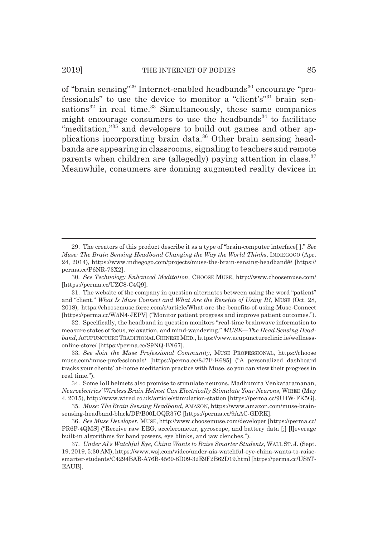of "brain sensing"<sup>29</sup> Internet-enabled headbands<sup>30</sup> encourage "professionals" to use the device to monitor a "client's"31 brain sensations<sup>32</sup> in real time.<sup>33</sup> Simultaneously, these same companies might encourage consumers to use the headbands<sup>34</sup> to facilitate "meditation,"<sup>35</sup> and developers to build out games and other applications incorporating brain data.36 Other brain sensing headbands are appearing in classrooms, signaling to teachers and remote parents when children are (allegedly) paying attention in class.<sup>37</sup> Meanwhile, consumers are donning augmented reality devices in

<sup>29.</sup> The creators of this product describe it as a type of "brain-computer interface[ ]." *See Muse: The Brain Sensing Headband Changing the Way the World Thinks*, INDIEGOGO (Apr. 24, 2014), https://www.indiegogo.com/projects/muse-the-brain-sensing-headband#/ [https:// perma.cc/P6NR-73X2].

<sup>30.</sup> *See Technology Enhanced Meditation*, CHOOSE MUSE, http://www.choosemuse.com/ [https://perma.cc/UZC8-C4Q9].

<sup>31.</sup> The website of the company in question alternates between using the word "patient" and "client." *What Is Muse Connect and What Are the Benefits of Using It?*, MUSE (Oct. 28, 2018), https://choosemuse.force.com/s/article/What-are-the-benefits-of-using-Muse-Connect [https://perma.cc/W5N4-JEPV] ("Monitor patient progress and improve patient outcomes.").

<sup>32.</sup> Specifically, the headband in question monitors "real-time brainwave information to measure states of focus, relaxation, and mind-wandering." *MUSE—The Head Sensing Headband*, ACUPUNCTURE TRADITIONAL CHINESE MED., https://www.acupunctureclinic.ie/wellnessonline-store/ [https://perma.cc/S9NQ-BX67].

<sup>33.</sup> *See Join the Muse Professional Community*, MUSE PROFESSIONAL, https://choose muse.com/muse-professionals/ [https://perma.cc/8J7F-K685] ("A personalized dashboard tracks your clients' at-home meditation practice with Muse, so you can view their progress in real time.").

<sup>34.</sup> Some IoB helmets also promise to stimulate neurons. Madhumita Venkataramanan, *Neuroelectrics' Wireless Brain Helmet Can Electrically Stimulate Your Neurons*, WIRED (May 4, 2015), http://www.wired.co.uk/article/stimulation-station [https://perma.cc/9U4W-FK5G].

<sup>35.</sup> *Muse: The Brain Sensing Headband*, AMAZON, https://www.amazon.com/muse-brainsensing-headband-black/DP/B00LOQR37C [https://perma.cc/9AAC-GDRK].

<sup>36.</sup> *See Muse Developer*, MUSE, http://www.choosemuse.com/developer [https://perma.cc/ PR6F-4QMS] ("Receive raw EEG, accelerometer, gyroscope, and battery data [;] [l]everage built-in algorithms for band powers, eye blinks, and jaw clenches.").

<sup>37.</sup> *Under AI's Watchful Eye, China Wants to Raise Smarter Students*, WALL ST. J. (Sept. 19, 2019, 5:30 AM), https://www.wsj.com/video/under-ais-watchful-eye-china-wants-to-raisesmarter-students/C4294BAB-A76B-4569-8D09-32E9F2B62D19.html [https://perma.cc/US5T-EAUB].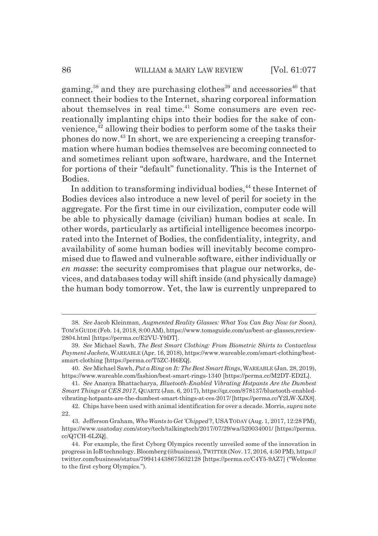gaming,<sup>38</sup> and they are purchasing clothes<sup>39</sup> and accessories<sup>40</sup> that connect their bodies to the Internet, sharing corporeal information about themselves in real time. $41$  Some consumers are even recreationally implanting chips into their bodies for the sake of convenience, $42$  allowing their bodies to perform some of the tasks their phones do now.43 In short, we are experiencing a creeping transformation where human bodies themselves are becoming connected to and sometimes reliant upon software, hardware, and the Internet for portions of their "default" functionality. This is the Internet of Bodies.

In addition to transforming individual bodies,<sup>44</sup> these Internet of Bodies devices also introduce a new level of peril for society in the aggregate. For the first time in our civilization, computer code will be able to physically damage (civilian) human bodies at scale. In other words, particularly as artificial intelligence becomes incorporated into the Internet of Bodies, the confidentiality, integrity, and availability of some human bodies will inevitably become compromised due to flawed and vulnerable software, either individually or *en masse*: the security compromises that plague our networks, devices, and databases today will shift inside (and physically damage) the human body tomorrow. Yet, the law is currently unprepared to

<sup>38.</sup> *See* Jacob Kleinman, *Augmented Reality Glasses: What You Can Buy Now (or Soon)*, TOM'S GUIDE (Feb. 14, 2018, 8:00 AM), https://www.tomsguide.com/us/best-ar-glasses,review-2804.html [https://perma.cc/E2VU-Y9DT].

<sup>39.</sup> *See* Michael Sawh, *The Best Smart Clothing: From Biometric Shirts to Contactless Payment Jackets*, WAREABLE (Apr. 16, 2018), https://www.wareable.com/smart-clothing/bestsmart-clothing [https://perma.cc/T5ZC-H6EQ].

<sup>40.</sup> *See* Michael Sawh, *Put a Ring on It: The Best Smart Rings*, WAREABLE (Jan. 28, 2019), https://www.wareable.com/fashion/best-smart-rings-1340 [https://perma.cc/M2DT-ED2L].

<sup>41.</sup> *See* Ananya Bhattacharya, *Bluetooth-Enabled Vibrating Hotpants Are the Dumbest Smart Things at CES 2017*, QUARTZ (Jan. 6, 2017), https://qz.com/878137/bluetooth-enabledvibrating-hotpants-are-the-dumbest-smart-things-at-ces-2017/ [https://perma.cc/Y2LW-XJX8].

<sup>42.</sup> Chips have been used with animal identification for over a decade. Morris, *supra* note 22.

<sup>43.</sup> Jefferson Graham, *Who Wants to Get 'Chipped'?*, USATODAY (Aug. 1, 2017, 12:28 PM), https://www.usatoday.com/story/tech/talkingtech/2017/07/29/wa/520034001/ [https://perma. cc/Q7CH-6LZQ].

<sup>44.</sup> For example, the first Cyborg Olympics recently unveiled some of the innovation in progress in IoB technology. Bloomberg (@business), TWITTER (Nov. 17, 2016, 4:50 PM), https:// twitter.com/business/status/799414438675632128 [https://perma.cc/C4Y5-9AZ7] ("Welcome to the first cyborg Olympics.").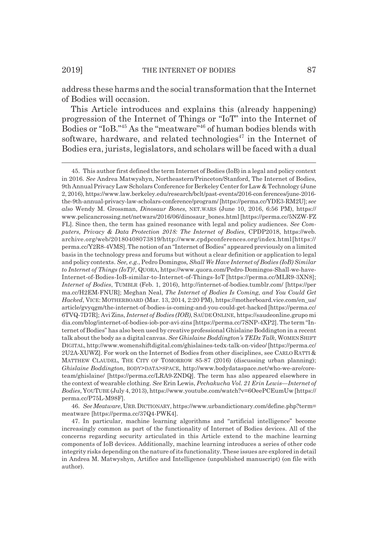address these harms and the social transformation that the Internet of Bodies will occasion.

This Article introduces and explains this (already happening) progression of the Internet of Things or "IoT" into the Internet of Bodies or "IoB."<sup>45</sup> As the "meatware"<sup>46</sup> of human bodies blends with software, hardware, and related technologies<sup> $47$ </sup> in the Internet of Bodies era, jurists, legislators, and scholars will be faced with a dual

46. *See Meatware*, URB.DICTIONARY, https://www.urbandictionary.com/define.php?term= meatware [https://perma.cc/37Q4-PWK4].

<sup>45.</sup> This author first defined the term Internet of Bodies (IoB) in a legal and policy context in 2016. *See* Andrea Matwyshyn, Northeastern/Princeton/Stanford, The Internet of Bodies, 9th Annual Privacy Law Scholars Conference for Berkeley Center for Law & Technology (June 2, 2016), https://www.law.berkeley.edu/research/bclt/past-events/2016-con ferences/june-2016 the-9th-annual-privacy-law-scholars-conference/program/ [https://perma.cc/YDE3-RM2U]; *see also* Wendy M. Grossman, *Dinosaur Bones*, NET.WARS (June 10, 2016, 6:56 PM), https:// www.pelicancrossing.net/netwars/2016/06/dinosaur\_bones.html [https://perma.cc/5NZW-FZ FL]. Since then, the term has gained resonance with legal and policy audiences. *See Computers, Privacy & Data Protection 2018: The Internet of Bodies*, CPDP2018, https://web. archive.org/web/20180408073819/http://www.cpdpconferences.org/index.html [https:// perma.cc/Y2R8-4VMS]. The notion of an "Internet of Bodies" appeared previously on a limited basis in the technology press and forums but without a clear definition or application to legal and policy contexts. *See, e.g.*, Pedro Domingos*, Shall We Have Internet of Bodies (IoB) Similar to Internet of Things (IoT)?*, QUORA, https://www.quora.com/Pedro-Domingos-Shall-we-have-Internet-of-Bodies-IoB-similar-to-Internet-of-Things-IoT [https://perma.cc/MLR9-3XN8]; *Internet of Bodies*, TUMBLR (Feb. 1, 2016), http://internet-of-bodies.tumblr.com/ [https://per ma.cc/H2EM-FNUR]; Meghan Neal, *The Internet of Bodies Is Coming, and You Could Get Hacked*, VICE: MOTHERBOARD (Mar. 13, 2014, 2:20 PM), https://motherboard.vice.com/en\_us/ article/gvyqgm/the-internet-of-bodies-is-coming-and-you-could-get-hacked [https://perma.cc/ 6TVQ-7D7R]; Avi Zins, *Internet of Bodies (IOB)*, SAÚDE ONLINE, https://saudeonline.grupo mi dia.com/blog/internet-of-bodies-iob-por-avi-zins [https://perma.cc/7SNP-4XP2]. The term "Internet of Bodies" has also been used by creative professional Ghislaine Boddington in a recent talk about the body as a digital canvas. *See Ghislaine Boddington's TEDx Talk*, WOMEN SHIFT DIGITAL, http://www.womenshiftdigital.com/ghislaines-tedx-talk-on-video/ [https://perma.cc/ 2U2A-XUWZ]. For work on the Internet of Bodies from other disciplines, see CARLO RATTI & MATTHEW CLAUDEL, THE CITY OF TOMORROW 85-87 (2016) (discussing urban planning); *Ghislaine Boddington*, BODY>DATA>SPACE, http://www.bodydataspace.net/who-we-are/coreteam/ghislaine/ [https://perma.cc/LRA9-ZNDQ]. The term has also appeared elsewhere in the context of wearable clothing. *See* Erin Lewis, *Pechakucha Vol. 21 Erin Lewis—Internet of Bodies*, YOUTUBE (July 4, 2013), https://www.youtube.com/watch?v=6OeePCEumUw [https:// perma.cc/P75L-M98F].

<sup>47.</sup> In particular, machine learning algorithms and "artificial intelligence" become increasingly common as part of the functionality of Internet of Bodies devices. All of the concerns regarding security articulated in this Article extend to the machine learning components of IoB devices. Additionally, machine learning introduces a series of other code integrity risks depending on the nature of its functionality. These issues are explored in detail in Andrea M. Matwyshyn, Artifice and Intelligence (unpublished manuscript) (on file with author).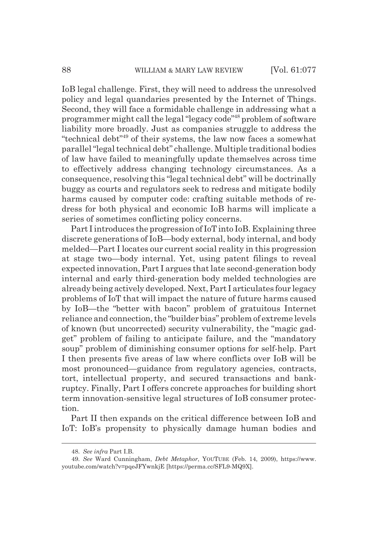IoB legal challenge. First, they will need to address the unresolved policy and legal quandaries presented by the Internet of Things. Second, they will face a formidable challenge in addressing what a programmer might call the legal "legacy code"48 problem of software liability more broadly. Just as companies struggle to address the "technical debt"49 of their systems, the law now faces a somewhat parallel "legal technical debt" challenge. Multiple traditional bodies of law have failed to meaningfully update themselves across time to effectively address changing technology circumstances. As a consequence, resolving this "legal technical debt" will be doctrinally buggy as courts and regulators seek to redress and mitigate bodily harms caused by computer code: crafting suitable methods of redress for both physical and economic IoB harms will implicate a series of sometimes conflicting policy concerns.

Part I introduces the progression of IoT into IoB. Explaining three discrete generations of IoB—body external, body internal, and body melded—Part I locates our current social reality in this progression at stage two—body internal. Yet, using patent filings to reveal expected innovation, Part I argues that late second-generation body internal and early third-generation body melded technologies are already being actively developed. Next, Part I articulates four legacy problems of IoT that will impact the nature of future harms caused by IoB—the "better with bacon" problem of gratuitous Internet reliance and connection, the "builder bias" problem of extreme levels of known (but uncorrected) security vulnerability, the "magic gadget" problem of failing to anticipate failure, and the "mandatory soup" problem of diminishing consumer options for self-help. Part I then presents five areas of law where conflicts over IoB will be most pronounced—guidance from regulatory agencies, contracts, tort, intellectual property, and secured transactions and bankruptcy. Finally, Part I offers concrete approaches for building short term innovation-sensitive legal structures of IoB consumer protection.

Part II then expands on the critical difference between IoB and IoT: IoB's propensity to physically damage human bodies and

<sup>48.</sup> *See infra* Part I.B.

<sup>49.</sup> *See* Ward Cunningham, *Debt Metaphor*, YOUTUBE (Feb. 14, 2009), https://www. youtube.com/watch?v=pqeJFYwnkjE [https://perma.cc/SFL9-MQ9X].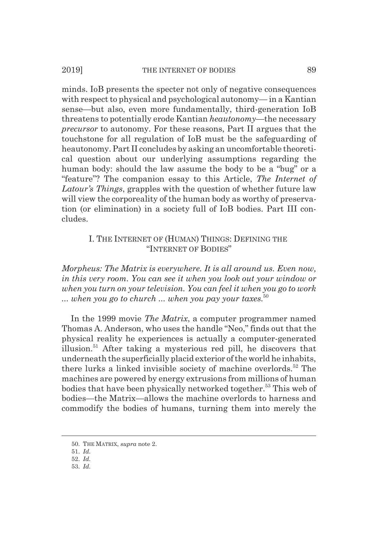# 2019] THE INTERNET OF BODIES 89

minds. IoB presents the specter not only of negative consequences with respect to physical and psychological autonomy— in a Kantian sense—but also, even more fundamentally, third-generation IoB threatens to potentially erode Kantian *heautonomy*—the necessary *precursor* to autonomy. For these reasons, Part II argues that the touchstone for all regulation of IoB must be the safeguarding of heautonomy. Part II concludes by asking an uncomfortable theoretical question about our underlying assumptions regarding the human body: should the law assume the body to be a "bug" or a "feature"? The companion essay to this Article, *The Internet of Latour's Things*, grapples with the question of whether future law will view the corporeality of the human body as worthy of preservation (or elimination) in a society full of IoB bodies. Part III concludes.

# I. THE INTERNET OF (HUMAN) THINGS: DEFINING THE "INTERNET OF BODIES"

*Morpheus: The Matrix is everywhere. It is all around us. Even now, in this very room. You can see it when you look out your window or when you turn on your television. You can feel it when you go to work ... when you go to church ... when you pay your taxes.*<sup>50</sup>

In the 1999 movie *The Matrix*, a computer programmer named Thomas A. Anderson, who uses the handle "Neo," finds out that the physical reality he experiences is actually a computer-generated illusion.51 After taking a mysterious red pill, he discovers that underneath the superficially placid exterior of the world he inhabits, there lurks a linked invisible society of machine overlords.<sup>52</sup> The machines are powered by energy extrusions from millions of human bodies that have been physically networked together.<sup>53</sup> This web of bodies—the Matrix—allows the machine overlords to harness and commodify the bodies of humans, turning them into merely the

<sup>50.</sup> THE MATRIX, *supra* note 2.

<sup>51.</sup> *Id.*

<sup>52.</sup> *Id.*

<sup>53.</sup> *Id.*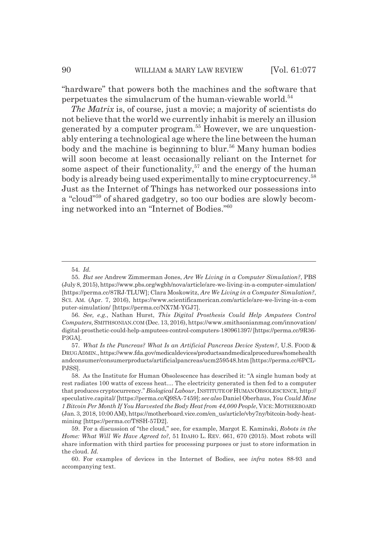"hardware" that powers both the machines and the software that perpetuates the simulacrum of the human-viewable world.<sup>54</sup>

*The Matrix* is, of course, just a movie; a majority of scientists do not believe that the world we currently inhabit is merely an illusion generated by a computer program.<sup>55</sup> However, we are unquestionably entering a technological age where the line between the human body and the machine is beginning to blur.<sup>56</sup> Many human bodies will soon become at least occasionally reliant on the Internet for some aspect of their functionality,<sup>57</sup> and the energy of the human body is already being used experimentally to mine cryptocurrency.58 Just as the Internet of Things has networked our possessions into a "cloud"59 of shared gadgetry, so too our bodies are slowly becoming networked into an "Internet of Bodies."60

<sup>54.</sup> *Id.*

<sup>55.</sup> *But see* Andrew Zimmerman Jones, *Are We Living in a Computer Simulation?*, PBS (July 8, 2015), https://www.pbs.org/wgbh/nova/article/are-we-living-in-a-computer-simulation/ [https://perma.cc/87RJ-TLUW]; Clara Moskowitz, *Are We Living in a Computer Simulation?*, SCI. AM. (Apr. 7, 2016), https://www.scientificamerican.com/article/are-we-living-in-a-com puter-simulation/ [https://perma.cc/NX7M-YGJ7].

<sup>56.</sup> *See, e.g.*, Nathan Hurst, *This Digital Prosthesis Could Help Amputees Control Computers,* SMITHSONIAN.COM (Dec. 13, 2016), https://www.smithsonianmag.com/innovation/ digital-prosthetic-could-help-amputees-control-computers-180961397/ [https://perma.cc/9R36- P3GA].

<sup>57.</sup> *What Is the Pancreas? What Is an Artificial Pancreas Device System?*, U.S. FOOD & DRUG ADMIN., https://www.fda.gov/medicaldevices/productsandmedicalprocedures/homehealth andconsumer/consumerproducts/artificialpancreas/ucm259548.htm [https://perma.cc/6PCL-PJSS].

<sup>58.</sup> As the Institute for Human Obsolescence has described it: "A single human body at rest radiates 100 watts of excess heat.... The electricity generated is then fed to a computer that produces cryptocurrency." *Biological Labour*, INSTITUTE OF HUMAN OBSOLESCENCE, http:// speculative.capital/ [https://perma.cc/Q9SA-7459]; *see also* Daniel Oberhaus, *You Could Mine* 1 Bitcoin Per Month If You Harvested the Body Heat from 44,000 People, VICE: MOTHERBOARD (Jan. 3, 2018, 10:00 AM), https://motherboard.vice.com/en\_us/article/vby7ny/bitcoin-body-heatmining [https://perma.cc/T8SH-57D2].

<sup>59.</sup> For a discussion of "the cloud," see, for example, Margot E. Kaminski, *Robots in the Home: What Will We Have Agreed to?*, 51 IDAHO L. REV. 661, 670 (2015). Most robots will share information with third parties for processing purposes or just to store information in the cloud. *Id.*

<sup>60.</sup> For examples of devices in the Internet of Bodies, see *infra* notes 88-93 and accompanying text.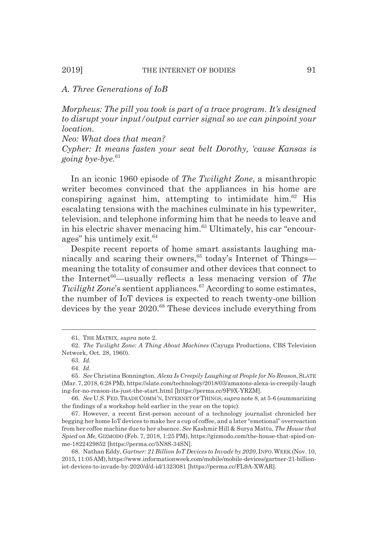## *A. Three Generations of IoB*

*Morpheus: The pill you took is part of a trace program. It's designed to disrupt your input/output carrier signal so we can pinpoint your location.*

*Neo: What does that mean?*

*Cypher: It means fasten your seat belt Dorothy, 'cause Kansas is going bye-bye.*<sup>61</sup>

In an iconic 1960 episode of *The Twilight Zone*, a misanthropic writer becomes convinced that the appliances in his home are conspiring against him, attempting to intimidate him.<sup>62</sup> His escalating tensions with the machines culminate in his typewriter, television, and telephone informing him that he needs to leave and in his electric shaver menacing him.<sup>63</sup> Ultimately, his car "encourages" his untimely exit.<sup>64</sup>

Despite recent reports of home smart assistants laughing maniacally and scaring their owners,<sup>65</sup> today's Internet of Thingsmeaning the totality of consumer and other devices that connect to the Internet<sup>66</sup>—usually reflects a less menacing version of *The Twilight Zone*'s sentient appliances.<sup>67</sup> According to some estimates, the number of IoT devices is expected to reach twenty-one billion devices by the year 2020.<sup>68</sup> These devices include everything from

<sup>61.</sup> THE MATRIX, *supra* note 2.

<sup>62.</sup> *The Twilight Zone: A Thing About Machines* (Cayuga Productions, CBS Television Network, Oct. 28, 1960).

<sup>63.</sup> *Id.*

<sup>64.</sup> *Id.*

<sup>65.</sup> *See* Christina Bonnington, *Alexa Is Creepily Laughing at People for No Reason*,SLATE (Mar. 7, 2018, 6:28 PM), https://slate.com/technology/2018/03/amazons-alexa-is-creepily-laugh ing-for-no-reason-its-just-the-start.html [https://perma.cc/9F9X-YRZM].

<sup>66.</sup> *See* U.S.FED.TRADE COMM'N, INTERNET OF THINGS, *supra* note 8, at 5-6 (summarizing the findings of a workshop held earlier in the year on the topic).

<sup>67.</sup> However, a recent first-person account of a technology journalist chronicled her begging her home IoT devices to make her a cup of coffee, and a later "emotional" overreaction from her coffee machine due to her absence. *See* Kashmir Hill & Surya Mattu, *The House that Spied on Me,* GIZMODO (Feb. 7, 2018, 1:25 PM), https://gizmodo.com/the-house-that-spied-onme-1822429852 [https://perma.cc/5N8S-34SN].

<sup>68.</sup> Nathan Eddy, *Gartner: 21 Billion IoT Devices to Invade by 2020*, INFO.WEEK (Nov. 10, 2015, 11:05 AM), https://www.informationweek.com/mobile/mobile-devices/gartner-21-billioniot-devices-to-invade-by-2020/d/d-id/1323081 [https://perma.cc/FL9A-XWAR].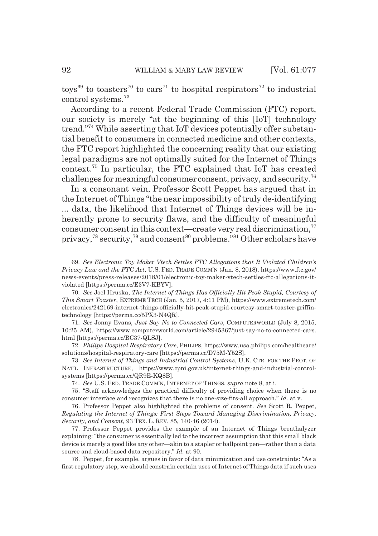toys<sup>69</sup> to toasters<sup>70</sup> to cars<sup>71</sup> to hospital respirators<sup>72</sup> to industrial control systems.73

According to a recent Federal Trade Commission (FTC) report, our society is merely "at the beginning of this [IoT] technology trend."74 While asserting that IoT devices potentially offer substantial benefit to consumers in connected medicine and other contexts, the FTC report highlighted the concerning reality that our existing legal paradigms are not optimally suited for the Internet of Things context.75 In particular, the FTC explained that IoT has created challenges for meaningful consumer consent, privacy, and security.76

In a consonant vein, Professor Scott Peppet has argued that in the Internet of Things "the near impossibility of truly de-identifying ... data, the likelihood that Internet of Things devices will be inherently prone to security flaws, and the difficulty of meaningful consumer consent in this context—create very real discrimination, $^{77}$ privacy,<sup>78</sup> security,<sup>79</sup> and consent<sup>80</sup> problems."<sup>81</sup> Other scholars have

<sup>69.</sup> *See Electronic Toy Maker Vtech Settles FTC Allegations that It Violated Children's Privacy Law and the FTC Act*, U.S. FED. TRADE COMM'N (Jan. 8, 2018), https://www.ftc.gov/ news-events/press-releases/2018/01/electronic-toy-maker-vtech-settles-ftc-allegations-itviolated [https://perma.cc/E3V7-KBYV].

<sup>70.</sup> *See* Joel Hruska, *The Internet of Things Has Officially Hit Peak Stupid, Courtesy of This Smart Toaster*, EXTREME TECH (Jan. 5, 2017, 4:11 PM), https://www.extremetech.com/ electronics/242169-internet-things-officially-hit-peak-stupid-courtesy-smart-toaster-griffintechnology [https://perma.cc/5PX3-N4QR].

<sup>71.</sup> *See* Jonny Evans, *Just Say No to Connected Cars*, COMPUTERWORLD (July 8, 2015, 10:25 AM), https://www.computerworld.com/article/2945367/just-say-no-to-connected-cars. html [https://perma.cc/BC37-QLSJ].

<sup>72.</sup> *Philips Hospital Respiratory Care*, PHILIPS, https://www.usa.philips.com/healthcare/ solutions/hospital-respiratory-care [https://perma.cc/D75M-Y52S].

<sup>73.</sup> *See Internet of Things and Industrial Control Systems*, U.K. CTR. FOR THE PROT. OF NAT'L INFRASTRUCTURE, https://www.cpni.gov.uk/internet-things-and-industrial-controlsystems [https://perma.cc/QR9E-KQ8B].

<sup>74.</sup> *See* U.S. FED. TRADE COMM'N, INTERNET OF THINGS, *supra* note 8, at i.

<sup>75. &</sup>quot;Staff acknowledges the practical difficulty of providing choice when there is no consumer interface and recognizes that there is no one-size-fits-all approach." *Id.* at v.

<sup>76.</sup> Professor Peppet also highlighted the problems of consent. *See* Scott R. Peppet, *Regulating the Internet of Things: First Steps Toward Managing Discrimination, Privacy, Security, and Consent*, 93 TEX. L. REV. 85, 140-46 (2014).

<sup>77.</sup> Professor Peppet provides the example of an Internet of Things breathalyzer explaining: "the consumer is essentially led to the incorrect assumption that this small black device is merely a good like any other—akin to a stapler or ballpoint pen—rather than a data source and cloud-based data repository." *Id.* at 90.

<sup>78.</sup> Peppet, for example, argues in favor of data minimization and use constraints: "As a first regulatory step, we should constrain certain uses of Internet of Things data if such uses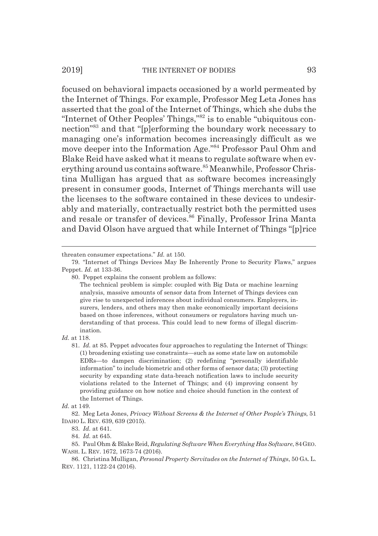focused on behavioral impacts occasioned by a world permeated by the Internet of Things. For example, Professor Meg Leta Jones has asserted that the goal of the Internet of Things, which she dubs the "Internet of Other Peoples' Things,"82 is to enable "ubiquitous connection"83 and that "[p]erforming the boundary work necessary to managing one's information becomes increasingly difficult as we move deeper into the Information Age."84 Professor Paul Ohm and Blake Reid have asked what it means to regulate software when everything around us contains software.<sup>85</sup> Meanwhile, Professor Christina Mulligan has argued that as software becomes increasingly present in consumer goods, Internet of Things merchants will use the licenses to the software contained in these devices to undesirably and materially, contractually restrict both the permitted uses and resale or transfer of devices.<sup>86</sup> Finally, Professor Irina Manta and David Olson have argued that while Internet of Things "[p]rice

*Id.* at 118.

threaten consumer expectations." *Id.* at 150.

<sup>79. &</sup>quot;Internet of Things Devices May Be Inherently Prone to Security Flaws," argues Peppet. *Id.* at 133-36.

<sup>80.</sup> Peppet explains the consent problem as follows:

The technical problem is simple: coupled with Big Data or machine learning analysis, massive amounts of sensor data from Internet of Things devices can give rise to unexpected inferences about individual consumers. Employers, insurers, lenders, and others may then make economically important decisions based on those inferences, without consumers or regulators having much understanding of that process. This could lead to new forms of illegal discrimination.

<sup>81.</sup> *Id.* at 85. Peppet advocates four approaches to regulating the Internet of Things: (1) broadening existing use constraints—such as some state law on automobile EDRs—to dampen discrimination; (2) redefining "personally identifiable information" to include biometric and other forms of sensor data; (3) protecting security by expanding state data-breach notification laws to include security violations related to the Internet of Things; and (4) improving consent by providing guidance on how notice and choice should function in the context of the Internet of Things.

*Id.* at 149.

<sup>82.</sup> Meg Leta Jones, *Privacy Without Screens & the Internet of Other People's Things*, 51 IDAHO L. REV. 639, 639 (2015).

<sup>83.</sup> *Id.* at 641.

<sup>84.</sup> *Id.* at 645.

<sup>85.</sup> Paul Ohm & Blake Reid, *Regulating Software When Everything Has Software*, 84GEO. WASH. L. REV. 1672, 1673-74 (2016).

<sup>86.</sup> Christina Mulligan, *Personal Property Servitudes on the Internet of Things*, 50 GA.L. REV. 1121, 1122-24 (2016).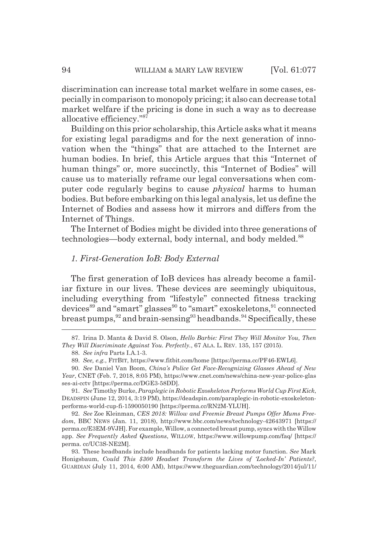discrimination can increase total market welfare in some cases, especially in comparison to monopoly pricing; it also can decrease total market welfare if the pricing is done in such a way as to decrease allocative efficiency."87

Building on this prior scholarship, this Article asks what it means for existing legal paradigms and for the next generation of innovation when the "things" that are attached to the Internet are human bodies. In brief, this Article argues that this "Internet of human things" or, more succinctly, this "Internet of Bodies" will cause us to materially reframe our legal conversations when computer code regularly begins to cause *physical* harms to human bodies. But before embarking on this legal analysis, let us define the Internet of Bodies and assess how it mirrors and differs from the Internet of Things.

The Internet of Bodies might be divided into three generations of technologies—body external, body internal, and body melded.<sup>88</sup>

## *1. First-Generation IoB: Body External*

The first generation of IoB devices has already become a familiar fixture in our lives. These devices are seemingly ubiquitous, including everything from "lifestyle" connected fitness tracking devices<sup>89</sup> and "smart" glasses<sup>90</sup> to "smart" exoskeletons,<sup>91</sup> connected breast pumps,  $92$  and brain-sensing  $93$  headbands.  $94$  Specifically, these

<sup>87.</sup> Irina D. Manta & David S. Olson, *Hello Barbie: First They Will Monitor You, Then They Will Discriminate Against You. Perfectly.*, 67 ALA. L. REV. 135, 157 (2015).

<sup>88.</sup> *See infra* Parts I.A.1-3.

<sup>89.</sup> *See, e.g.*, FITBIT, https://www.fitbit.com/home [https://perma.cc/PF46-EWL6].

<sup>90.</sup> *See* Daniel Van Boom, *China's Police Get Face-Recognizing Glasses Ahead of New Year*, CNET (Feb. 7, 2018, 8:05 PM), https://www.cnet.com/news/china-new-year-police-glas ses-ai-cctv [https://perma.cc/DGE3-58DD].

<sup>91.</sup> *See* Timothy Burke, *Paraplegic in Robotic Exoskeleton Performs World Cup First Kick*, DEADSPIN (June 12, 2014, 3:19 PM), https://deadspin.com/paraplegic-in-robotic-exoskeletonperforms-world-cup-fi-1590050190 [https://perma.cc/RN2M-YLUH].

<sup>92.</sup> *See* Zoe Kleinman, *CES 2018: Willow and Freemie Breast Pumps Offer Mums Freedom*, BBC NEWS (Jan. 11, 2018), http://www.bbc.com/news/technology-42643971 [https:// perma.cc/E3EM-9VJH]. For example, Willow, a connected breast pump, syncs with the Willow app. *See Frequently Asked Questions*, WILLOW, https://www.willowpump.com/faq/ [https:// perma. cc/UC3S-NE2M].

<sup>93.</sup> These headbands include headbands for patients lacking motor function. *See* Mark Honigsbaum, *Could This \$300 Headset Transform the Lives of 'Locked-In' Patients?*, GUARDIAN (July 11, 2014, 6:00 AM), https://www.theguardian.com/technology/2014/jul/11/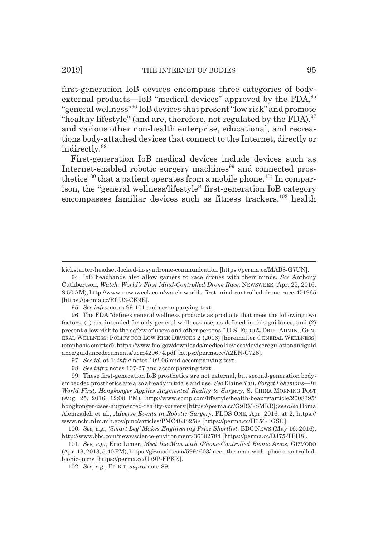first-generation IoB devices encompass three categories of bodyexternal products—IoB "medical devices" approved by the FDA.<sup>95</sup> "general wellness"96 IoB devices that present "low risk" and promote "healthy lifestyle" (and are, therefore, not regulated by the FDA),  $97$ and various other non-health enterprise, educational, and recreations body-attached devices that connect to the Internet, directly or indirectly.98

First-generation IoB medical devices include devices such as Internet-enabled robotic surgery machines<sup>99</sup> and connected prosthetics<sup>100</sup> that a patient operates from a mobile phone.<sup>101</sup> In comparison, the "general wellness/lifestyle" first-generation IoB category encompasses familiar devices such as fitness trackers.<sup>102</sup> health

kickstarter-headset-locked-in-syndrome-communication [https://perma.cc/MAB8-G7UN].

<sup>94.</sup> IoB headbands also allow gamers to race drones with their minds. *See* Anthony Cuthbertson, *Watch: World's First Mind-Controlled Drone Race*, NEWSWEEK (Apr. 25, 2016, 8:50 AM), http://www.newsweek.com/watch-worlds-first-mind-controlled-drone-race-451965 [https://perma.cc/RCU3-CK9E].

<sup>95.</sup> *See infra* notes 99-101 and accompanying text.

<sup>96.</sup> The FDA "defines general wellness products as products that meet the following two factors: (1) are intended for only general wellness use, as defined in this guidance, and (2) present a low risk to the safety of users and other persons." U.S. FOOD & DRUG ADMIN., GEN-ERAL WELLNESS: POLICY FOR LOW RISK DEVICES 2 (2016) [hereinafter GENERAL WELLNESS] (emphasis omitted), https://www.fda.gov/downloads/medicaldevices/deviceregulationandguid ance/guidancedocuments/ucm429674.pdf [https://perma.cc/A2EN-C728].

<sup>97.</sup> *See id.* at 1; *infra* notes 102-06 and accompanying text.

<sup>98.</sup> *See infra* notes 107-27 and accompanying text.

<sup>99.</sup> These first-generation IoB prosthetics are not external, but second-generation bodyembedded prosthetics are also already in trials and use. *See* Elaine Yau, *Forget Pokemons—In World First, Hongkonger Applies Augmented Reality to Surgery*, S. CHINA MORNING POST (Aug. 25, 2016, 12:00 PM), http://www.scmp.com/lifestyle/health-beauty/article/2008395/ hongkonger-uses-augmented-reality-surgery [https://perma.cc/G9RM-SMRR]; *see also* Homa Alemzadeh et al., *Adverse Events in Robotic Surgery*, PLOS ONE, Apr. 2016, at 2, https:// www.ncbi.nlm.nih.gov/pmc/articles/PMC4838256/ [https://perma.cc/H356-4GSG].

<sup>100.</sup> *See, e.g.*, *'Smart Leg' Makes Engineering Prize Shortlist*, BBC NEWS (May 16, 2016), http://www.bbc.com/news/science-environment-36302784 [https://perma.cc/DJ75-TFH8].

<sup>101.</sup> *See, e.g.*, Eric Limer, *Meet the Man with iPhone-Controlled Bionic Arms*, GIZMODO (Apr. 13, 2013, 5:40 PM), https://gizmodo.com/5994603/meet-the-man-with-iphone-controlledbionic-arms [https://perma.cc/U79P-FPKK].

<sup>102.</sup> *See, e.g.*, FITBIT, *supra* note 89.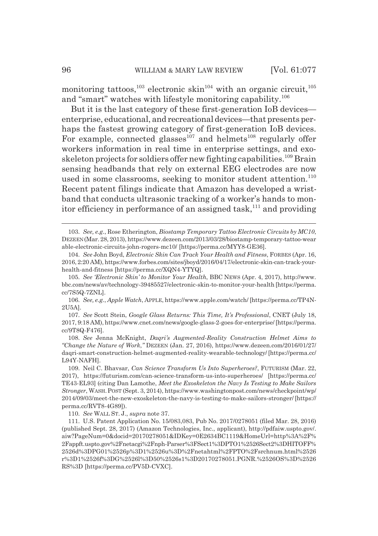monitoring tattoos,<sup>103</sup> electronic skin<sup>104</sup> with an organic circuit,<sup>105</sup> and "smart" watches with lifestyle monitoring capability.<sup>106</sup>

But it is the last category of these first-generation IoB devices enterprise, educational, and recreational devices—that presents perhaps the fastest growing category of first-generation IoB devices. For example, connected glasses<sup>107</sup> and helmets<sup>108</sup> regularly offer workers information in real time in enterprise settings, and exoskeleton projects for soldiers offer new fighting capabilities.<sup>109</sup> Brain sensing headbands that rely on external EEG electrodes are now used in some classrooms, seeking to monitor student attention. $110$ Recent patent filings indicate that Amazon has developed a wristband that conducts ultrasonic tracking of a worker's hands to monitor efficiency in performance of an assigned task, $111$  and providing

107. *See* Scott Stein, *Google Glass Returns: This Time, It's Professional*, CNET (July 18, 2017, 9:18 AM), https://www.cnet.com/news/google-glass-2-goes-for-enterprise/ [https://perma. cc/9T8Q-F476].

108. *See* Jenna McKnight, *Daqri's Augmented-Reality Construction Helmet Aims to "Change the Nature of Work*,*"* DEZEEN (Jan. 27, 2016), https://www.dezeen.com/2016/01/27/ daqri-smart-construction-helmet-augmented-reality-wearable-technology/ [https://perma.cc/ L94Y-NAFH].

109. Neil C. Bhavsar, *Can Science Transform Us Into Superheroes?*, FUTURISM (Mar. 22, 2017), https://futurism.com/can-science-transform-us-into-superheroes/ [https://perma.cc/ TE43-EL93] (citing Dan Lamothe, *Meet the Exoskeleton the Navy Is Testing to Make Sailors Stronger*, WASH.POST (Sept. 3, 2014), https://www.washingtonpost.com/news/checkpoint/wp/ 2014/09/03/meet-the-new-exoskeleton-the-navy-is-testing-to-make-sailors-stronger/ [https:// perma.cc/RVT8-4G89]).

110. *See* WALL ST. J., *supra* note 37.

<sup>103.</sup> *See, e.g.*, Rose Etherington, *Biostamp Temporary Tattoo Electronic Circuits by MC10*, DEZEEN (Mar. 28, 2013), https://www.dezeen.com/2013/03/28/biostamp-temporary-tattoo-wear able-electronic-circuits-john-rogers-mc10/ [https://perma.cc/MYY8-GE36].

<sup>104.</sup> *See* John Boyd, *Electronic Skin Can Track Your Health and Fitness*, FORBES (Apr. 16, 2016, 2:20 AM), https://www.forbes.com/sites/jboyd/2016/04/17/electronic-skin-can-track-yourhealth-and-fitness [https://perma.cc/XQN4-YTYQ].

<sup>105.</sup> *See 'Electronic Skin' to Monitor Your Health*, BBC NEWS (Apr. 4, 2017), http://www. bbc.com/news/av/technology-39485527/electronic-skin-to-monitor-your-health [https://perma. cc/7S5Q-7ZNL].

<sup>106.</sup> *See, e.g.*, *Apple Watch*, APPLE, https://www.apple.com/watch/ [https://perma.cc/TP4N-2U5A].

<sup>111.</sup> U.S. Patent Application No. 15/083,083, Pub No. 2017/0278051 (filed Mar. 28, 2016) (published Sept. 28, 2017) (Amazon Technologies, Inc., applicant), http://pdfaiw.uspto.gov/. aiw?PageNum=0&docid=20170278051&IDKey=0E2634BC1119&HomeUrl=http%3A%2F% 2Fappft.uspto.gov%2Fnetacgi%2Fnph-Parser%3FSect1%3DPTO1%2526Sect2%3DHITOFF% 2526d%3DPG01%2526p%3D1%2526u%3D%2Fnetahtml%2FPTO%2Fsrchnum.html%2526 r%3D1%2526f%3DG%2526l%3D50%2526s1%3D20170278051.PGNR.%2526OS%3D%2526 RS%3D [https://perma.cc/PV5D-CVXC].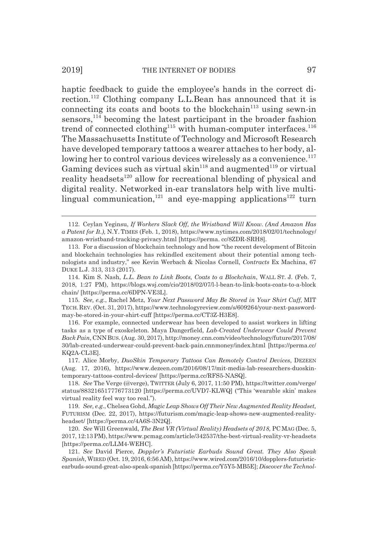haptic feedback to guide the employee's hands in the correct direction.<sup>112</sup> Clothing company L.L.Bean has announced that it is connecting its coats and boots to the blockchain<sup>113</sup> using sewn-in sensors,  $^{114}$  becoming the latest participant in the broader fashion trend of connected clothing<sup>115</sup> with human-computer interfaces.<sup>116</sup> The Massachusetts Institute of Technology and Microsoft Research have developed temporary tattoos a wearer attaches to her body, allowing her to control various devices wirelessly as a convenience.<sup>117</sup> Gaming devices such as virtual skin<sup>118</sup> and augmented<sup>119</sup> or virtual reality headsets<sup>120</sup> allow for recreational blending of physical and digital reality. Networked in-ear translators help with live multilingual communication,<sup>121</sup> and eye-mapping applications<sup>122</sup> turn

<sup>112.</sup> Ceylan Yeginsu, *If Workers Slack Off, the Wristband Will Know. (And Amazon Has a Patent for It.),* N.Y. TIMES (Feb. 1, 2018), https://www.nytimes.com/2018/02/01/technology/ amazon-wristband-tracking-privacy.html [https://perma. cc/8ZDR-SRH8].

<sup>113.</sup> For a discussion of blockchain technology and how "the recent development of Bitcoin and blockchain technologies has rekindled excitement about their potential among technologists and industry," see Kevin Werbach & Nicolas Cornell, *Contracts* Ex Machina, 67 DUKE L.J. 313, 313 (2017).

<sup>114.</sup> Kim S. Nash, *L.L. Bean to Link Boots, Coats to a Blockchain*, WALL ST. J. (Feb. 7, 2018, 1:27 PM), https://blogs.wsj.com/cio/2018/02/07/l-l-bean-to-link-boots-coats-to-a-block chain/ [https://perma.cc/6DPN-VE3L].

<sup>115.</sup> *See, e.g.*, Rachel Metz, *Your Next Password May Be Stored in Your Shirt Cuff*, MIT TECH.REV. (Oct. 31, 2017), https://www.technologyreview.com/s/609264/your-next-passwordmay-be-stored-in-your-shirt-cuff [https://perma.cc/CT3Z-H3E8].

<sup>116.</sup> For example, connected underwear has been developed to assist workers in lifting tasks as a type of exoskeleton. Maya Dangerfield, *Lab-Created Underwear Could Prevent Back Pain*, CNNBUS. (Aug. 30, 2017), http://money.cnn.com/video/technology/future/2017/08/ 30/lab-created-underwear-could-prevent-back-pain.cnnmoney/index.html [https://perma.cc/ KQ2A-CL3E].

<sup>117.</sup> Alice Morby, *DuoSkin Temporary Tattoos Can Remotely Control Devices*, DEZEEN (Aug. 17, 2016), https://www.dezeen.com/2016/08/17/mit-media-lab-researchers-duoskintemporary-tattoos-control-devices/ [https://perma.cc/RFS5-NASQ].

<sup>118.</sup> *See* The Verge (@verge), TWITTER (July 6, 2017, 11:50 PM), https://twitter.com/verge/ status/883216517776773120 [https://perma.cc/UVD7-KLWQ] ("This 'wearable skin' makes virtual reality feel way too real.").

<sup>119.</sup> *See, e.g.*, Chelsea Gohd, *Magic Leap Shows Off Their New Augmented Reality Headset,* FUTURISM (Dec. 22, 2017), https://futurism.com/magic-leap-shows-new-augmented-realityheadset/ [https://perma.cc/4A6S-3N2Q].

<sup>120.</sup> *See* Will Greenwald, *The Best VR (Virtual Reality) Headsets of 2018,* PC MAG (Dec. 5, 2017, 12:13 PM), https://www.pcmag.com/article/342537/the-best-virtual-reality-vr-headsets [https://perma.cc/LLM4-WEHC].

<sup>121.</sup> *See* David Pierce, *Doppler's Futuristic Earbuds Sound Great. They Also Speak Spanish*, WIRED (Oct. 19, 2016, 6:56 AM), https://www.wired.com/2016/10/dopplers-futuristicearbuds-sound-great-also-speak-spanish [https://perma.cc/Y5Y5-MB5E]; *Discover the Technol-*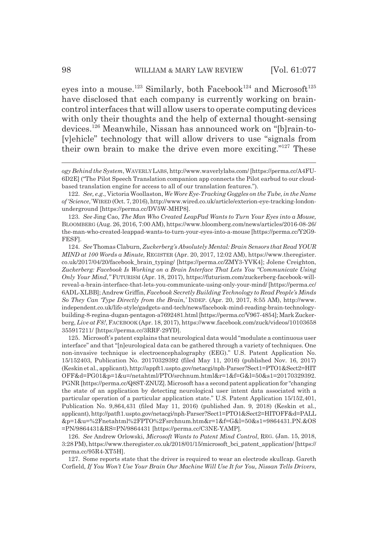### 98 WILLIAM & MARY LAW REVIEW [Vol. 61:077

eyes into a mouse.<sup>123</sup> Similarly, both Facebook<sup>124</sup> and Microsoft<sup>125</sup> have disclosed that each company is currently working on braincontrol interfaces that will allow users to operate computing devices with only their thoughts and the help of external thought-sensing devices.126 Meanwhile, Nissan has announced work on "[b]rain-to- [v]ehicle" technology that will allow drivers to use "signals from their own brain to make the drive even more exciting."<sup>127</sup> These

125. Microsoft's patent explains that neurological data would "modulate a continuous user interface" and that "[n]eurological data can be gathered through a variety of techniques. One non-invasive technique is electroencephalography (EEG)." U.S. Patent Application No. 15/152403, Publication No. 20170329392 (filed May 11, 2016) (published Nov. 16, 2017) (Keskin et al., applicant), http://appft1.uspto.gov/netacgi/nph-Parser?Sect1=PTO1&Sect2=HIT OFF&d=PG01&p=1&u=/netahtml/PTO/srchnum.html&r=1&f=G&l=50&s1=20170329392. PGNR [https://perma.cc/Q8ST-ZNUZ]. Microsoft has a second patent application for "changing the state of an application by detecting neurological user intent data associated with a particular operation of a particular application state." U.S. Patent Application 15/152,401, Publication No. 9,864,431 (filed May 11, 2016) (published Jan. 9, 2018) (Keskin et al., applicant), http://patft1.uspto.gov/netacgi/nph-Parser?Sect1=PTO1&Sect2=HITOFF&d=PALL &p=1&u=%2Fnetahtml%2FPTO%2Fsrchnum.htm&r=1&f=G&l=50&s1=9864431.PN.&OS =PN/9864431&RS=PN/9864431 [https://perma.cc/C3NE-YAMP].

126. *See* Andrew Orlowski, *Microsoft Wants to Patent Mind Control*, REG. (Jan. 15, 2018, 3:28 PM), https://www.theregister.co.uk/2018/01/15/microsoft\_bci\_patent\_application/ [https:// perma.cc/95R4-XT5H].

127. Some reports state that the driver is required to wear an electrode skullcap. Gareth Corfield, *If You Won't Use Your Brain Our Machine Will Use It for You, Nissan Tells Drivers*,

*ogy Behind the System*, WAVERLY LABS, http://www.waverlylabs.com/ [https://perma.cc/A4FU-6D2E] ("The Pilot Speech Translation companion app connects the Pilot earbud to our cloudbased translation engine for access to all of our translation features.").

<sup>122.</sup> *See, e.g.*, Victoria Woollaston, *We Wore Eye-Tracking Goggles on the Tube, in the Name of 'Science*,*'* WIRED (Oct. 7, 2016), http://www.wired.co.uk/article/exterion-eye-tracking-londonunderground [https://perma.cc/DV5W-MHP8].

<sup>123.</sup> *See* Jing Cao, *The Man Who Created LeapPad Wants to Turn Your Eyes into a Mouse,* BLOOMBERG (Aug. 26, 2016, 7:00 AM), https://www.bloomberg.com/news/articles/2016-08-26/ the-man-who-created-leappad-wants-to-turn-your-eyes-into-a-mouse [https://perma.cc/Y2G9- FESF].

<sup>124.</sup> *See* Thomas Claburn, *Zuckerberg's Absolutely Mental: Brain Sensors that Read YOUR MIND at 100 Words a Minute,* REGISTER (Apr. 20, 2017, 12:02 AM), https://www.theregister. co.uk/2017/04/20/facebook\_brain\_typing/ [https://perma.cc/ZMY3-YVK4]; Jolene Creighton, *Zuckerberg: Facebook Is Working on a Brain Interface That Lets You "Communicate Using Only Your Mind*,*"* FUTURISM (Apr. 18, 2017), https://futurism.com/zuckerberg-facebook-willreveal-a-brain-interface-that-lets-you-communicate-using-only-your-mind/ [https://perma.cc/ 6ADL-XLBB]; Andrew Griffin, *Facebook Secretly Building Technology to Read People's Minds So They Can 'Type Directly from the Brain*,*'* INDEP. (Apr. 20, 2017, 8:55 AM), http://www. independent.co.uk/life-style/gadgets-and-tech/news/facebook-mind-reading-brain-technologybuilding-8-regina-dugan-pentagon-a7692481.html [https://perma.cc/V967-4854]; Mark Zuckerberg, *Live at F8!*, FACEBOOK (Apr. 18, 2017), https://www.facebook.com/zuck/videos/10103658 355917211/ [https://perma.cc/3RRF-29YD].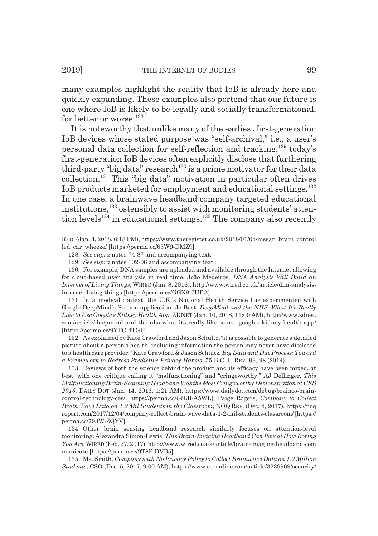many examples highlight the reality that IoB is already here and quickly expanding. These examples also portend that our future is one where IoB is likely to be legally and socially transformational, for better or worse. $128$ 

It is noteworthy that unlike many of the earliest first-generation IoB devices whose stated purpose was "self-archival," i.e., a user's personal data collection for self-reflection and tracking,129 today's first-generation IoB devices often explicitly disclose that furthering third-party "big data" research<sup>130</sup> is a prime motivator for their data  $\alpha$  collection.<sup>131</sup> This "big data" motivation in particular often drives IoB products marketed for employment and educational settings.<sup>132</sup> In one case, a brainwave headband company targeted educational institutions,<sup>133</sup> ostensibly to assist with monitoring students' attention levels<sup>134</sup> in educational settings.<sup>135</sup> The company also recently

REG. (Jan. 4, 2018, 6:18 PM), https://www.theregister.co.uk/2018/01/04/nissan\_brain\_control led\_car\_wheeze/ [https://perma.cc/63W9-DMZ9].

130. For example, DNA samples are uploaded and available through the Internet allowing for cloud-based user analysis in real time. João Medeiros, *DNA Analysis Will Build an Internet of Living Things*, WIRED (Jan. 8, 2016), http://www.wired.co.uk/article/dna-analysisinternet-living-things [https://perma.cc/GGX9-7UEA].

131. In a medical context, the U.K.'s National Health Service has experimented with Google DeepMind's Stream application. Jo Best, *DeepMind and the NHS: What It's Really Like to Use Google's Kidney Health App*, ZDNET (Jan. 10, 2018, 11:00 AM), http://www.zdnet. com/article/deepmind-and-the-nhs-what-its-really-like-to-use-googles-kidney-health-app/ [https://perma.cc/9YTC-4TGU].

132. As explained by Kate Crawford and Jason Schultz, "it is possible to generate a detailed picture about a person's health, including information the person may never have disclosed to a health care provider." Kate Crawford & Jason Schultz, *Big Data and Due Process: Toward a Framework to Redress Predictive Privacy Harms*, 55 B.C. L. REV. 93, 98 (2014).

133. Reviews of both the science behind the product and its efficacy have been mixed, at best, with one critique calling it "malfunctioning" and "cringeworthy." AJ Dellinger, *This Malfunctioning Brain-Scanning Headband Was the Most Cringeworthy Demonstration at CES 2016,* DAILY DOT (Jan. 14, 2016, 1:21 AM), https://www.dailydot.com/debug/brainco-braincontrol-technology-ces/ [https://perma.cc/6JLB-A5WL]; Paige Rogers, *Company to Collect Brain Wave Data on 1.2 Mil Students in the Classroom*, NOQ REP. (Dec. 4, 2017), https://noq report.com/2017/12/04/company-collect-brain-wave-data-1-2-mil-students-classroom/ [https:// perma.cc/793W-ZQYV].

134. Other brain sensing headband research similarly focuses on attention-level monitoring. Alexandra Simon-Lewis, *This Brain-Imaging Headband Can Reveal How Boring You Are*, WIRED (Feb. 27, 2017), http://www.wired.co.uk/article/brain-imaging-headband-com municate [https://perma.cc/9T8P-DVB5].

135. Ms. Smith, *Company with No Privacy Policy to Collect Brainwave Data on 1.2 Million Students*, CSO (Dec. 5, 2017, 9:00 AM), https://www.csoonline.com/article/3239969/security/

<sup>128.</sup> *See supra* notes 74-87 and accompanying text.

<sup>129.</sup> *See supra* notes 102-06 and accompanying text.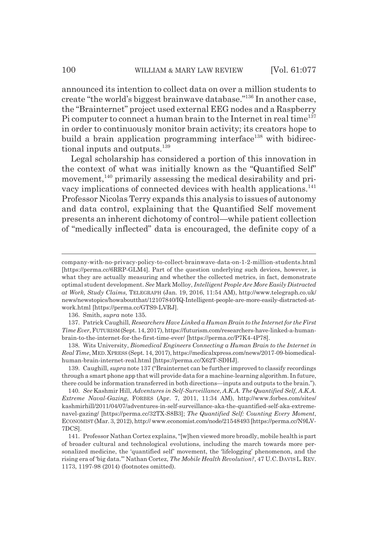announced its intention to collect data on over a million students to create "the world's biggest brainwave database."136 In another case, the "Brainternet" project used external EEG nodes and a Raspberry Pi computer to connect a human brain to the Internet in real time<sup>137</sup> in order to continuously monitor brain activity; its creators hope to build a brain application programming interface<sup>138</sup> with bidirectional inputs and outputs. $139$ 

Legal scholarship has considered a portion of this innovation in the context of what was initially known as the "Quantified Self" movement, $140$  primarily assessing the medical desirability and privacy implications of connected devices with health applications.<sup>141</sup> Professor Nicolas Terry expands this analysis to issues of autonomy and data control, explaining that the Quantified Self movement presents an inherent dichotomy of control—while patient collection of "medically inflected" data is encouraged, the definite copy of a

136. Smith, *supra* note 135.

137. Patrick Caughill, *Researchers Have Linked a Human Brain to the Internet for the First Time Ever*, FUTURISM (Sept. 14, 2017), https://futurism.com/researchers-have-linked-a-humanbrain-to-the-internet-for-the-first-time-ever/ [https://perma.cc/P7K4-4P78].

138. Wits University, *Biomedical Engineers Connecting a Human Brain to the Internet in Real Time*, MED.XPRESS (Sept. 14, 2017), https://medicalxpress.com/news/2017-09-biomedicalhuman-brain-internet-real.html [https://perma.cc/X62T-SDHJ].

139. Caughill, *supra* note 137 ("Brainternet can be further improved to classify recordings through a smart phone app that will provide data for a machine-learning algorithm. In future, there could be information transferred in both directions—inputs and outputs to the brain.").

140. *See* Kashmir Hill, *Adventures in Self-Surveillance*, *A.K.A. The Quantified Self, A.K.A. Extreme Naval-Gazing*, FORBES (Apr. 7, 2011, 11:34 AM), http://www.forbes.com/sites/ kashmirhill/2011/04/07/adventures-in-self-surveillance-aka-the-quantified-self-aka-extremenavel-gazing/ [https://perma.cc/32TX-S8B3]; *The Quantified Self: Counting Every Moment*, ECONOMIST (Mar. 3, 2012), http:// www.economist.com/node/21548493 [https://perma.cc/N9LV-7DCS].

141. Professor Nathan Cortez explains, "[w]hen viewed more broadly, mobile health is part of broader cultural and technological evolutions, including the march towards more personalized medicine, the 'quantified self' movement, the 'lifelogging' phenomenon, and the rising era of 'big data.'" Nathan Cortez, *The Mobile Health Revolution?*, 47 U.C.DAVIS L. REV. 1173, 1197-98 (2014) (footnotes omitted).

company-with-no-privacy-policy-to-collect-brainwave-data-on-1-2-million-students.html [https://perma.cc/6RRP-GLM4]. Part of the question underlying such devices, however, is what they are actually measuring and whether the collected metrics, in fact, demonstrate optimal student development. *See* Mark Molloy, *Intelligent People Are More Easily Distracted at Work, Study Claims,* TELEGRAPH (Jan. 19, 2016, 11:54 AM), http://www.telegraph.co.uk/ news/newstopics/howaboutthat/12107840/IQ-Intelligent-people-are-more-easily-distracted-atwork.html [https://perma.cc/GTS9-LVRJ].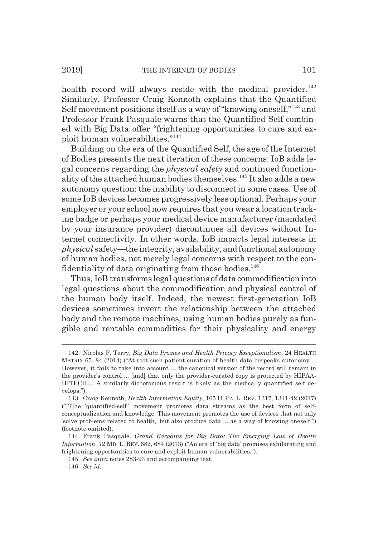health record will always reside with the medical provider. $142$ Similarly, Professor Craig Konnoth explains that the Quantified Self movement positions itself as a way of "knowing oneself,"143 and Professor Frank Pasquale warns that the Quantified Self combined with Big Data offer "frightening opportunities to cure and exploit human vulnerabilities."144

Building on the era of the Quantified Self, the age of the Internet of Bodies presents the next iteration of these concerns: IoB adds legal concerns regarding the *physical safety* and continued functionality of the attached human bodies themselves.145 It also adds a new autonomy question: the inability to disconnect in some cases. Use of some IoB devices becomes progressively less optional. Perhaps your employer or your school now requires that you wear a location tracking badge or perhaps your medical device manufacturer (mandated by your insurance provider) discontinues all devices without Internet connectivity. In other words, IoB impacts legal interests in *physical* safety—the integrity, availability, and functional autonomy of human bodies, not merely legal concerns with respect to the confidentiality of data originating from those bodies. $146$ 

Thus, IoB transforms legal questions of data commodification into legal questions about the commodification and physical control of the human body itself. Indeed, the newest first-generation IoB devices sometimes invert the relationship between the attached body and the remote machines, using human bodies purely as fungible and rentable commodities for their physicality and energy

<sup>142.</sup> Nicolas P. Terry, *Big Data Proxies and Health Privacy Exceptionalism*, 24 HEALTH MATRIX 65, 84 (2014) ("At root such patient curation of health data bespeaks autonomy.... However, it fails to take into account ... the canonical version of the record will remain in the provider's control ... [and] that only the provider-curated copy is protected by HIPAA-HITECH.... A similarly dichotomous result is likely as the medically quantified self develops.").

<sup>143.</sup> Craig Konnoth, *Health Information Equity*, 165 U. PA. L. REV. 1317, 1341-42 (2017) ("[T]he 'quantified-self ' movement promotes data streams as the best form of selfconceptualization and knowledge. This movement promotes the use of devices that not only 'solve problems related to health,' but also produce data ... as a way of knowing oneself.") (footnote omitted).

<sup>144.</sup> Frank Pasquale, *Grand Bargains for Big Data: The Emerging Law of Health Information*, 72 MD. L. REV. 682, 684 (2013) ("An era of 'big data' promises exhilarating and frightening opportunities to cure and exploit human vulnerabilities.").

<sup>145.</sup> *See infra* notes 283-93 and accompanying text.

<sup>146.</sup> *See id.*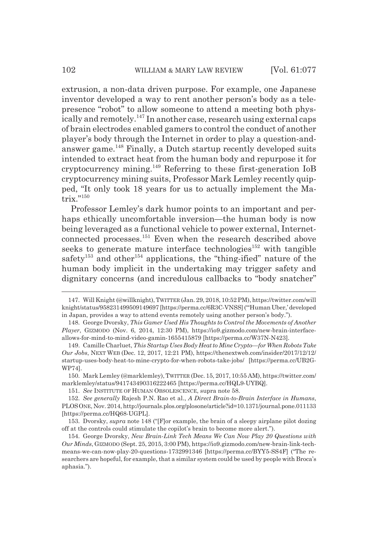extrusion, a non-data driven purpose. For example, one Japanese inventor developed a way to rent another person's body as a telepresence "robot" to allow someone to attend a meeting both physically and remotely.<sup>147</sup> In another case, research using external caps of brain electrodes enabled gamers to control the conduct of another player's body through the Internet in order to play a question-andanswer game.<sup>148</sup> Finally, a Dutch startup recently developed suits intended to extract heat from the human body and repurpose it for cryptocurrency mining.149 Referring to these first-generation IoB cryptocurrency mining suits, Professor Mark Lemley recently quipped, "It only took 18 years for us to actually implement the Matrix<sup>"150</sup>

Professor Lemley's dark humor points to an important and perhaps ethically uncomfortable inversion—the human body is now being leveraged as a functional vehicle to power external, Internetconnected processes.151 Even when the research described above seeks to generate mature interface technologies<sup>152</sup> with tangible safety<sup>153</sup> and other<sup>154</sup> applications, the "thing-ified" nature of the human body implicit in the undertaking may trigger safety and dignitary concerns (and incredulous callbacks to "body snatcher"

<sup>147.</sup> Will Knight (@willknight), TWITTER (Jan. 29, 2018, 10:52 PM), https://twitter.com/will knight/status/958231499509149697 [https://perma.cc/6R3C-VNSS] ("'Human Uber,' developed in Japan, provides a way to attend events remotely using another person's body.").

<sup>148.</sup> George Dvorsky, *This Gamer Used His Thoughts to Control the Movements of Another Player*, GIZMODO (Nov. 6, 2014, 12:30 PM), https://io9.gizmodo.com/new-brain-interfaceallows-for-mind-to-mind-video-gamin-1655415879 [https://perma.cc/W37N-N423].

<sup>149.</sup> Camille Charluet, *This Startup Uses Body Heat to Mine Crypto—for When Robots Take Our Jobs*, NEXT WEB (Dec. 12, 2017, 12:21 PM), https://thenextweb.com/insider/2017/12/12/ startup-uses-body-heat-to-mine-crypto-for-when-robots-take-jobs/ [https://perma.cc/UB2G-WP74].

<sup>150.</sup> Mark Lemley (@marklemley), TWITTER (Dec. 15, 2017, 10:55 AM), https://twitter.com/ marklemley/status/941743490316222465 [https://perma.cc/HQL9-UYBQ].

<sup>151.</sup> *See* INSTITUTE OF HUMAN OBSOLESCENCE, supra note 58.

<sup>152.</sup> *See generally* Rajesh P.N. Rao et al., *A Direct Brain-to-Brain Interface in Humans*, PLOSONE, Nov. 2014, http://journals.plos.org/plosone/article?id=10.1371/journal.pone.011133 [https://perma.cc/HQ68-UGPL].

<sup>153.</sup> Dvorsky, *supra* note 148 ("[F]or example, the brain of a sleepy airplane pilot dozing off at the controls could stimulate the copilot's brain to become more alert.").

<sup>154.</sup> George Dvorsky, *New Brain-Link Tech Means We Can Now Play 20 Questions with Our Minds*, GIZMODO (Sept. 25, 2015, 3:00 PM), https://io9.gizmodo.com/new-brain-link-techmeans-we-can-now-play-20-questions-1732991346 [https://perma.cc/BYY5-SS4F] ("The researchers are hopeful, for example, that a similar system could be used by people with Broca's aphasia.").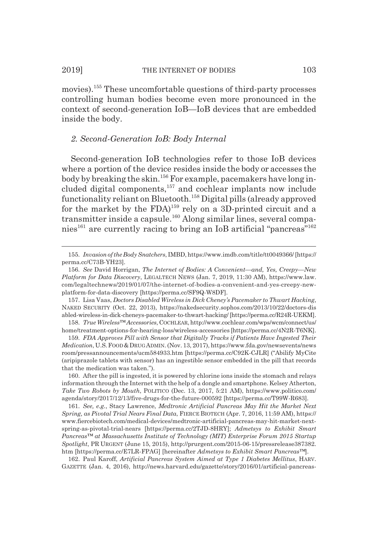movies).155 These uncomfortable questions of third-party processes controlling human bodies become even more pronounced in the context of second-generation IoB—IoB devices that are embedded inside the body.

## *2. Second-Generation IoB: Body Internal*

Second-generation IoB technologies refer to those IoB devices where a portion of the device resides inside the body or accesses the body by breaking the skin.156 For example, pacemakers have long included digital components,157 and cochlear implants now include functionality reliant on Bluetooth.158 Digital pills (already approved for the market by the FDA)159 rely on a 3D-printed circuit and a transmitter inside a capsule.160 Along similar lines, several companies<sup>161</sup> are currently racing to bring an IoB artificial "pancreas"<sup>162</sup>

<sup>155.</sup> *Invasion of the Body Snatchers*, IMBD, https://www.imdb.com/title/tt0049366/ [https:// perma.cc/C73B-YH23].

<sup>156.</sup> *See* David Horrigan, *The Internet of Bodies: A Convenient—and, Yes, Creepy—New Platform for Data Discovery*, LEGALTECH NEWS (Jan. 7, 2019, 11:30 AM), https://www.law. com/legaltechnews/2019/01/07/the-internet-of-bodies-a-convenient-and-yes-creepy-newplatform-for-data-discovery [https://perma.cc/SF9Q-W8DF].

<sup>157.</sup> Lisa Vaas, *Doctors Disabled Wireless in Dick Cheney's Pacemaker to Thwart Hacking*, NAKED SECURITY (Oct. 22, 2013), https://nakedsecurity.sophos.com/2013/10/22/doctors-dis abled-wireless-in-dick-cheneys-pacemaker-to-thwart-hacking/ [https://perma.cc/R24R-UEKM].

<sup>158.</sup> *True Wireless™ Accessories*, COCHLEAR, http://www.cochlear.com/wps/wcm/connect/us/ home/treatment-options-for-hearing-loss/wireless-accessories [https://perma.cc/4N2R-T6NK].

<sup>159.</sup> *FDA Approves Pill with Sensor that Digitally Tracks if Patients Have Ingested Their Medication*, U.S.FOOD &DRUG ADMIN. (Nov. 13, 2017), https://www.fda.gov/newsevents/news room/pressannouncements/ucm584933.htm [https://perma.cc/C92K-CJLR] ("Abilify MyCite (aripiprazole tablets with sensor) has an ingestible sensor embedded in the pill that records that the medication was taken.").

<sup>160.</sup> After the pill is ingested, it is powered by chlorine ions inside the stomach and relays information through the Internet with the help of a dongle and smartphone. Kelsey Atherton, *Take Two Robots by Mouth*, POLITICO (Dec. 13, 2017, 5:21 AM), https://www.politico.com/ agenda/story/2017/12/13/five-drugs-for-the-future-000592 [https://perma.cc/T99W-R683].

<sup>161.</sup> *See, e.g.*, Stacy Lawrence, *Medtronic Artificial Pancreas May Hit the Market Next Spring, as Pivotal Trial Nears Final Data*, FIERCE BIOTECH (Apr. 7, 2016, 11:59 AM), https:// www.fiercebiotech.com/medical-devices/medtronic-artificial-pancreas-may-hit-market-nextspring-as-pivotal-trial-nears [https://perma.cc/2TJD-8HRY]; *Admetsys to Exhibit Smart Pancreas™ at Massachusetts Institute of Technology (MIT) Enterprise Forum 2015 Startup Spotlight*, PR URGENT (June 15, 2015), http://prurgent.com/2015-06-15/pressrelease387382. htm [https://perma.cc/E7LR-FPAG] [hereinafter *Admetsys to Exhibit Smart Pancreas™*].

<sup>162.</sup> Paul Karoff, *Artificial Pancreas System Aimed at Type 1 Diabetes Mellitus*, HARV. GAZETTE (Jan. 4, 2016), http://news.harvard.edu/gazette/story/2016/01/artificial-pancreas-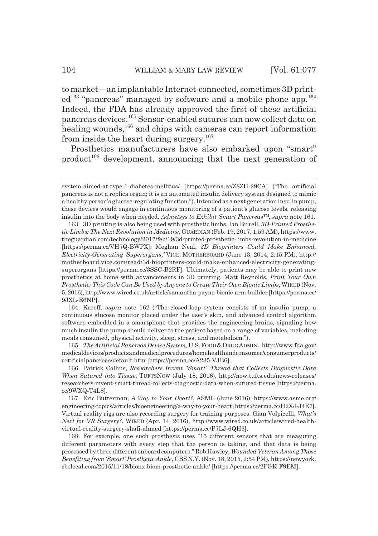to market—an implantable Internet-connected, sometimes 3D print $ed^{163}$  "pancreas" managed by software and a mobile phone app.<sup>164</sup> Indeed, the FDA has already approved the first of these artificial pancreas devices.165 Sensor-enabled sutures can now collect data on healing wounds,<sup>166</sup> and chips with cameras can report information from inside the heart during surgery.<sup>167</sup>

Prosthetics manufacturers have also embarked upon "smart" product<sup>168</sup> development, announcing that the next generation of

163. 3D printing is also being used with prosthetic limbs. Ian Birrell, *3D-Printed Prosthetic Limbs: The Next Revolution in Medicine*, GUARDIAN (Feb. 19, 2017, 1:59 AM), https://www. theguardian.com/technology/2017/feb/19/3d-printed-prosthetic-limbs-revolution-in-medicine [https://perma.cc/VH7Q-BWPX]; Meghan Neal, *3D Bioprinters Could Make Enhanced, Electricity-Generating 'Superorgans*,*'* VICE: MOTHERBOARD (June 13, 2014, 2:15 PM), http:// motherboard.vice.com/read/3d-bioprinters-could-make-enhanced-electricity-generatingsuperorgans [https://perma.cc/3SSC-B2RF]. Ultimately, patients may be able to print new prosthetics at home with advancements in 3D printing. Matt Reynolds, *Print Your Own Prosthetic: This Code Can Be Used by Anyone to Create Their Own Bionic Limbs*, WIRED (Nov. 5, 2016), http://www.wired.co.uk/article/samantha-payne-bionic-arm-builder [https://perma.cc/ 9JXL-E6NP].

164. Karoff, *supra* note 162 ("The closed-loop system consists of an insulin pump, a continuous glucose monitor placed under the user's skin, and advanced control algorithm software embedded in a smartphone that provides the engineering brains, signaling how much insulin the pump should deliver to the patient based on a range of variables, including meals consumed, physical activity, sleep, stress, and metabolism.").

165. *The Artificial Pancreas Device System*, U.S.FOOD &DRUG ADMIN., http://www.fda.gov/ medicaldevices/productsandmedicalprocedures/homehealthandconsumer/consumerproducts/ artificialpancreas/default.htm [https://perma.cc/A235-VJB6].

166. Patrick Collins, *Researchers Invent "Smart" Thread that Collects Diagnostic Data When Sutured into Tissue*, TUFTSNOW (July 18, 2016), http://now.tufts.edu/news-releases/ researchers-invent-smart-thread-collects-diagnostic-data-when-sutured-tissue [https://perma. cc/9WXQ-T4L8].

167. Eric Butterman, *A Way to Your Heart?*, ASME (June 2016), https://www.asme.org/ engineering-topics/articles/bioengineering/a-way-to-your-heart [https://perma.cc/H2XJ-J4E7]. Virtual reality rigs are also recording surgery for training purposes. Gian Volpicelli, *What's Next for VR Surgery?*, WIRED (Apr. 14, 2016), http://www.wired.co.uk/article/wired-healthvirtual-reality-surgery-shafi-ahmed [https://perma.cc/P7LJ-6QH3].

168. For example, one such prosthesis uses "15 different sensors that are measuring different parameters with every step that the person is taking, and that data is being processed by three different onboard computers." Rob Hawley, *Wounded Veteran Among Those Benefiting from 'Smart' Prosthetic Ankle*, CBS N.Y. (Nov. 18, 2015, 2:54 PM), https://newyork. cbslocal.com/2015/11/18/bionx-biom-prosthetic-ankle/ [https://perma.cc/2FGK-F9EM].

system-aimed-at-type-1-diabetes-mellitus/ [https://perma.cc/Z8ZH-29CA] ("The artificial pancreas is not a replica organ; it is an automated insulin delivery system designed to mimic a healthy person's glucose-regulating function."). Intended as a next generation insulin pump, these devices would engage in continuous monitoring of a patient's glucose levels, releasing insulin into the body when needed. *Admetsys to Exhibit Smart Pancreas™*, *supra* note 161.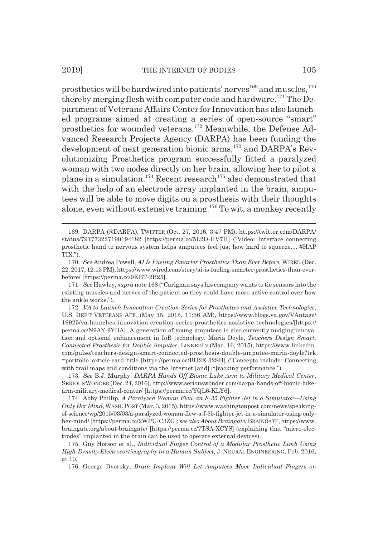prosthetics will be hardwired into patients' nerves<sup>169</sup> and muscles,  $170$ thereby merging flesh with computer code and hardware.<sup>171</sup> The Department of Veterans Affairs Center for Innovation has also launched programs aimed at creating a series of open-source "smart" prosthetics for wounded veterans.<sup>172</sup> Meanwhile, the Defense Advanced Research Projects Agency (DARPA) has been funding the development of next generation bionic arms,<sup>173</sup> and DARPA's Revolutionizing Prosthetics program successfully fitted a paralyzed woman with two nodes directly on her brain, allowing her to pilot a plane in a simulation.<sup>174</sup> Recent research<sup>175</sup> also demonstrated that with the help of an electrode array implanted in the brain, amputees will be able to move digits on a prosthesis with their thoughts alone, even without extensive training.<sup>176</sup> To wit, a monkey recently

173. *See* B.J. Murphy, *DARPA Hands Off Bionic Luke Arm to Military Medical Center*, SERIOUS WONDER (Dec. 24, 2016), http://www.seriouswonder.com/darpa-hands-off-bionic-lukearm-military-medical-center/ [https://perma.cc/YQL6-KLY6].

174. Abby Phillip, *A Paralyzed Woman Flew an F-35 Fighter Jet in a Simulator—Using Only Her Mind*, WASH.POST (Mar. 3, 2015), https://www.washingtonpost.com/news/speakingof-science/wp/2015/03/03/a-paralyzed-woman-flew-a-f-35-fighter-jet-in-a-simulator-using-onlyher-mind/ [https://perma.cc/2WPU-C3ZG]; *see also About Braingate*, BRAINGATE, https://www. braingate.org/about-braingate/ [https://perma.cc/7TSA-XCYS] (explaining that "micro-electrodes" implanted in the brain can be used to operate external devices).

175. Guy Hotson et al., *Individual Finger Control of a Modular Prosthetic Limb Using High-Density Electrocorticography in a Human Subject*, J. NEURAL ENGINEERING, Feb. 2016, at 10.

176. George Dvorsky, *Brain Implant Will Let Amputees Move Individual Fingers on*

<sup>169.</sup> DARPA (@DARPA), TWITTER (Oct. 27, 2016, 3:47 PM), https://twitter.com/DARPA/ status/791773227190194182 [https://perma.cc/5L2D-HV7H] ("Video: Interface connecting prosthetic hand to nervous system helps amputees feel just how hard to squeeze.... #HAP TIX.").

<sup>170.</sup> *See* Andrea Powell, *AI Is Fueling Smarter Prosthetics Than Ever Before*, WIRED (Dec. 22, 2017, 12:13 PM), https://www.wired.com/story/ai-is-fueling-smarter-prosthetics-than-everbefore/ [https://perma.cc/9KBT-2B25].

<sup>171.</sup> *See* Hawley, *supra* note 168 ("Carignan says his company wants to tie sensors into the existing muscles and nerves of the patient so they could have more active control over how the ankle works.").

<sup>172.</sup> *VA to Launch Innovation Creation Series for Prosthetics and Assistive Technologies*, U.S. DEP'T VETERANS AFF. (May 15, 2015, 11:56 AM), https://www.blogs.va.gov/VAntage/ 19925/va-launches-innovation-creation-series-prosthetics-assistive-technologies/ [https:// perma.cc/N9AY-9YDA]. A generation of young amputees is also currently nudging innovation and optional enhancement in IoB technology. Maria Doyle, *Teachers Design Smart, Connected Prosthesis for Double Amputee*, LINKEDIN (Mar. 16, 2015), https://www.linkedin. com/pulse/teachers-design-smart-connected-prosthesis-double-amputee-maria-doyle?trk =portfolio\_article-card\_title [https://perma.cc/BU2E-32SH] ("Concepts include: Connecting with trail maps and conditions via the Internet [and] [t]racking performance.").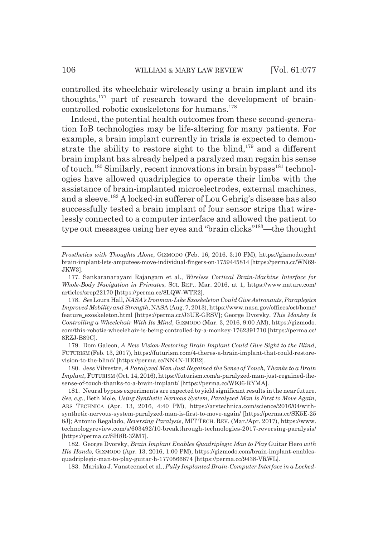controlled its wheelchair wirelessly using a brain implant and its thoughts,177 part of research toward the development of braincontrolled robotic exoskeletons for humans.178

Indeed, the potential health outcomes from these second-generation IoB technologies may be life-altering for many patients. For example, a brain implant currently in trials is expected to demonstrate the ability to restore sight to the blind, $179$  and a different brain implant has already helped a paralyzed man regain his sense of touch.<sup>180</sup> Similarly, recent innovations in brain bypass<sup>181</sup> technologies have allowed quadriplegics to operate their limbs with the assistance of brain-implanted microelectrodes, external machines, and a sleeve.<sup>182</sup> A locked-in sufferer of Lou Gehrig's disease has also successfully tested a brain implant of four sensor strips that wirelessly connected to a computer interface and allowed the patient to type out messages using her eyes and "brain clicks"183—the thought

178. *See* Loura Hall, *NASA's Ironman-Like Exoskeleton Could Give Astronauts, Paraplegics Improved Mobility and Strength*, NASA (Aug. 7, 2013), https://www.nasa.gov/offices/oct/home/ feature\_exoskeleton.html [https://perma.cc/J3UE-GRSV]; George Dvorsky, *This Monkey Is Controlling a Wheelchair With Its Mind*, GIZMODO (Mar. 3, 2016, 9:00 AM), https://gizmodo. com/this-robotic-wheelchair-is-being-controlled-by-a-monkey-1762391710 [https://perma.cc/ 8RZJ-B89C].

179. Dom Galeon, *A New Vision-Restoring Brain Implant Could Give Sight to the Blind*, FUTURISM (Feb. 13, 2017), https://futurism.com/4-theres-a-brain-implant-that-could-restorevision-to-the-blind/ [https://perma.cc/NN4N-HEB2].

180. Jess Vilvestre, *A Paralyzed Man Just Regained the Sense of Touch, Thanks to a Brain Implant*, FUTURISM (Oct. 14, 2016), https://futurism.com/a-paralyzed-man-just-regained-thesense-of-touch-thanks-to-a-brain-implant/ [https://perma.cc/W936-RYMA].

181. Neural bypass experiments are expected to yield significant results in the near future. *See, e.g.*, Beth Mole, *Using Synthetic Nervous System, Paralyzed Man Is First to Move Again*, ARS TECHNICA (Apr. 13, 2016, 4:40 PM), https://arstechnica.com/science/2016/04/withsynthetic-nervous-system-paralyzed-man-is-first-to-move-again/ [https://perma.cc/SK5E-25 8J]; Antonio Regalado, *Reversing Paralysis*, MIT TECH. REV. (Mar./Apr. 2017), https://www. technologyreview.com/s/603492/10-breakthrough-technologies-2017-reversing-paralysis/ [https://perma.cc/SH8R-3ZM7].

182. George Dvorsky, *Brain Implant Enables Quadriplegic Man to Play* Guitar Hero *with His Hands,* GIZMODO (Apr. 13, 2016, 1:00 PM), https://gizmodo.com/brain-implant-enablesquadriplegic-man-to-play-guitar-h-1770566874 [https://perma.cc/9438-VRWL].

183. Mariska J. Vansteensel et al., *Fully Implanted Brain-Computer Interface in a Locked-*

*Prosthetics with Thoughts Alone*, GIZMODO (Feb. 16, 2016, 3:10 PM), https://gizmodo.com/ brain-implant-lets-amputees-move-individual-fingers-on-1759445814 [https://perma.cc/WN69- JKW3].

<sup>177.</sup> Sankaranarayani Rajangam et al., *Wireless Cortical Brain-Machine Interface for Whole-Body Navigation in Primates*, SCI. REP., Mar. 2016, at 1, https://www.nature.com/ articles/srep22170 [https://perma.cc/8LQW-WTR2].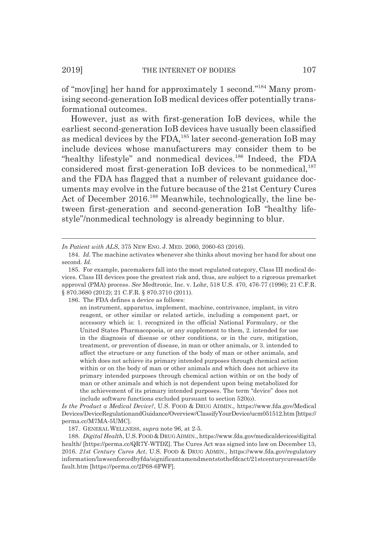of "mov[ing] her hand for approximately 1 second."184 Many promising second-generation IoB medical devices offer potentially transformational outcomes.

However, just as with first-generation IoB devices, while the earliest second-generation IoB devices have usually been classified as medical devices by the  $FDA$ ,<sup>185</sup> later second-generation IoB may include devices whose manufacturers may consider them to be "healthy lifestyle" and nonmedical devices.<sup>186</sup> Indeed, the FDA considered most first-generation IoB devices to be nonmedical, $^{187}$ and the FDA has flagged that a number of relevant guidance documents may evolve in the future because of the 21st Century Cures Act of December 2016.<sup>188</sup> Meanwhile, technologically, the line between first-generation and second-generation IoB "healthy lifestyle"/nonmedical technology is already beginning to blur.

186. The FDA defines a device as follows:

*Is the Product a Medical Device?*, U.S. FOOD & DRUG ADMIN., https://www.fda.gov/Medical Devices/DeviceRegulationandGuidance/Overview/ClassifyYourDevice/ucm051512.htm [https:// perma.cc/M7MA-5UMC].

187. GENERAL WELLNESS, *supra* note 96, at 2-5.

188. *Digital Health*, U.S.FOOD &DRUG ADMIN., https://www.fda.gov/medicaldevices/digital health/ [https://perma.cc/QR7Y-WTDZ]. The Cures Act was signed into law on December 13, 2016. *21st Century Cures Act*, U.S. FOOD & DRUG ADMIN., https://www.fda.gov/regulatory information/lawsenforcedbyfda/significantamendmentstothefdcact/21stcenturycuresact/de fault.htm [https://perma.cc/2P68-6FWF].

*In Patient with ALS*, 375 NEW ENG. J. MED. 2060, 2060-63 (2016).

<sup>184.</sup> *Id.* The machine activates whenever she thinks about moving her hand for about one second. *Id.*

<sup>185.</sup> For example, pacemakers fall into the most regulated category, Class III medical devices. Class III devices pose the greatest risk and, thus, are subject to a rigorous premarket approval (PMA) process. *See* Medtronic, Inc. v. Lohr, 518 U.S. 470, 476-77 (1996); 21 C.F.R. § 870.3680 (2012); 21 C.F.R. § 870.3710 (2011).

an instrument, apparatus, implement, machine, contrivance, implant, in vitro reagent, or other similar or related article, including a component part, or accessory which is: 1. recognized in the official National Formulary, or the United States Pharmacopoeia, or any supplement to them, 2. intended for use in the diagnosis of disease or other conditions, or in the cure, mitigation, treatment, or prevention of disease, in man or other animals, or 3. intended to affect the structure or any function of the body of man or other animals, and which does not achieve its primary intended purposes through chemical action within or on the body of man or other animals and which does not achieve its primary intended purposes through chemical action within or on the body of man or other animals and which is not dependent upon being metabolized for the achievement of its primary intended purposes. The term "device" does not include software functions excluded pursuant to section 520(o).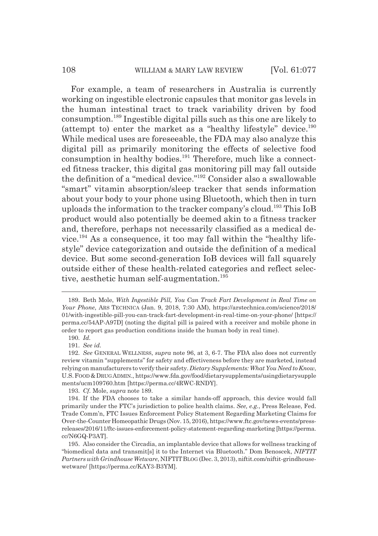# 108 WILLIAM & MARY LAW REVIEW [Vol. 61:077

For example, a team of researchers in Australia is currently working on ingestible electronic capsules that monitor gas levels in the human intestinal tract to track variability driven by food consumption.189 Ingestible digital pills such as this one are likely to (attempt to) enter the market as a "healthy lifestyle" device. $190$ While medical uses are foreseeable, the FDA may also analyze this digital pill as primarily monitoring the effects of selective food consumption in healthy bodies.<sup>191</sup> Therefore, much like a connected fitness tracker, this digital gas monitoring pill may fall outside the definition of a "medical device."192 Consider also a swallowable "smart" vitamin absorption/sleep tracker that sends information about your body to your phone using Bluetooth, which then in turn uploads the information to the tracker company's cloud.193 This IoB product would also potentially be deemed akin to a fitness tracker and, therefore, perhaps not necessarily classified as a medical device.<sup>194</sup> As a consequence, it too may fall within the "healthy lifestyle" device categorization and outside the definition of a medical device. But some second-generation IoB devices will fall squarely outside either of these health-related categories and reflect selective, aesthetic human self-augmentation.<sup>195</sup>

190. *Id.*

191. *See id.*

193. *Cf.* Mole, *supra* note 189.

<sup>189.</sup> Beth Mole, *With Ingestible Pill, You Can Track Fart Development in Real Time on Your Phone*, ARS TECHNICA (Jan. 9, 2018, 7:30 AM), https://arstechnica.com/science/2018/ 01/with-ingestible-pill-you-can-track-fart-development-in-real-time-on-your-phone/ [https:// perma.cc/54AP-A97D] (noting the digital pill is paired with a receiver and mobile phone in order to report gas production conditions inside the human body in real time).

<sup>192.</sup> *See* GENERAL WELLNESS, *supra* note 96, at 3, 6-7. The FDA also does not currently review vitamin "supplements" for safety and effectiveness before they are marketed, instead relying on manufacturers to verify their safety. *Dietary Supplements: What You Need to Know*, U.S.FOOD &DRUG ADMIN., https://www.fda.gov/food/dietarysupplements/usingdietarysupple ments/ucm109760.htm [https://perma.cc/4RWC-RNDY].

<sup>194.</sup> If the FDA chooses to take a similar hands-off approach, this device would fall primarily under the FTC's jurisdiction to police health claims. *See, e.g.*, Press Release, Fed. Trade Comm'n, FTC Issues Enforcement Policy Statement Regarding Marketing Claims for Over-the-Counter Homeopathic Drugs (Nov. 15, 2016), https://www.ftc.gov/news-events/pressreleases/2016/11/ftc-issues-enforcement-policy-statement-regarding-marketing [https://perma. cc/N6GQ-P3AT].

<sup>195.</sup> Also consider the Circadia, an implantable device that allows for wellness tracking of "biomedical data and transmit[s] it to the Internet via Bluetooth." Dom Benoscek, *NIFTIT Partners with Grindhouse Wetware*, NIFTITBLOG (Dec. 3, 2013), niftit.com/niftit-grindhousewetware/ [https://perma.cc/KAY3-B3YM].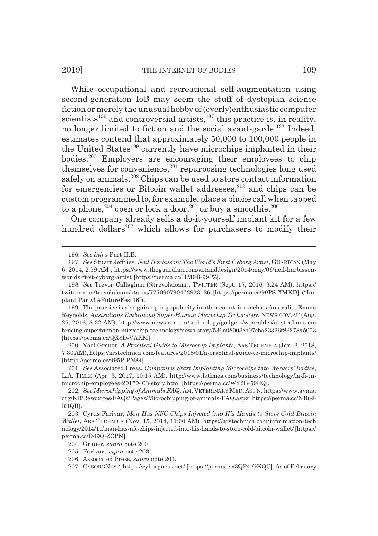While occupational and recreational self-augmentation using second-generation IoB may seem the stuff of dystopian science fiction or merely the unusual hobby of (overly)enthusiastic computer scientists<sup>196</sup> and controversial artists,<sup>197</sup> this practice is, in reality, no longer limited to fiction and the social avant-garde.198 Indeed, estimates contend that approximately 50,000 to 100,000 people in the United States<sup>199</sup> currently have microchips implanted in their bodies.200 Employers are encouraging their employees to chip themselves for convenience, $^{201}$  repurposing technologies long used safely on animals.<sup>202</sup> Chips can be used to store contact information for emergencies or Bitcoin wallet addresses, $203$  and chips can be custom programmed to, for example, place a phone call when tapped to a phone,<sup>204</sup> open or lock a door,<sup>205</sup> or buy a smoothie.<sup>206</sup>

One company already sells a do-it-yourself implant kit for a few hundred dollars<sup>207</sup> which allows for purchasers to modify their

200. Yael Grauer, *A Practical Guide to Microchip Implants*, ARS TECHNICA (Jan. 3, 2018, 7:30 AM), https://arstechnica.com/features/2018/01/a-practical-guide-to-microchip-implants/ [https://perma.cc/995P-PN84].

201. *See* Associated Press, *Companies Start Implanting Microchips into Workers' Bodies*, L.A. TIMES (Apr. 3, 2017, 10:15 AM), http://www.latimes.com/business/technology/la-fi-tnmicrochip-employees-20170403-story.html [https://perma.cc/WY2B-59RQ].

<sup>196.</sup> *See infra* Part II.B.

<sup>197.</sup> *See* Stuart Jeffries, *Neil Harbisson: The World's First Cyborg Artist*, GUARDIAN (May 6, 2014, 2:59 AM), https://www.theguardian.com/artanddesign/2014/may/06/neil-harbissonworlds-first-cyborg-artist [https://perma.cc/HM9B-99PZ].

<sup>198.</sup> *See* Trevor Callaghan (@trevolafoam), TWITTER (Sept. 17, 2016, 3:24 AM), https:// twitter.com/trevolafoam/status/777090730472923136 [https://perma.cc/99PS-XMKD] ("Implant Party! #FutureFest16").

<sup>199.</sup> The practice is also gaining in popularity in other countries such as Australia. Emma Reynolds, *Australians Embracing Super-Human Microchip Technology*, NEWS.COM.AU (Aug. 25, 2016, 8:32 AM), http://www.news.com.au/technology/gadgets/wearables/australians-em bracing-superhuman-microchip-technology/news-story/536a08003cb07cba23336f83278a5003 [https://perma.cc/QX8D-VAKM].

<sup>202.</sup> *See Microchipping of Animals FAQ*, AM. VETERINARY MED. ASS'N, https://www.avma. org/KB/Resources/FAQs/Pages/Microchipping-of-animals-FAQ.aspx [https://perma.cc/NB6J-R3QB].

<sup>203.</sup> Cyrus Farivar, *Man Has NFC Chips Injected into His Hands to Store Cold Bitcoin Wallet*, ARS TECHNICA (Nov. 15, 2014, 11:00 AM), https://arstechnica.com/information-tech nology/2014/11/man-has-nfc-chips-injected-into-his-hands-to-store-cold-bitcoin-wallet/ [https:// perma.cc/D49Q-ZCPN].

<sup>204.</sup> Grauer, *supra* note 200.

<sup>205.</sup> Farivar, *supra* note 203.

<sup>206.</sup> Associated Press, *supra* note 201.

<sup>207.</sup> CYBORGNEST, https://cyborgnest.net/ [https://perma.cc/3QP4-GKQC]. As of February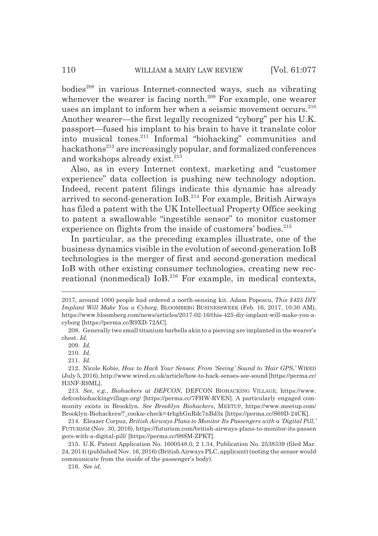$b$ odies<sup>208</sup> in various Internet-connected ways, such as vibrating whenever the wearer is facing north.<sup>209</sup> For example, one wearer uses an implant to inform her when a seismic movement occurs. $^{210}$ Another wearer—the first legally recognized "cyborg" per his U.K. passport—fused his implant to his brain to have it translate color into musical tones.211 Informal "biohacking" communities and hackathons<sup>212</sup> are increasingly popular, and formalized conferences and workshops already exist.<sup>213</sup>

Also, as in every Internet context, marketing and "customer experience" data collection is pushing new technology adoption. Indeed, recent patent filings indicate this dynamic has already arrived to second-generation IoB.214 For example, British Airways has filed a patent with the UK Intellectual Property Office seeking to patent a swallowable "ingestible sensor" to monitor customer experience on flights from the inside of customers' bodies.<sup>215</sup>

In particular, as the preceding examples illustrate, one of the business dynamics visible in the evolution of second-generation IoB technologies is the merger of first and second-generation medical IoB with other existing consumer technologies, creating new recreational (nonmedical) IoB.<sup>216</sup> For example, in medical contexts,

<sup>2017,</sup> around 1000 people had ordered a north-sensing kit. Adam Popescu, *This \$425 DIY Implant Will Make You a Cyborg*, BLOOMBERG BUSINESSWEEK (Feb. 16, 2017, 10:30 AM), https://www.bloomberg.com/news/articles/2017-02-16/this-425-diy-implant-will-make-you-acyborg [https://perma.cc/R9XD-72AC].

<sup>208.</sup> Generally two small titanium barbells akin to a piercing are implanted in the wearer's chest. *Id.*

<sup>209.</sup> *Id.*

<sup>210.</sup> *Id.*

<sup>211.</sup> *Id.*

<sup>212.</sup> Nicole Kobie*, How to Hack Your Senses: From 'Seeing' Sound to 'Hair GPS*,*'* WIRED (July 5, 2016), http://www.wired.co.uk/article/how-to-hack-senses-see-sound [https://perma.cc/ H3NF-R9ML].

<sup>213.</sup> *See, e.g.*, *Biohackers at DEFCON*, DEFCON BIOHACKING VILLAGE, https://www. defconbiohackingvillage.org/ [https://perma.cc/7FHW-RVEN]. A particularly engaged community exists in Brooklyn. *See Brooklyn Biohackers*, MEETUP, https://www.meetup.com/ Brooklyn-Biohackers/?\_cookie-check=4rhghGnRdc7nBd3x [https://perma.cc/S69D-24CK].

<sup>214.</sup> Eleazer Corpuz, *British Airways Plans to Monitor Its Passengers with a 'Digital Pill*,*'* FUTURISM (Nov. 30, 2016), https://futurism.com/british-airways-plans-to-monitor-its-passen gers-with-a-digital-pill/ [https://perma.cc/98SM-ZPKT].

<sup>215.</sup> U.K. Patent Application No. 1600548.0, 2 1.34, Publication No. 2538339 (filed Mar. 24, 2014) (published Nov. 16, 2016) (British Airways PLC, applicant) (noting the sensor would communicate from the inside of the passenger's body).

<sup>216.</sup> *See id.*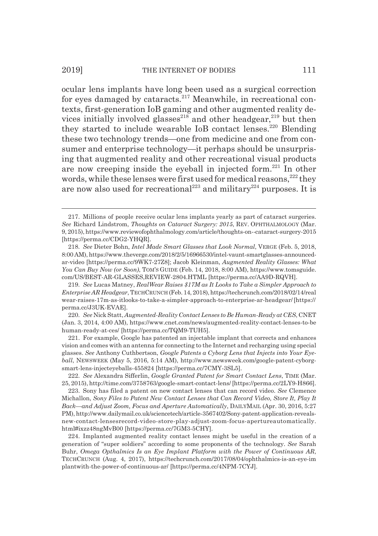ocular lens implants have long been used as a surgical correction for eyes damaged by cataracts.<sup>217</sup> Meanwhile, in recreational contexts, first-generation IoB gaming and other augmented reality devices initially involved glasses<sup>218</sup> and other headgear,<sup>219</sup> but then they started to include wearable  $I_0$ B contact lenses.<sup>220</sup> Blending these two technology trends—one from medicine and one from consumer and enterprise technology—it perhaps should be unsurprising that augmented reality and other recreational visual products are now creeping inside the eyeball in injected form.<sup>221</sup> In other words, while these lenses were first used for medical reasons,  $222$  they are now also used for recreational<sup>223</sup> and military<sup>224</sup> purposes. It is

220. *See* Nick Statt, *Augmented-Reality Contact Lenses to Be Human-Ready at CES*, CNET (Jan. 3, 2014, 4:00 AM), https://www.cnet.com/news/augmented-reality-contact-lenses-to-be human-ready-at-ces/ [https://perma.cc/TQM9-TUH5].

221. For example, Google has patented an injectable implant that corrects and enhances vision and comes with an antenna for connecting to the Internet and recharging using special glasses. *See* Anthony Cuthbertson, *Google Patents a Cyborg Lens that Injects into Your Eyeball*, NEWSWEEK (May 5, 2016, 5:14 AM), http://www.newsweek.com/google-patent-cyborgsmart-lens-injecteyeballs-455824 [https://perma.cc/7CMY-3SL5].

222. *See* Alexandra Sifferlin, *Google Granted Patent for Smart Contact Lens*, TIME (Mar. 25, 2015), http://time.com/3758763/google-smart-contact-lens/ [https://perma.cc/2LY9-H866].

223. Sony has filed a patent on new contact lenses that can record video. *See* Clemence Michallon, *Sony Files to Patent New Contact Lenses that Can Record Video, Store It, Play It Back—and Adjust Zoom, Focus and Aperture Automatically*, DAILYMAIL (Apr. 30, 2016, 5:27 PM), http://www.dailymail.co.uk/sciencetech/article-3567402/Sony-patent-application-revealsnew-contact-lensesrecord-video-store-play-adjust-zoom-focus-apertureautomatically. html#ixzz48ngMvB00 [https://perma.cc/7GM3-5CHY].

224. Implanted augmented reality contact lenses might be useful in the creation of a generation of "super soldiers" according to some proponents of the technology. *See* Sarah Buhr, *Omega Opthalmics Is an Eye Implant Platform with the Power of Continuous AR*, TECHCRUNCH (Aug. 4, 2017), https://techcrunch.com/2017/08/04/ophthalmics-is-an-eye-im plantwith-the-power-of-continuous-ar/ [https://perma.cc/4NPM-7CYJ].

<sup>217.</sup> Millions of people receive ocular lens implants yearly as part of cataract surgeries. *See* Richard Lindstrom, *Thoughts on Cataract Surgery: 2015*, REV. OPHTHALMOLOGY (Mar. 9, 2015), https://www.reviewofophthalmology.com/article/thoughts-on--cataract-surgery-2015 [https://perma.cc/CDG2-YHQR].

<sup>218.</sup> *See* Dieter Bohn, *Intel Made Smart Glasses that Look Normal*, VERGE (Feb. 5, 2018, 8:00 AM), https://www.theverge.com/2018/2/5/16966530/intel-vaunt-smartglasses-announcedar-video [https://perma.cc/9WK7-27Z8]; Jacob Kleinman, *Augmented Reality Glasses: What You Can Buy Now (or Soon)*, TOM'S GUIDE (Feb. 14, 2018, 8:00 AM), https://www.tomsguide. com/US/BEST-AR-GLASSES,REVIEW-2804.HTML [https://perma.cc/AA9D-RQVH].

<sup>219.</sup> *See* Lucas Matney, *RealWear Raises \$17M as It Looks to Take a Simpler Approach to Enterprise AR Headgear*, TECHCRUNCH (Feb. 14, 2018), https://techcrunch.com/2018/02/14/real wear-raises-17m-as-itlooks-to-take-a-simpler-approach-to-enterprise-ar-headgear/ [https:// perma.cc/J3UK-EVAE].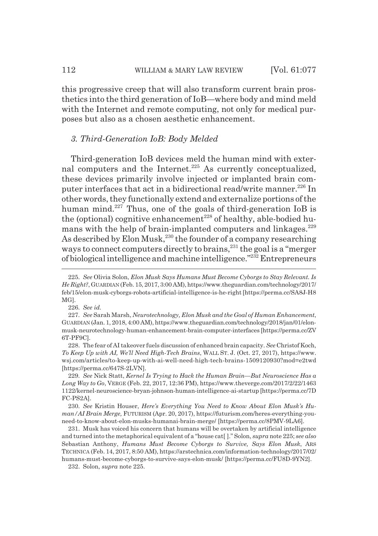this progressive creep that will also transform current brain prosthetics into the third generation of IoB—where body and mind meld with the Internet and remote computing, not only for medical purposes but also as a chosen aesthetic enhancement.

## *3. Third-Generation IoB: Body Melded*

Third-generation IoB devices meld the human mind with external computers and the Internet. $225$  As currently conceptualized, these devices primarily involve injected or implanted brain computer interfaces that act in a bidirectional read/write manner.<sup>226</sup> In other words, they functionally extend and externalize portions of the human mind.<sup>227</sup> Thus, one of the goals of third-generation IoB is the (optional) cognitive enhancement<sup>228</sup> of healthy, able-bodied humans with the help of brain-implanted computers and linkages.<sup>229</sup> As described by Elon Musk,<sup>230</sup> the founder of a company researching ways to connect computers directly to brains,<sup>231</sup> the goal is a "merger" of biological intelligence and machine intelligence."232 Entrepreneurs

226. *See id.*

<sup>225.</sup> *See* Olivia Solon, *Elon Musk Says Humans Must Become Cyborgs to Stay Relevant. Is He Right?*, GUARDIAN (Feb. 15, 2017, 3:00 AM), https://www.theguardian.com/technology/2017/ feb/15/elon-musk-cyborgs-robots-artificial-intelligence-is-he-right [https://perma.cc/SA8J-H8 MG].

<sup>227.</sup> *See* Sarah Marsh, *Neurotechnology, Elon Musk and the Goal of Human Enhancement*, GUARDIAN (Jan. 1, 2018, 4:00 AM), https://www.theguardian.com/technology/2018/jan/01/elonmusk-neurotechnology-human-enhancement-brain-computer-interfaces [https://perma.cc/ZV 6T-PF9C].

<sup>228.</sup> The fear of AI takeover fuels discussion of enhanced brain capacity. *See* Christof Koch, *To Keep Up with AI, We'll Need High-Tech Brains*, WALL ST. J. (Oct. 27, 2017), https://www. wsj.com/articles/to-keep-up-with-ai-well-need-high-tech-brains-1509120930?mod=e2twd [https://perma.cc/647S-2LVN].

<sup>229.</sup> *See* Nick Statt, *Kernel Is Trying to Hack the Human Brain—But Neuroscience Has a Long Way to Go*, VERGE (Feb. 22, 2017, 12:36 PM), https://www.theverge.com/2017/2/22/1463 1122/kernel-neuroscience-bryan-johnson-human-intelligence-ai-startup [https://perma.cc/7D FC-PS2A].

<sup>230.</sup> *See* Kristin Houser, *Here's Everything You Need to Know About Elon Musk's Human/AI Brain Merge,* FUTURISM (Apr. 20, 2017), https://futurism.com/heres-everything-youneed-to-know-about-elon-musks-humanai-brain-merge/ [https://perma.cc/8PMV-9LA6].

<sup>231.</sup> Musk has voiced his concern that humans will be overtaken by artificial intelligence and turned into the metaphorical equivalent of a "house cat[ ]." Solon, *supra* note 225; *see also* Sebastian Anthony, *Humans Must Become Cyborgs to Survive, Says Elon Musk*, ARS TECHNICA (Feb. 14, 2017, 8:50 AM), https://arstechnica.com/information-technology/2017/02/ humans-must-become-cyborgs-to-survive-says-elon-musk/ [https://perma.cc/FU8D-9YN2].

<sup>232.</sup> Solon, *supra* note 225.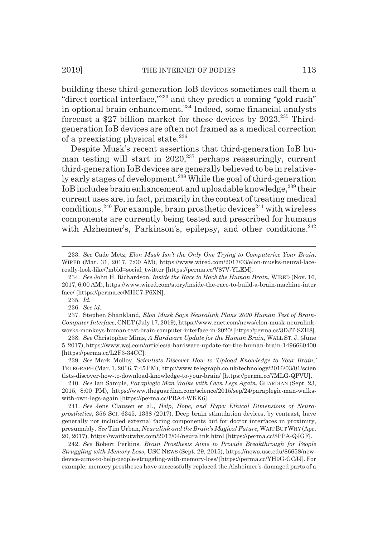building these third-generation IoB devices sometimes call them a "direct cortical interface,"<sup>233</sup> and they predict a coming "gold rush" in optional brain enhancement.<sup>234</sup> Indeed, some financial analysts forecast a \$27 billion market for these devices by  $2023$ <sup>235</sup> Thirdgeneration IoB devices are often not framed as a medical correction of a preexisting physical state.<sup>236</sup>

Despite Musk's recent assertions that third-generation IoB human testing will start in  $2020$ ,<sup>237</sup> perhaps reassuringly, current third-generation IoB devices are generally believed to be in relatively early stages of development.<sup>238</sup> While the goal of third-generation IoB includes brain enhancement and uploadable knowledge, $^{239}$  their current uses are, in fact, primarily in the context of treating medical conditions.<sup>240</sup> For example, brain prosthetic devices<sup>241</sup> with wireless components are currently being tested and prescribed for humans with Alzheimer's, Parkinson's, epilepsy, and other conditions.<sup>242</sup>

<sup>233.</sup> *See* Cade Metz, *Elon Musk Isn't the Only One Trying to Computerize Your Brain*, WIRED (Mar. 31, 2017, 7:00 AM), https://www.wired.com/2017/03/elon-musks-neural-lacereally-look-like/?mbid=social\_twitter [https://perma.cc/V87V-YLEM].

<sup>234.</sup> *See* John H. Richardson, *Inside the Race to Hack the Human Brain*, WIRED (Nov. 16, 2017, 6:00 AM), https://www.wired.com/story/inside-the-race-to-build-a-brain-machine-inter face/ [https://perma.cc/MHC7-P6XN].

<sup>235.</sup> *Id.*

<sup>236.</sup> *See id.*

<sup>237.</sup> Stephen Shankland, *Elon Musk Says Neuralink Plans 2020 Human Test of Brain-Computer Interface*, CNET (July 17, 2019), https://www.cnet.com/news/elon-musk-neuralinkworks-monkeys-human-test-brain-computer-interface-in-2020/ [https://perma.cc/3DJT-SZH8].

<sup>238.</sup> *See* Christopher Mims, *A Hardware Update for the Human Brain*, WALL ST. J. (June 5, 2017), https://www.wsj.com/articles/a-hardware-update-for-the-human-brain-1496660400 [https://perma.cc/L2F3-34CC].

<sup>239.</sup> *See* Mark Molloy, *Scientists Discover How to 'Upload Knowledge to Your Brain*,*'* TELEGRAPH (Mar. 1, 2016, 7:45 PM), http://www.telegraph.co.uk/technology/2016/03/01/scien tists-discover-how-to-download-knowledge-to-your-brain/ [https://perma.cc/7MLG-QPVU].

<sup>240.</sup> *See* Ian Sample, *Paraplegic Man Walks with Own Legs Again*, GUARDIAN (Sept. 23, 2015, 8:00 PM), https://www.theguardian.com/science/2015/sep/24/paraplegic-man-walkswith-own-legs-again [https://perma.cc/PRA4-WKK6].

<sup>241.</sup> *See* Jens Clausen et al., *Help, Hope, and Hype: Ethical Dimensions of Neuroprosthetics*, 356 SCI. 6345, 1338 (2017). Deep brain stimulation devices, by contrast, have generally not included external facing components but for doctor interfaces in proximity, presumably. *See* Tim Urban, *Neuralink and the Brain's Magical Future*, WAIT BUT WHY (Apr. 20, 2017), https://waitbutwhy.com/2017/04/neuralink.html [https://perma.cc/8PPA-QJGF].

<sup>242.</sup> *See* Robert Perkins, *Brain Prosthesis Aims to Provide Breakthrough for People Struggling with Memory Loss*, USC NEWS (Sept. 29, 2015), https://news.usc.edu/86658/newdevice-aims-to-help-people-struggling-with-memory-loss/ [https://perma.cc/YH9G-GCJJ]. For example, memory prostheses have successfully replaced the Alzheimer's-damaged parts of a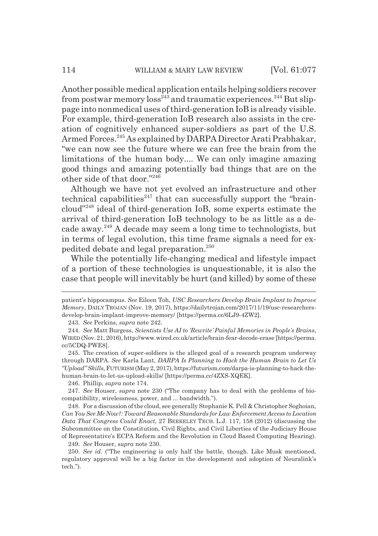Another possible medical application entails helping soldiers recover from postwar memory  $loss^{243}$  and traumatic experiences.<sup>244</sup> But slippage into nonmedical uses of third-generation IoB is already visible. For example, third-generation IoB research also assists in the creation of cognitively enhanced super-soldiers as part of the U.S. Armed Forces.<sup>245</sup> As explained by DARPA Director Arati Prabhakar, "we can now see the future where we can free the brain from the limitations of the human body.... We can only imagine amazing good things and amazing potentially bad things that are on the other side of that door."246

Although we have not yet evolved an infrastructure and other technical capabilities<sup>247</sup> that can successfully support the "braincloud"248 ideal of third-generation IoB, some experts estimate the arrival of third-generation IoB technology to be as little as a decade away.249 A decade may seem a long time to technologists, but in terms of legal evolution, this time frame signals a need for expedited debate and legal preparation.<sup>250</sup>

While the potentially life-changing medical and lifestyle impact of a portion of these technologies is unquestionable, it is also the case that people will inevitably be hurt (and killed) by some of these

243. *See* Perkins, *supra* note 242.

246. Phillip, *supra* note 174.

247. *See* Houser, *supra* note 230 ("The company has to deal with the problems of biocompatibility, wirelessness, power, and ... bandwidth.").

248. For a discussion of the cloud, see generally Stephanie K. Pell & Christopher Soghoian, *Can You See Me Now?: Toward Reasonable Standards for Law Enforcement Access to Location Data That Congress Could Enact*, 27 BERKELEY TECH. L.J. 117, 158 (2012) (discussing the Subcommittee on the Constitution, Civil Rights, and Civil Liberties of the Judiciary House of Representative's ECPA Reform and the Revolution in Cloud Based Computing Hearing).

249. *See* Houser, *supra* note 230.

patient's hippocampus. *See* Eileen Toh, *USC Researchers Develop Brain Implant to Improve Memory*, DAILY TROJAN (Nov. 19, 2017), https://dailytrojan.com/2017/11/19/usc-researchersdevelop-brain-implant-improve-memory/ [https://perma.cc/6LJ9-4ZW2].

<sup>244.</sup> *See* Matt Burgess, *Scientists Use AI to 'Rewrite' Painful Memories in People's Brains*, WIRED (Nov. 21, 2016), http://www.wired.co.uk/article/brain-fear-decode-erase [https://perma. cc/5CDQ-PWE8].

<sup>245.</sup> The creation of super-soldiers is the alleged goal of a research program underway through DARPA. *See* Karla Lant, *DARPA Is Planning to Hack the Human Brain to Let Us "Upload" Skills*, FUTURISM (May 2, 2017), https://futurism.com/darpa-is-planning-to-hack-thehuman-brain-to-let-us-upload-skills/ [https://perma.cc/4ZXS-XQEK].

<sup>250.</sup> *See id.* ("The engineering is only half the battle, though. Like Musk mentioned, regulatory approval will be a big factor in the development and adoption of Neuralink's tech.").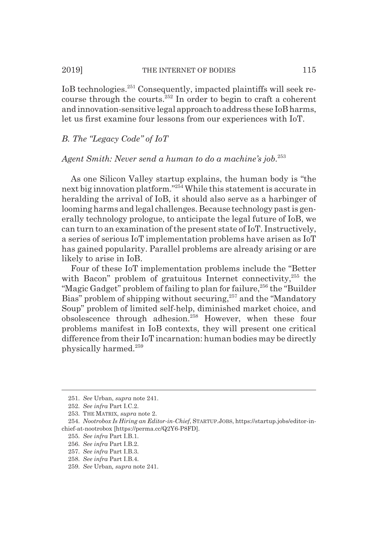#### 2019] THE INTERNET OF BODIES 115

IoB technologies.251 Consequently, impacted plaintiffs will seek recourse through the courts.<sup>252</sup> In order to begin to craft a coherent and innovation-sensitive legal approach to address these IoB harms, let us first examine four lessons from our experiences with IoT.

# *B. The "Legacy Code" of IoT*

# *Agent Smith: Never send a human to do a machine's job.*<sup>253</sup>

As one Silicon Valley startup explains, the human body is "the next big innovation platform."254 While this statement is accurate in heralding the arrival of IoB, it should also serve as a harbinger of looming harms and legal challenges. Because technology past is generally technology prologue, to anticipate the legal future of IoB, we can turn to an examination of the present state of IoT. Instructively, a series of serious IoT implementation problems have arisen as IoT has gained popularity. Parallel problems are already arising or are likely to arise in IoB.

Four of these IoT implementation problems include the "Better with Bacon" problem of gratuitous Internet connectivity,<sup>255</sup> the "Magic Gadget" problem of failing to plan for failure,<sup>256</sup> the "Builder" Bias" problem of shipping without securing,257 and the "Mandatory Soup" problem of limited self-help, diminished market choice, and obsolescence through adhesion.258 However, when these four problems manifest in IoB contexts, they will present one critical difference from their IoT incarnation: human bodies may be directly physically harmed.259

<sup>251.</sup> *See* Urban, *supra* note 241.

<sup>252.</sup> *See infra* Part I.C.2.

<sup>253.</sup> THE MATRIX, *supra* note 2.

<sup>254.</sup> *Nootrobox Is Hiring an Editor-in-Chief*, STARTUP.JOBS, https://startup.jobs/editor-inchief-at-nootrobox [https://perma.cc/Q2Y6-P8FD].

<sup>255.</sup> *See infra* Part I.B.1.

<sup>256.</sup> *See infra* Part I.B.2.

<sup>257.</sup> *See infra* Part I.B.3.

<sup>258.</sup> *See infra* Part I.B.4.

<sup>259.</sup> *See* Urban*, supra* note 241.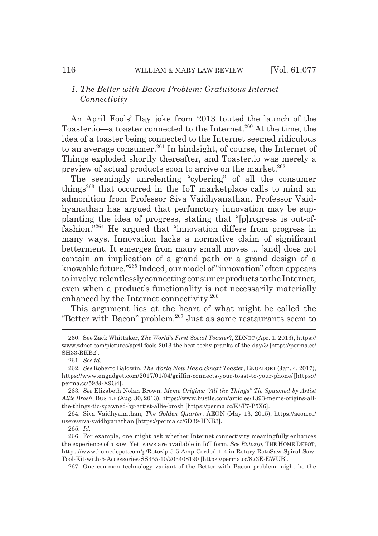# *1. The Better with Bacon Problem: Gratuitous Internet Connectivity*

An April Fools' Day joke from 2013 touted the launch of the Toaster.io—a toaster connected to the Internet.<sup>260</sup> At the time, the idea of a toaster being connected to the Internet seemed ridiculous to an average consumer.<sup>261</sup> In hindsight, of course, the Internet of Things exploded shortly thereafter, and Toaster.io was merely a preview of actual products soon to arrive on the market. $262$ 

The seemingly unrelenting "cybering" of all the consumer things<sup>263</sup> that occurred in the IoT marketplace calls to mind an admonition from Professor Siva Vaidhyanathan. Professor Vaidhyanathan has argued that perfunctory innovation may be supplanting the idea of progress, stating that "[p]rogress is out-offashion."264 He argued that "innovation differs from progress in many ways. Innovation lacks a normative claim of significant betterment. It emerges from many small moves ... [and] does not contain an implication of a grand path or a grand design of a knowable future."265 Indeed, our model of "innovation" often appears to involve relentlessly connecting consumer products to the Internet, even when a product's functionality is not necessarily materially enhanced by the Internet connectivity.<sup>266</sup>

This argument lies at the heart of what might be called the "Better with Bacon" problem.<sup>267</sup> Just as some restaurants seem to

<sup>260.</sup> See Zack Whittaker, *The World's First Social Toaster*?, ZDNET (Apr. 1, 2013), https:// www.zdnet.com/pictures/april-fools-2013-the-best-techy-pranks-of-the-day/3/ [https://perma.cc/ SH33-RKB2].

<sup>261.</sup> *See id.*

<sup>262.</sup> *See* Roberto Baldwin, *The World Now Has a Smart Toaster*, ENGADGET (Jan. 4, 2017), https://www.engadget.com/2017/01/04/griffin-connects-your-toast-to-your-phone/ [https:// perma.cc/598J-X9G4].

<sup>263.</sup> *See* Elizabeth Nolan Brown, *Meme Origins: "All the Things" Tic Spawned by Artist Allie Brosh*, BUSTLE (Aug. 30, 2013), https://www.bustle.com/articles/4393-meme-origins-allthe-things-tic-spawned-by-artist-allie-brosh [https://perma.cc/K8T7-P5X6].

<sup>264.</sup> Siva Vaidhyanathan, *The Golden Quarter*, AEON (May 13, 2015), https://aeon.co/ users/siva-vaidhyanathan [https://perma.cc/6D39-HNB3].

<sup>265.</sup> *Id.*

<sup>266.</sup> For example, one might ask whether Internet connectivity meaningfully enhances the experience of a saw. Yet, saws are available in IoT form. *See Rotozip*, THE HOME DEPOT, https://www.homedepot.com/p/Rotozip-5-5-Amp-Corded-1-4-in-Rotary-RotoSaw-Spiral-Saw-Tool-Kit-with-5-Accessories-SS355-10/203408190 [https://perma.cc/873E-EWUB].

<sup>267.</sup> One common technology variant of the Better with Bacon problem might be the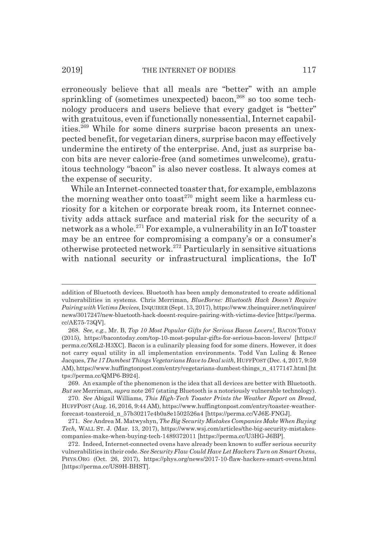erroneously believe that all meals are "better" with an ample sprinkling of (sometimes unexpected) bacon,<sup>268</sup> so too some technology producers and users believe that every gadget is "better" with gratuitous, even if functionally nonessential, Internet capabilities.<sup>269</sup> While for some diners surprise bacon presents an unexpected benefit, for vegetarian diners, surprise bacon may effectively undermine the entirety of the enterprise. And, just as surprise bacon bits are never calorie-free (and sometimes unwelcome), gratuitous technology "bacon" is also never costless. It always comes at the expense of security.

While an Internet-connected toaster that, for example, emblazons the morning weather onto toast<sup>270</sup> might seem like a harmless curiosity for a kitchen or corporate break room, its Internet connectivity adds attack surface and material risk for the security of a network as a whole.271 For example, a vulnerability in an IoT toaster may be an entree for compromising a company's or a consumer's otherwise protected network.<sup>272</sup> Particularly in sensitive situations with national security or infrastructural implications, the IoT

addition of Bluetooth devices. Bluetooth has been amply demonstrated to create additional vulnerabilities in systems. Chris Merriman, *BlueBorne: Bluetooth Hack Doesn't Require Pairing with Victims Devices,* INQUIRER (Sept. 13, 2017), https://www.theinquirer.net/inquirer/ news/3017247/new-bluetooth-hack-doesnt-require-pairing-with-victims-device [https://perma. cc/AE75-73QV].

<sup>268.</sup> *See, e.g.*, Mr. B, *Top 10 Most Popular Gifts for Serious Bacon Lovers!*, BACON TODAY (2015), https://bacontoday.com/top-10-most-popular-gifts-for-serious-bacon-lovers/ [https:// perma.cc/X6L2-H3XC]. Bacon is a culinarily pleasing food for some diners. However, it does not carry equal utility in all implementation environments. Todd Van Luling & Renee Jacques, *The 17 Dumbest Things Vegetarians Have to Deal with,* HUFFPOST (Dec. 4, 2017, 9:59 AM), https://www.huffingtonpost.com/entry/vegetarians-dumbest-things\_n\_4177147.html [ht tps://perma.cc/QMP6-B924].

<sup>269.</sup> An example of the phenomenon is the idea that all devices are better with Bluetooth. *But see* Merriman, *supra* note 267 (stating Bluetooth is a notoriously vulnerable technology).

<sup>270.</sup> *See* Abigail Williams, *This High-Tech Toaster Prints the Weather Report on Bread,* HUFFPOST (Aug. 16, 2016, 9:44 AM), https://www.huffingtonpost.com/entry/toaster-weatherforecast-toasteroid\_n\_57b30217e4b0a8e1502526a4 [https://perma.cc/VJ6E-FNGJ].

<sup>271.</sup> *See* Andrea M. Matwyshyn, *The Big Security Mistakes Companies Make When Buying Tech,* WALL ST. J. (Mar. 13, 2017), https://www.wsj.com/articles/the-big-security-mistakescompanies-make-when-buying-tech-1489372011 [https://perma.cc/U3HG-J6BP].

<sup>272.</sup> Indeed, Internet-connected ovens have already been known to suffer serious security vulnerabilities in their code. *See Security Flaw Could Have Let Hackers Turn on Smart Ovens*, PHYS.ORG (Oct. 26, 2017), https://phys.org/news/2017-10-flaw-hackers-smart-ovens.html [https://perma.cc/US9H-BHST].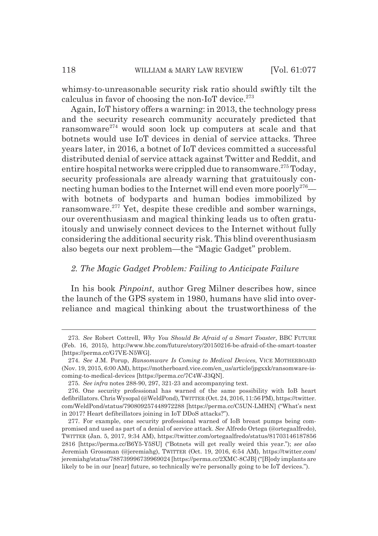whimsy-to-unreasonable security risk ratio should swiftly tilt the calculus in favor of choosing the non-IoT device. $273$ 

Again, IoT history offers a warning: in 2013, the technology press and the security research community accurately predicted that ransomware<sup>274</sup> would soon lock up computers at scale and that botnets would use IoT devices in denial of service attacks. Three years later, in 2016, a botnet of IoT devices committed a successful distributed denial of service attack against Twitter and Reddit, and entire hospital networks were crippled due to ransomware.<sup>275</sup> Today, security professionals are already warning that gratuitously connecting human bodies to the Internet will end even more poorly<sup>276</sup> with botnets of bodyparts and human bodies immobilized by ransomware.<sup>277</sup> Yet, despite these credible and somber warnings, our overenthusiasm and magical thinking leads us to often gratuitously and unwisely connect devices to the Internet without fully considering the additional security risk. This blind overenthusiasm also begets our next problem—the "Magic Gadget" problem.

## *2. The Magic Gadget Problem: Failing to Anticipate Failure*

In his book *Pinpoint*, author Greg Milner describes how, since the launch of the GPS system in 1980, humans have slid into overreliance and magical thinking about the trustworthiness of the

<sup>273.</sup> *See* Robert Cottrell, *Why You Should Be Afraid of a Smart Toaster*, BBC FUTURE (Feb. 16, 2015), http://www.bbc.com/future/story/20150216-be-afraid-of-the-smart-toaster [https://perma.cc/G7VE-N5WG].

<sup>274.</sup> *See* J.M. Porup, *Ransomware Is Coming to Medical Devices,* VICE MOTHERBOARD (Nov. 19, 2015, 6:00 AM), https://motherboard.vice.com/en\_us/article/jpgxxk/ransomware-iscoming-to-medical-devices [https://perma.cc/7C4W-J3QN].

<sup>275.</sup> *See infra* notes 288-90, 297, 321-23 and accompanying text.

<sup>276.</sup> One security professional has warned of the same possibility with IoB heart defibrillators. Chris Wysopal (@WeldPond), TWITTER (Oct. 24, 2016, 11:56 PM), https://twitter. com/WeldPond/status/790809257448972288 [https://perma.cc/C5UN-LMHN] ("What's next in 2017? Heart defibrillators joining in IoT DDoS attacks?").

<sup>277.</sup> For example, one security professional warned of IoB breast pumps being compromised and used as part of a denial of service attack. *See* Alfredo Ortega (@ortegaalfredo), TWITTER (Jan. 5, 2017, 9:34 AM), https://twitter.com/ortegaalfredo/status/81703146187856 2816 [https://perma.cc/B6Y5-Y5SU] ("Botnets will get really weird this year."); *see also* Jeremiah Grossman (@jeremiahg), TWITTER (Oct. 19, 2016, 6:54 AM), https://twitter.com/ jeremiahg/status/788739996739969024 [https://perma.cc/2XMC-8CJB] ("[B]ody implants are likely to be in our [near] future, so technically we're personally going to be IoT devices.").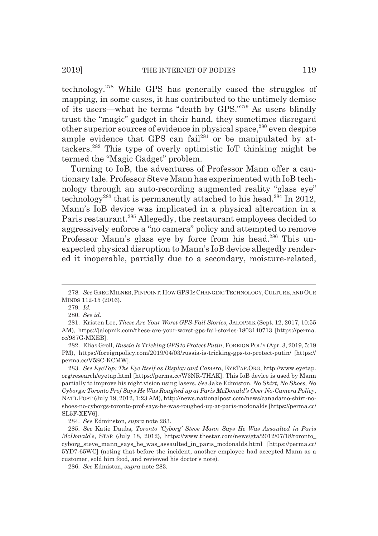technology.278 While GPS has generally eased the struggles of mapping, in some cases, it has contributed to the untimely demise of its users—what he terms "death by GPS."279 As users blindly trust the "magic" gadget in their hand, they sometimes disregard other superior sources of evidence in physical space,<sup>280</sup> even despite ample evidence that GPS can fail<sup>281</sup> or be manipulated by attackers.282 This type of overly optimistic IoT thinking might be termed the "Magic Gadget" problem.

Turning to IoB, the adventures of Professor Mann offer a cautionary tale. Professor Steve Mann has experimented with IoB technology through an auto-recording augmented reality "glass eye" technology<sup>283</sup> that is permanently attached to his head.<sup>284</sup> In 2012, Mann's IoB device was implicated in a physical altercation in a Paris restaurant.<sup>285</sup> Allegedly, the restaurant employees decided to aggressively enforce a "no camera" policy and attempted to remove Professor Mann's glass eye by force from his head.<sup>286</sup> This unexpected physical disruption to Mann's IoB device allegedly rendered it inoperable, partially due to a secondary, moisture-related,

279. *Id.*

<sup>278.</sup> *See* GREG MILNER,PINPOINT:HOW GPSIS CHANGING TECHNOLOGY,CULTURE, AND OUR MINDS 112-15 (2016).

<sup>280.</sup> *See id.*

<sup>281.</sup> Kristen Lee, *These Are Your Worst GPS-Fail Stories*, JALOPNIK (Sept. 12, 2017, 10:55 AM), https://jalopnik.com/these-are-your-worst-gps-fail-stories-1803140713 [https://perma. cc/987G-MXEB].

<sup>282.</sup> Elias Groll, *Russia Is Tricking GPS to Protect Putin*, FOREIGN POL'Y (Apr. 3, 2019, 5:19 PM), https://foreignpolicy.com/2019/04/03/russia-is-tricking-gps-to-protect-putin/ [https:// perma.cc/V5SC-KCMW].

<sup>283.</sup> *See EyeTap: The Eye Itself as Display and Camera*, EYETAP.ORG, http://www.eyetap. org/research/eyetap.html [https://perma.cc/W3NR-THAK]. This IoB device is used by Mann partially to improve his night vision using lasers. *See* Jake Edmiston, *No Shirt, No Shoes, No Cyborgs: Toronto Prof Says He Was Roughed up at Paris McDonald's Over No-Camera Policy*, NAT'L POST (July 19, 2012, 1:23 AM), http://news.nationalpost.com/news/canada/no-shirt-noshoes-no-cyborgs-toronto-prof-says-he-was-roughed-up-at-paris-mcdonalds [https://perma.cc/ SL5F-XEV6].

<sup>284.</sup> *See* Edminston, *supra* note 283.

<sup>285.</sup> *See* Katie Daubs, *Toronto 'Cyborg' Steve Mann Says He Was Assaulted in Paris McDonald's*, STAR (July 18, 2012), https://www.thestar.com/news/gta/2012/07/18/toronto\_ cyborg\_steve\_mann\_says\_he\_was\_assaulted\_in\_paris\_mcdonalds.html [https://perma.cc/ 5YD7-65WC] (noting that before the incident, another employee had accepted Mann as a customer, sold him food, and reviewed his doctor's note).

<sup>286.</sup> *See* Edmiston, *supra* note 283.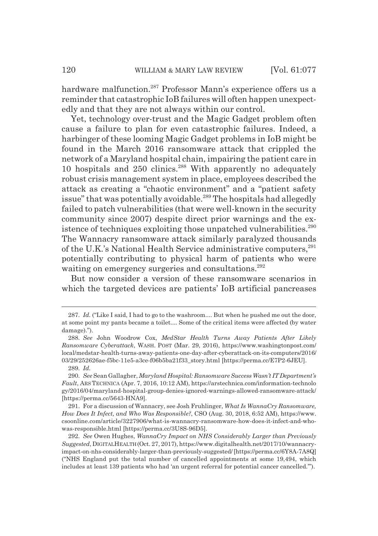hardware malfunction.<sup>287</sup> Professor Mann's experience offers us a reminder that catastrophic IoB failures will often happen unexpectedly and that they are not always within our control.

Yet, technology over-trust and the Magic Gadget problem often cause a failure to plan for even catastrophic failures. Indeed, a harbinger of these looming Magic Gadget problems in IoB might be found in the March 2016 ransomware attack that crippled the network of a Maryland hospital chain, impairing the patient care in 10 hospitals and  $250$  clinics.<sup>288</sup> With apparently no adequately robust crisis management system in place, employees described the attack as creating a "chaotic environment" and a "patient safety issue" that was potentially avoidable.<sup>289</sup> The hospitals had allegedly failed to patch vulnerabilities (that were well-known in the security community since 2007) despite direct prior warnings and the existence of techniques exploiting those unpatched vulnerabilities.<sup>290</sup> The Wannacry ransomware attack similarly paralyzed thousands of the U.K.'s National Health Service administrative computers,<sup>291</sup> potentially contributing to physical harm of patients who were waiting on emergency surgeries and consultations.<sup>292</sup>

But now consider a version of these ransomware scenarios in which the targeted devices are patients' IoB artificial pancreases

<sup>287.</sup> *Id.* ("Like I said, I had to go to the washroom.... But when he pushed me out the door, at some point my pants became a toilet.... Some of the critical items were affected (by water damage).").

<sup>288.</sup> *See* John Woodrow Cox, *MedStar Health Turns Away Patients After Likely Ransomware Cyberattack*, WASH. POST (Mar. 29, 2016), https://www.washingtonpost.com/ local/medstar-health-turns-away-patients-one-day-after-cyberattack-on-its-computers/2016/ 03/29/252626ae-f5bc-11e5-a3ce-f06b5ba21f33\_story.html [https://perma.cc/E7P2-6JEU].

<sup>289.</sup> *Id.*

<sup>290.</sup> *See* Sean Gallagher, *Maryland Hospital: Ransomware Success Wasn't IT Department's Fault*, ARS TECHNICA (Apr. 7, 2016, 10:12 AM), https://arstechnica.com/information-technolo gy/2016/04/maryland-hospital-group-denies-ignored-warnings-allowed-ransomware-attack/ [https://perma.cc/5643-HNA9].

<sup>291.</sup> For a discussion of Wannacry, see Josh Fruhlinger, *What Is WannaCry Ransomware, How Does It Infect, and Who Was Responsible?*, CSO (Aug. 30, 2018, 6:52 AM), https://www. csoonline.com/article/3227906/what-is-wannacry-ransomware-how-does-it-infect-and-whowas-responsible.html [https://perma.cc/3U8S-96D5].

<sup>292.</sup> *See* Owen Hughes, *WannaCry Impact on NHS Considerably Larger than Previously Suggested*, DIGITALHEALTH (Oct. 27, 2017), https://www.digitalhealth.net/2017/10/wannacryimpact-on-nhs-considerably-larger-than-previously-suggested/ [https://perma.cc/6Y8A-7A8Q] ("NHS England put the total number of cancelled appointments at some 19,494, which includes at least 139 patients who had 'an urgent referral for potential cancer cancelled.'").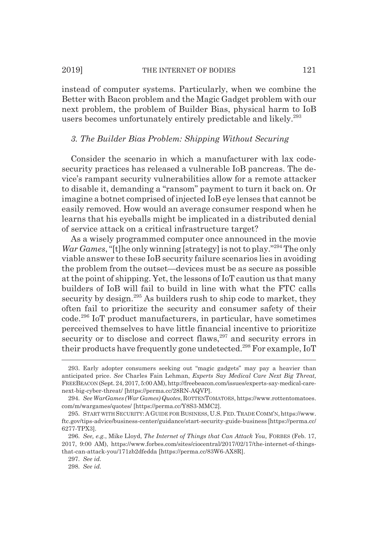#### 2019] THE INTERNET OF BODIES 2019

instead of computer systems. Particularly, when we combine the Better with Bacon problem and the Magic Gadget problem with our next problem, the problem of Builder Bias, physical harm to IoB users becomes unfortunately entirely predictable and likely.<sup>293</sup>

## *3. The Builder Bias Problem: Shipping Without Securing*

Consider the scenario in which a manufacturer with lax codesecurity practices has released a vulnerable IoB pancreas. The device's rampant security vulnerabilities allow for a remote attacker to disable it, demanding a "ransom" payment to turn it back on. Or imagine a botnet comprised of injected IoB eye lenses that cannot be easily removed. How would an average consumer respond when he learns that his eyeballs might be implicated in a distributed denial of service attack on a critical infrastructure target?

As a wisely programmed computer once announced in the movie *War Games*, "[t]he only winning [strategy] is not to play."<sup>294</sup> The only viable answer to these IoB security failure scenarios lies in avoiding the problem from the outset—devices must be as secure as possible at the point of shipping. Yet, the lessons of IoT caution us that many builders of IoB will fail to build in line with what the FTC calls security by design.<sup>295</sup> As builders rush to ship code to market, they often fail to prioritize the security and consumer safety of their code.296 IoT product manufacturers, in particular, have sometimes perceived themselves to have little financial incentive to prioritize security or to disclose and correct flaws,<sup>297</sup> and security errors in their products have frequently gone undetected.<sup>298</sup> For example,  $I$ oT

<sup>293.</sup> Early adopter consumers seeking out "magic gadgets" may pay a heavier than anticipated price. *See* Charles Fain Lehman, *Experts Say Medical Care Next Big Threat,* FREEBEACON (Sept. 24, 2017, 5:00 AM), http://freebeacon.com/issues/experts-say-medical-carenext-big-cyber-threat/ [https://perma.cc/28RN-AQVP].

<sup>294.</sup> *See WarGames (War Games) Quotes*, ROTTENTOMATOES, https://www.rottentomatoes. com/m/wargames/quotes/ [https://perma.cc/Y8S3-MMC2].

<sup>295.</sup> START WITH SECURITY:AGUIDE FOR BUSINESS, U.S.FED.TRADE COMM'N,https://www. ftc.gov/tips-advice/business-center/guidance/start-security-guide-business [https://perma.cc/ 6277-TPX3].

<sup>296.</sup> *See, e.g.*, Mike Lloyd, *The Internet of Things that Can Attack You,* FORBES (Feb. 17, 2017, 9:00 AM), https://www.forbes.com/sites/ciocentral/2017/02/17/the-internet-of-thingsthat-can-attack-you/171zb2dfedda [https://perma.cc/83W6-AX8R].

<sup>297.</sup> *See id.*

<sup>298.</sup> *See id.*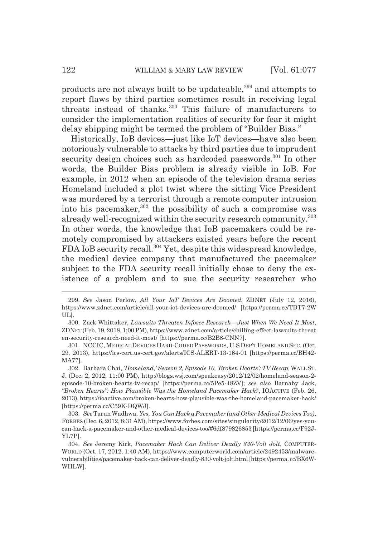products are not always built to be updateable,299 and attempts to report flaws by third parties sometimes result in receiving legal threats instead of thanks.300 This failure of manufacturers to consider the implementation realities of security for fear it might delay shipping might be termed the problem of "Builder Bias."

Historically, IoB devices—just like IoT devices—have also been notoriously vulnerable to attacks by third parties due to imprudent security design choices such as hardcoded passwords.<sup>301</sup> In other words, the Builder Bias problem is already visible in IoB. For example, in 2012 when an episode of the television drama series Homeland included a plot twist where the sitting Vice President was murdered by a terrorist through a remote computer intrusion into his pacemaker, $302$  the possibility of such a compromise was already well-recognized within the security research community.<sup>303</sup> In other words, the knowledge that IoB pacemakers could be remotely compromised by attackers existed years before the recent FDA IoB security recall.<sup>304</sup> Yet, despite this widespread knowledge, the medical device company that manufactured the pacemaker subject to the FDA security recall initially chose to deny the existence of a problem and to sue the security researcher who

<sup>299.</sup> *See* Jason Perlow, *All Your IoT Devices Are Doomed*, ZDNET (July 12, 2016), https://www.zdnet.com/article/all-your-iot-devices-are-doomed/ [https://perma.cc/TDT7-2W UL].

<sup>300.</sup> Zack Whittaker, *Lawsuits Threaten Infosec Research—Just When We Need It Most*, ZDNET (Feb. 19, 2018, 1:00 PM), https://www.zdnet.com/article/chilling-effect-lawsuits-threat en-security-research-need-it-most/ [https://perma.cc/B2B8-CNN7].

<sup>301.</sup> NCCIC, MEDICAL DEVICES HARD-CODED PASSWORDS, U.SDEP'T HOMELAND SEC. (Oct. 29, 2013), https://ics-cert.us-cert.gov/alerts/ICS-ALERT-13-164-01 [https://perma.cc/BH42- MA77].

<sup>302.</sup> Barbara Chai, *'Homeland,' Season 2, Episode 10, 'Broken Hearts': TV Recap,* WALL ST. J. (Dec. 2, 2012, 11:00 PM), http://blogs.wsj.com/speakeasy/2012/12/02/homeland-season-2 episode-10-broken-hearts-tv-recap/ [https://perma.cc/5Pe5-48ZV]; *see also* Barnaby Jack, *"Broken Hearts": How Plausible Was the Homeland Pacemaker Hack?*, IOACTIVE (Feb. 26, 2013), https://ioactive.com/broken-hearts-how-plausible-was-the-homeland-pacemaker-hack/ [https://perma.cc/C59K-DQWJ].

<sup>303.</sup> *See* Tarun Wadhwa, *Yes, You Can Hack a Pacemaker (and Other Medical Devices Too)*, FORBES (Dec. 6, 2012, 8:31 AM), https://www.forbes.com/sites/singularity/2012/12/06/yes-youcan-hack-a-pacemaker-and-other-medical-devices-too/#6df879826853 [https://perma.cc/F92J-YL7P].

<sup>304.</sup> *See* Jeremy Kirk, *Pacemaker Hack Can Deliver Deadly 830-Volt Jolt*, COMPUTER-WORLD (Oct. 17, 2012, 1:40 AM), https://www.computerworld.com/article/2492453/malwarevulnerabilities/pacemaker-hack-can-deliver-deadly-830-volt-jolt.html [https://perma. cc/BX6W-WHLW].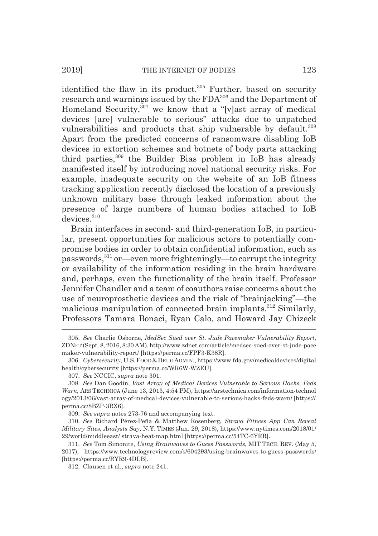identified the flaw in its product. $305$  Further, based on security research and warnings issued by the FDA306 and the Department of Homeland Security, $307$  we know that a "[v]ast array of medical devices [are] vulnerable to serious" attacks due to unpatched vulnerabilities and products that ship vulnerable by default.<sup>308</sup> Apart from the predicted concerns of ransomware disabling IoB devices in extortion schemes and botnets of body parts attacking third parties, $309$  the Builder Bias problem in  $I_0$ B has already manifested itself by introducing novel national security risks. For example, inadequate security on the website of an IoB fitness tracking application recently disclosed the location of a previously unknown military base through leaked information about the presence of large numbers of human bodies attached to IoB devices.<sup>310</sup>

Brain interfaces in second- and third-generation IoB, in particular, present opportunities for malicious actors to potentially compromise bodies in order to obtain confidential information, such as passwords,311 or—even more frighteningly—to corrupt the integrity or availability of the information residing in the brain hardware and, perhaps, even the functionality of the brain itself. Professor Jennifer Chandler and a team of coauthors raise concerns about the use of neuroprosthetic devices and the risk of "brainjacking"—the malicious manipulation of connected brain implants.<sup>312</sup> Similarly, Professors Tamara Bonaci, Ryan Calo, and Howard Jay Chizeck

<sup>305.</sup> *See* Charlie Osborne, *MedSec Sued over St. Jude Pacemaker Vulnerability Report*, ZDNET (Sept. 8, 2016, 8:30 AM), http://www.zdnet.com/article/medsec-sued-over-st-jude-pace maker-vulnerability-report/ [https://perma.cc/FPF3-K38R].

<sup>306.</sup> *Cybersecurity*, U.S.FOOD &DRUG ADMIN., https://www.fda.gov/medicaldevices/digital health/cybersecurity [https://perma.cc/WR6W-WZEU].

<sup>307.</sup> *See* NCCIC, *supra* note 301.

<sup>308.</sup> *See* Dan Goodin, *Vast Array of Medical Devices Vulnerable to Serious Hacks, Feds Warn,* ARS TECHNICA (June 13, 2013, 4:54 PM), https://arstechnica.com/information-technol ogy/2013/06/vast-array-of-medical-devices-vulnerable-to-serious-hacks-feds-warn/ [https:// perma.cc/8BZP-3RX6].

<sup>309.</sup> *See supra* notes 273-76 and accompanying text.

<sup>310.</sup> *See* Richard Pérez-Peña & Matthew Rosenberg, *Strava Fitness App Can Reveal Military Sites, Analysts Say,* N.Y. TIMES (Jan. 29, 2018), https://www.nytimes.com/2018/01/ 29/world/middleeast/ strava-heat-map.html [https://perma.cc/54TC-6YRR].

<sup>311.</sup> *See* Tom Simonite, *Using Brainwaves to Guess Passwords*, MIT TECH. REV. (May 5, 2017), https://www.technologyreview.com/s/604293/using-brainwaves-to-guess-passwords/ [https://perma.cc/RYR9-4DLB].

<sup>312.</sup> Clausen et al., *supra* note 241.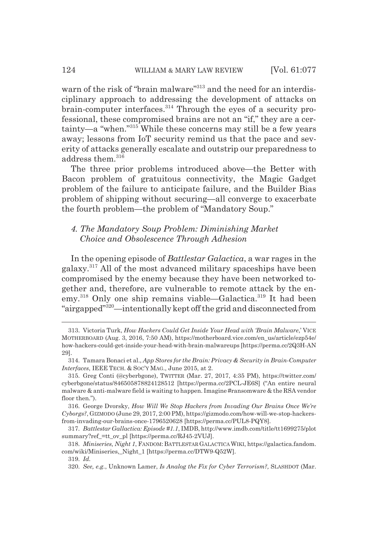warn of the risk of "brain malware"<sup>313</sup> and the need for an interdisciplinary approach to addressing the development of attacks on brain-computer interfaces.314 Through the eyes of a security professional, these compromised brains are not an "if," they are a certainty—a "when."315 While these concerns may still be a few years away; lessons from IoT security remind us that the pace and severity of attacks generally escalate and outstrip our preparedness to address them.<sup>316</sup>

The three prior problems introduced above—the Better with Bacon problem of gratuitous connectivity, the Magic Gadget problem of the failure to anticipate failure, and the Builder Bias problem of shipping without securing—all converge to exacerbate the fourth problem—the problem of "Mandatory Soup."

# *4. The Mandatory Soup Problem: Diminishing Market Choice and Obsolescence Through Adhesion*

In the opening episode of *Battlestar Galactica*, a war rages in the galaxy.317 All of the most advanced military spaceships have been compromised by the enemy because they have been networked together and, therefore, are vulnerable to remote attack by the enemy.<sup>318</sup> Only one ship remains viable—Galactica.<sup>319</sup> It had been "airgapped"<sup>320</sup>—intentionally kept off the grid and disconnected from

<sup>313.</sup> Victoria Turk, *How Hackers Could Get Inside Your Head with 'Brain Malware*,' VICE MOTHERBOARD (Aug. 3, 2016, 7:50 AM), https://motherboard.vice.com/en\_us/article/ezp54e/ how-hackers-could-get-inside-your-head-with-brain-malwareups [https://perma.cc/2Q3H-AN 29].

<sup>314.</sup> Tamara Bonaci et al., *App Stores for the Brain: Privacy & Security in Brain-Computer Interfaces*, IEEE TECH. & SOC'Y MAG., June 2015, at 2.

<sup>315.</sup> Greg Conti (@cyberbgone), TWITTER (Mar. 27, 2017, 4:35 PM), https://twitter.com/ cyberbgone/status/846505878824128512 [https://perma.cc/2PCL-JE6S] ("An entire neural malware & anti-malware field is waiting to happen. Imagine #ransomware & the RSA vendor floor then.").

<sup>316.</sup> George Dvorsky, *How Will We Stop Hackers from Invading Our Brains Once We're Cyborgs?*, GIZMODO (June 29, 2017, 2:00 PM), https://gizmodo.com/how-will-we-stop-hackersfrom-invading-our-brains-once-1796520628 [https://perma.cc/PUL8-PQY8].

<sup>317.</sup> *Battlestar Gallactica: Episode #1.1*, IMDB, http://www.imdb.com/title/tt1699275/plot summary?ref\_=tt\_ov\_pl [https://perma.cc/RJ45-2VUJ].

<sup>318.</sup> *Miniseries, Night 1*, FANDOM: BATTLESTAR GALACTICA WIKI, https://galactica.fandom. com/wiki/Miniseries,\_Night\_1 [https://perma.cc/DTW9-Q52W].

<sup>319.</sup> *Id.*

<sup>320.</sup> *See, e.g.*, Unknown Lamer, *Is Analog the Fix for Cyber Terrorism?,* SLASHDOT (Mar.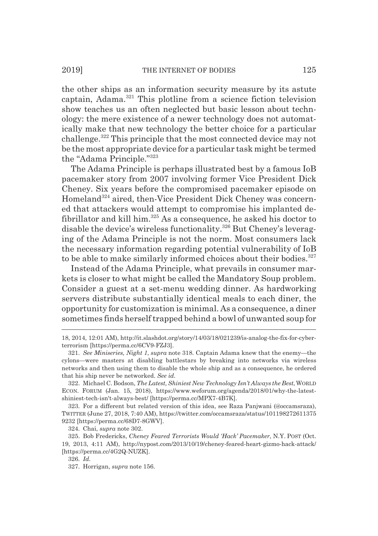the other ships as an information security measure by its astute captain, Adama.321 This plotline from a science fiction television show teaches us an often neglected but basic lesson about technology: the mere existence of a newer technology does not automatically make that new technology the better choice for a particular challenge.322 This principle that the most connected device may not be the most appropriate device for a particular task might be termed the "Adama Principle."323

The Adama Principle is perhaps illustrated best by a famous IoB pacemaker story from 2007 involving former Vice President Dick Cheney. Six years before the compromised pacemaker episode on Homeland<sup>324</sup> aired, then-Vice President Dick Cheney was concerned that attackers would attempt to compromise his implanted defibrillator and kill him.<sup>325</sup> As a consequence, he asked his doctor to disable the device's wireless functionality.<sup>326</sup> But Cheney's leveraging of the Adama Principle is not the norm. Most consumers lack the necessary information regarding potential vulnerability of IoB to be able to make similarly informed choices about their bodies.<sup>327</sup>

Instead of the Adama Principle, what prevails in consumer markets is closer to what might be called the Mandatory Soup problem. Consider a guest at a set-menu wedding dinner. As hardworking servers distribute substantially identical meals to each diner, the opportunity for customization is minimal. As a consequence, a diner sometimes finds herself trapped behind a bowl of unwanted soup for

324. Chai, *supra* note 302.

<sup>18, 2014, 12:01</sup> AM), http://it.slashdot.org/story/14/03/18/021239/is-analog-the-fix-for-cyberterrorism [https://perma.cc/6CV9-FZJ3].

<sup>321.</sup> *See Miniseries, Night 1*, *supra* note 318. Captain Adama knew that the enemy—the cylons—were masters at disabling battlestars by breaking into networks via wireless networks and then using them to disable the whole ship and as a consequence, he ordered that his ship never be networked. *See id.*

<sup>322.</sup> Michael C. Bodson, *The Latest, Shiniest New Technology Isn't Always the Best*, WORLD ECON. FORUM (Jan. 15, 2018), https://www.weforum.org/agenda/2018/01/why-the-latestshiniest-tech-isn't-always-best/ [https://perma.cc/MPX7-4B7K].

<sup>323.</sup> For a different but related version of this idea, see Raza Panjwani (@occamsraza), TWITTER (June 27, 2018, 7:40 AM), https://twitter.com/occamsraza/status/101198272611375 9232 [https://perma.cc/68D7-8GWV].

<sup>325.</sup> Bob Fredericks, *Cheney Feared Terrorists Would 'Hack' Pacemaker*, N.Y. POST (Oct. 19, 2013, 4:11 AM), http://nypost.com/2013/10/19/cheney-feared-heart-gizmo-hack-attack/ [https://perma.cc/4G2Q-NUZK].

<sup>326.</sup> *Id.*

<sup>327.</sup> Horrigan, *supra* note 156.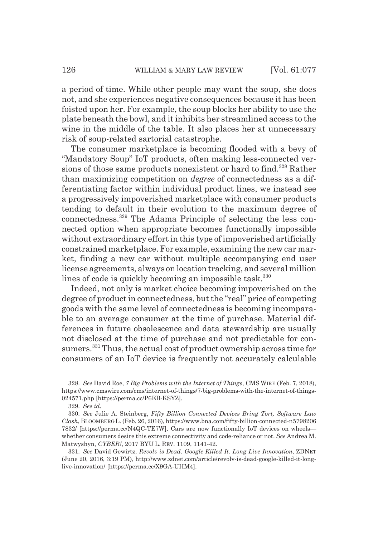a period of time. While other people may want the soup, she does not, and she experiences negative consequences because it has been foisted upon her. For example, the soup blocks her ability to use the plate beneath the bowl, and it inhibits her streamlined access to the wine in the middle of the table. It also places her at unnecessary risk of soup-related sartorial catastrophe.

The consumer marketplace is becoming flooded with a bevy of "Mandatory Soup" IoT products, often making less-connected versions of those same products nonexistent or hard to find.<sup>328</sup> Rather than maximizing competition on *degree* of connectedness as a differentiating factor within individual product lines, we instead see a progressively impoverished marketplace with consumer products tending to default in their evolution to the maximum degree of connectedness.329 The Adama Principle of selecting the less connected option when appropriate becomes functionally impossible without extraordinary effort in this type of impoverished artificially constrained marketplace. For example, examining the new car market, finding a new car without multiple accompanying end user license agreements, always on location tracking, and several million lines of code is quickly becoming an impossible task.<sup>330</sup>

Indeed, not only is market choice becoming impoverished on the degree of product in connectedness, but the "real" price of competing goods with the same level of connectedness is becoming incomparable to an average consumer at the time of purchase. Material differences in future obsolescence and data stewardship are usually not disclosed at the time of purchase and not predictable for consumers.331 Thus, the actual cost of product ownership across time for consumers of an IoT device is frequently not accurately calculable

<sup>328.</sup> *See* David Roe, *7 Big Problems with the Internet of Things*, CMS WIRE (Feb. 7, 2018), https://www.cmswire.com/cms/internet-of-things/7-big-problems-with-the-internet-of-things-024571.php [https://perma.cc/P6EB-KSYZ].

<sup>329.</sup> *See id.*

<sup>330.</sup> *See* Julie A. Steinberg, *Fifty Billion Connected Devices Bring Tort, Software Law Clash*, BLOOMBERG L. (Feb. 26, 2016), https://www.bna.com/fifty-billion-connected-n5798206 7832/ [https://perma.cc/N4QC-TE7W]. Cars are now functionally IoT devices on wheels whether consumers desire this extreme connectivity and code-reliance or not. *See* Andrea M. Matwyshyn, *CYBER!*, 2017 BYU L. REV. 1109, 1141-42.

<sup>331.</sup> *See* David Gewirtz, *Revolv is Dead. Google Killed It. Long Live Innovation*, ZDNET (June 20, 2016, 3:19 PM), http://www.zdnet.com/article/revolv-is-dead-google-killed-it-longlive-innovation/ [https://perma.cc/X9GA-UHM4].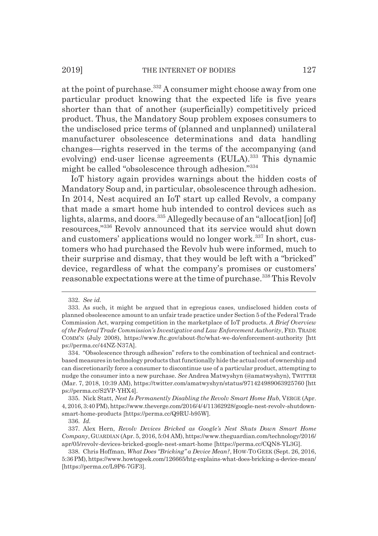at the point of purchase.<sup>332</sup> A consumer might choose away from one particular product knowing that the expected life is five years shorter than that of another (superficially) competitively priced product. Thus, the Mandatory Soup problem exposes consumers to the undisclosed price terms of (planned and unplanned) unilateral manufacturer obsolescence determinations and data handling changes—rights reserved in the terms of the accompanying (and evolving) end-user license agreements (EULA).<sup>333</sup> This dynamic might be called "obsolescence through adhesion."334

IoT history again provides warnings about the hidden costs of Mandatory Soup and, in particular, obsolescence through adhesion. In 2014, Nest acquired an IoT start up called Revolv, a company that made a smart home hub intended to control devices such as lights, alarms, and doors.<sup>335</sup> Allegedly because of an "allocat[ion] [of] resources,"336 Revolv announced that its service would shut down and customers' applications would no longer work. $337$  In short, customers who had purchased the Revolv hub were informed, much to their surprise and dismay, that they would be left with a "bricked" device, regardless of what the company's promises or customers' reasonable expectations were at the time of purchase.<sup>338</sup> This Revolv

<sup>332.</sup> *See id.*

<sup>333.</sup> As such, it might be argued that in egregious cases, undisclosed hidden costs of planned obsolescence amount to an unfair trade practice under Section 5 of the Federal Trade Commission Act, warping competition in the marketplace of IoT products. *A Brief Overview of the Federal Trade Commission's Investigative and Law Enforcement Authority*, FED.TRADE COMM'N (July 2008), https://www.ftc.gov/about-ftc/what-we-do/enforcement-authority [htt ps://perma.cc/44NZ-N37A].

<sup>334. &</sup>quot;Obsolescence through adhesion" refers to the combination of technical and contractbased measures in technology products that functionally hide the actual cost of ownership and can discretionarily force a consumer to discontinue use of a particular product, attempting to nudge the consumer into a new purchase. *See* Andrea Matwyshyn (@amatwyshyn), TWITTER (Mar. 7, 2018, 10:39 AM), https://twitter.com/amatwyshyn/status/971424989063925760 [htt ps://perma.cc/S2VP-YHX4].

<sup>335.</sup> Nick Statt, *Nest Is Permanently Disabling the Revolv Smart Home Hub*, VERGE (Apr. 4, 2016, 3:40 PM), https://www.theverge.com/2016/4/4/11362928/google-nest-revolv-shutdownsmart-home-products [https://perma.cc/Q9RU-b95W].

<sup>336.</sup> *Id.*

<sup>337.</sup> Alex Hern, *Revolv Devices Bricked as Google's Nest Shuts Down Smart Home Company*, GUARDIAN (Apr. 5, 2016, 5:04 AM), https://www.theguardian.com/technology/2016/ apr/05/revolv-devices-bricked-google-nest-smart-home [https://perma.cc/CQN8-YL3G].

<sup>338.</sup> Chris Hoffman, *What Does "Bricking" a Device Mean?*, HOW-TO GEEK (Sept. 26, 2016, 5:36 PM), https://www.howtogeek.com/126665/htg-explains-what-does-bricking-a-device-mean/ [https://perma.cc/L9P6-7GF3].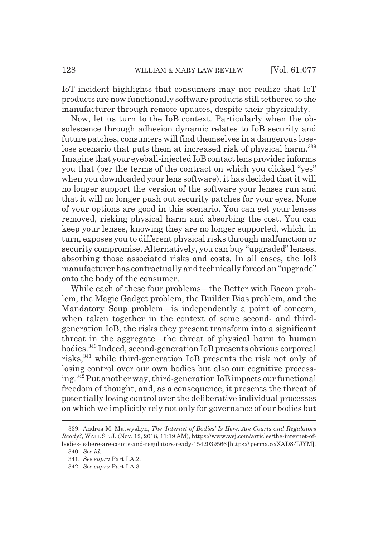IoT incident highlights that consumers may not realize that IoT products are now functionally software products still tethered to the manufacturer through remote updates, despite their physicality.

Now, let us turn to the IoB context. Particularly when the obsolescence through adhesion dynamic relates to IoB security and future patches, consumers will find themselves in a dangerous loselose scenario that puts them at increased risk of physical harm.<sup>339</sup> Imagine that your eyeball-injected IoB contact lens provider informs you that (per the terms of the contract on which you clicked "yes" when you downloaded your lens software), it has decided that it will no longer support the version of the software your lenses run and that it will no longer push out security patches for your eyes. None of your options are good in this scenario. You can get your lenses removed, risking physical harm and absorbing the cost. You can keep your lenses, knowing they are no longer supported, which, in turn, exposes you to different physical risks through malfunction or security compromise. Alternatively, you can buy "upgraded" lenses, absorbing those associated risks and costs. In all cases, the IoB manufacturer has contractually and technically forced an "upgrade" onto the body of the consumer.

While each of these four problems—the Better with Bacon problem, the Magic Gadget problem, the Builder Bias problem, and the Mandatory Soup problem—is independently a point of concern, when taken together in the context of some second- and thirdgeneration IoB, the risks they present transform into a significant threat in the aggregate—the threat of physical harm to human bodies.340 Indeed, second-generation IoB presents obvious corporeal risks,341 while third-generation IoB presents the risk not only of losing control over our own bodies but also our cognitive processing.342 Put another way, third-generation IoB impacts our functional freedom of thought, and, as a consequence, it presents the threat of potentially losing control over the deliberative individual processes on which we implicitly rely not only for governance of our bodies but

<sup>339.</sup> Andrea M. Matwyshyn, *The 'Internet of Bodies' Is Here. Are Courts and Regulators Ready?*, WALL ST. J. (Nov. 12, 2018, 11:19 AM), https://www.wsj.com/articles/the-internet-ofbodies-is-here-are-courts-and-regulators-ready-1542039566 [https:// perma.cc/XAD8-TJYM].

<sup>340.</sup> *See id.*

<sup>341.</sup> *See supra* Part I.A.2.

<sup>342.</sup> *See supra* Part I.A.3.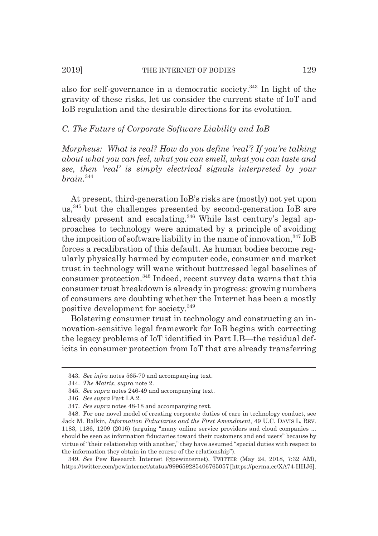### 2019] THE INTERNET OF BODIES 129

also for self-governance in a democratic society.343 In light of the gravity of these risks, let us consider the current state of IoT and IoB regulation and the desirable directions for its evolution.

### *C. The Future of Corporate Software Liability and IoB*

*Morpheus: What is real? How do you define 'real'? If you're talking about what you can feel, what you can smell, what you can taste and see, then 'real' is simply electrical signals interpreted by your brain.*<sup>344</sup>

At present, third-generation IoB's risks are (mostly) not yet upon us,345 but the challenges presented by second-generation IoB are already present and escalating.<sup>346</sup> While last century's legal approaches to technology were animated by a principle of avoiding the imposition of software liability in the name of innovation,  $347$  IoB forces a recalibration of this default. As human bodies become regularly physically harmed by computer code, consumer and market trust in technology will wane without buttressed legal baselines of consumer protection.348 Indeed, recent survey data warns that this consumer trust breakdown is already in progress: growing numbers of consumers are doubting whether the Internet has been a mostly positive development for society.<sup>349</sup>

Bolstering consumer trust in technology and constructing an innovation-sensitive legal framework for IoB begins with correcting the legacy problems of IoT identified in Part I.B—the residual deficits in consumer protection from IoT that are already transferring

349. *See* Pew Research Internet (@pewinternet), TWITTER (May 24, 2018, 7:32 AM), https://twitter.com/pewinternet/status/999659285406765057 [https://perma.cc/XA74-HHJ6].

<sup>343.</sup> *See infra* notes 565-70 and accompanying text.

<sup>344.</sup> *The Matrix*, *supra* note 2.

<sup>345.</sup> *See supra* notes 246-49 and accompanying text.

<sup>346.</sup> *See supra* Part I.A.2.

<sup>347.</sup> *See supra* notes 48-18 and accompanying text.

<sup>348.</sup> For one novel model of creating corporate duties of care in technology conduct, see Jack M. Balkin, *Information Fiduciaries and the First Amendment*, 49 U.C. DAVIS L. REV. 1183, 1186, 1209 (2016) (arguing "many online service providers and cloud companies ... should be seen as information fiduciaries toward their customers and end users" because by virtue of "their relationship with another," they have assumed "special duties with respect to the information they obtain in the course of the relationship").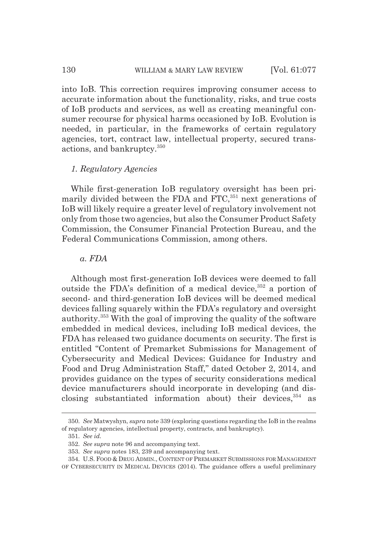into IoB. This correction requires improving consumer access to accurate information about the functionality, risks, and true costs of IoB products and services, as well as creating meaningful consumer recourse for physical harms occasioned by IoB. Evolution is needed, in particular, in the frameworks of certain regulatory agencies, tort, contract law, intellectual property, secured transactions, and bankruptcy.350

## *1. Regulatory Agencies*

While first-generation IoB regulatory oversight has been primarily divided between the FDA and FTC,<sup>351</sup> next generations of IoB will likely require a greater level of regulatory involvement not only from those two agencies, but also the Consumer Product Safety Commission, the Consumer Financial Protection Bureau, and the Federal Communications Commission, among others.

### *a. FDA*

Although most first-generation IoB devices were deemed to fall outside the FDA's definition of a medical device, $352$  a portion of second- and third-generation IoB devices will be deemed medical devices falling squarely within the FDA's regulatory and oversight authority.353 With the goal of improving the quality of the software embedded in medical devices, including IoB medical devices, the FDA has released two guidance documents on security. The first is entitled "Content of Premarket Submissions for Management of Cybersecurity and Medical Devices: Guidance for Industry and Food and Drug Administration Staff," dated October 2, 2014, and provides guidance on the types of security considerations medical device manufacturers should incorporate in developing (and disclosing substantiated information about) their devices,  $354$  as

<sup>350.</sup> *See* Matwyshyn, *supra* note 339 (exploring questions regarding the IoB in the realms of regulatory agencies, intellectual property, contracts, and bankruptcy).

<sup>351.</sup> *See id.*

<sup>352.</sup> *See supra* note 96 and accompanying text.

<sup>353.</sup> *See supra* notes 183, 239 and accompanying text.

<sup>354.</sup> U.S. FOOD & DRUG ADMIN., CONTENT OF PREMARKET SUBMISSIONS FOR MANAGEMENT OF CYBERSECURITY IN MEDICAL DEVICES (2014). The guidance offers a useful preliminary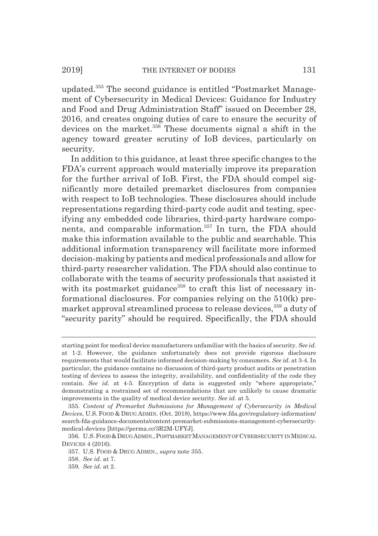updated.355 The second guidance is entitled "Postmarket Management of Cybersecurity in Medical Devices: Guidance for Industry and Food and Drug Administration Staff" issued on December 28, 2016, and creates ongoing duties of care to ensure the security of devices on the market.<sup>356</sup> These documents signal a shift in the agency toward greater scrutiny of IoB devices, particularly on security.

In addition to this guidance, at least three specific changes to the FDA's current approach would materially improve its preparation for the further arrival of IoB. First, the FDA should compel significantly more detailed premarket disclosures from companies with respect to  $I_0$ B technologies. These disclosures should include representations regarding third-party code audit and testing, specifying any embedded code libraries, third-party hardware components, and comparable information.357 In turn, the FDA should make this information available to the public and searchable. This additional information transparency will facilitate more informed decision-making by patients and medical professionals and allow for third-party researcher validation. The FDA should also continue to collaborate with the teams of security professionals that assisted it with its postmarket guidance<sup>358</sup> to craft this list of necessary informational disclosures. For companies relying on the 510(k) premarket approval streamlined process to release devices,<sup>359</sup> a duty of "security parity" should be required. Specifically, the FDA should

starting point for medical device manufacturers unfamiliar with the basics of security. *See id.* at 1-2. However, the guidance unfortunately does not provide rigorous disclosure requirements that would facilitate informed decision-making by consumers. *See id.* at 3-4. In particular, the guidance contains no discussion of third-party product audits or penetration testing of devices to assess the integrity, availability, and confidentiality of the code they contain. *See id.* at 4-5. Encryption of data is suggested only "where appropriate," demonstrating a restrained set of recommendations that are unlikely to cause dramatic improvements in the quality of medical device security. *See id.* at 5.

<sup>355.</sup> *Content of Premarket Submissions for Management of Cybersecurity in Medical Devices*, U.S. FOOD & DRUG ADMIN. (Oct. 2018), https://www.fda.gov/regulatory-information/ search-fda-guidance-documents/content-premarket-submissions-management-cybersecuritymedical-devices [https://perma.cc/3R2M-UFYJ].

<sup>356.</sup> U.S.FOOD &DRUG ADMIN.,POSTMARKET MANAGEMENT OF CYBERSECURITY IN MEDICAL DEVICES 4 (2016).

<sup>357.</sup> U.S. FOOD & DRUG ADMIN., *supra* note 355.

<sup>358.</sup> *See id.* at 7.

<sup>359.</sup> *See id.* at 2.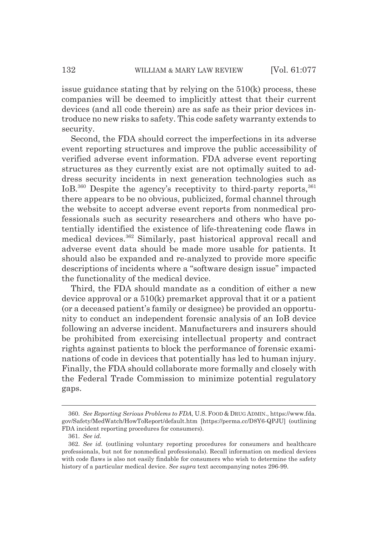issue guidance stating that by relying on the 510(k) process, these companies will be deemed to implicitly attest that their current devices (and all code therein) are as safe as their prior devices introduce no new risks to safety. This code safety warranty extends to security.

Second, the FDA should correct the imperfections in its adverse event reporting structures and improve the public accessibility of verified adverse event information. FDA adverse event reporting structures as they currently exist are not optimally suited to address security incidents in next generation technologies such as IoB.<sup>360</sup> Despite the agency's receptivity to third-party reports,  $361$ there appears to be no obvious, publicized, formal channel through the website to accept adverse event reports from nonmedical professionals such as security researchers and others who have potentially identified the existence of life-threatening code flaws in medical devices.362 Similarly, past historical approval recall and adverse event data should be made more usable for patients. It should also be expanded and re-analyzed to provide more specific descriptions of incidents where a "software design issue" impacted the functionality of the medical device.

Third, the FDA should mandate as a condition of either a new device approval or a 510(k) premarket approval that it or a patient (or a deceased patient's family or designee) be provided an opportunity to conduct an independent forensic analysis of an IoB device following an adverse incident. Manufacturers and insurers should be prohibited from exercising intellectual property and contract rights against patients to block the performance of forensic examinations of code in devices that potentially has led to human injury. Finally, the FDA should collaborate more formally and closely with the Federal Trade Commission to minimize potential regulatory gaps.

<sup>360.</sup> *See Reporting Serious Problems to FDA*, U.S. FOOD & DRUG ADMIN., https://www.fda. gov/Safety/MedWatch/HowToReport/default.htm [https://perma.cc/D8Y6-QPJU] (outlining FDA incident reporting procedures for consumers).

<sup>361.</sup> *See id.*

<sup>362.</sup> *See id.* (outlining voluntary reporting procedures for consumers and healthcare professionals, but not for nonmedical professionals). Recall information on medical devices with code flaws is also not easily findable for consumers who wish to determine the safety history of a particular medical device. *See supra* text accompanying notes 296-99.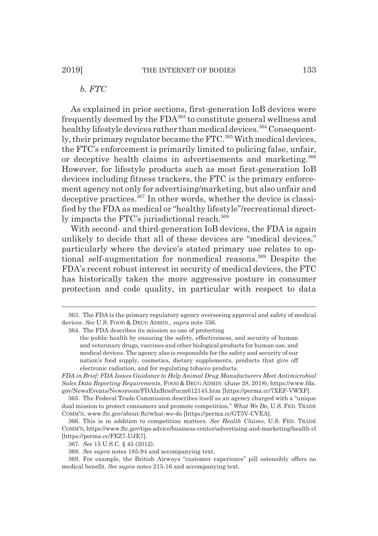*b. FTC*

As explained in prior sections, first-generation IoB devices were frequently deemed by the FDA363 to constitute general wellness and healthy lifestyle devices rather than medical devices.<sup>364</sup> Consequently, their primary regulator became the FTC.<sup>365</sup> With medical devices, the FTC's enforcement is primarily limited to policing false, unfair, or deceptive health claims in advertisements and marketing.<sup>366</sup> However, for lifestyle products such as most first-generation IoB devices including fitness trackers, the FTC is the primary enforcement agency not only for advertising/marketing, but also unfair and deceptive practices.<sup>367</sup> In other words, whether the device is classified by the FDA as medical or "healthy lifestyle"/recreational directly impacts the FTC's jurisdictional reach.<sup>368</sup>

With second- and third-generation IoB devices, the FDA is again unlikely to decide that all of these devices are "medical devices," particularly where the device's stated primary use relates to optional self-augmentation for nonmedical reasons.369 Despite the FDA's recent robust interest in security of medical devices, the FTC has historically taken the more aggressive posture in consumer protection and code quality, in particular with respect to data

*FDA in Brief: FDA Issues Guidance to Help Animal Drug Manufacturers Meet Antimicrobial Sales Data Reporting Requirements*, FOOD & DRUG ADMIN. (June 28, 2018), https://www.fda. gov/NewsEvents/Newsroom/FDAInBrief/ucm612145.htm [https://perma.cc/7XEF-VWXF].

365. The Federal Trade Commission describes itself as an agency charged with a "unique dual mission to protect consumers and promote competition." *What We Do*, U.S. FED. TRADE COMM'N, www.ftc.gov/about-ftc/what-we-do [https://perma.cc/GT5V-CVEA].

366. This is in addition to competition matters. *See Health Claims*, U.S. FED. TRADE COMM'N, https://www.ftc.gov/tips-advice/business-center/advertising-and-marketing/health-cl [https://perma.cc/FEZ7-UJE7].

<sup>363.</sup> The FDA is the primary regulatory agency overseeing approval and safety of medical devices. *See* U.S. FOOD & DRUG ADMIN., *supra* note 356.

<sup>364.</sup> The FDA describes its mission as one of protecting

the public health by ensuring the safety, effectiveness, and security of human and veterinary drugs, vaccines and other biological products for human use, and medical devices. The agency also is responsible for the safety and security of our nation's food supply, cosmetics, dietary supplements, products that give off electronic radiation, and for regulating tobacco products.

<sup>367.</sup> *See* 15 U.S.C. § 45 (2012).

<sup>368.</sup> *See supra* notes 185-94 and accompanying text.

<sup>369.</sup> For example, the British Airways "customer experience" pill ostensibly offers no medical benefit. *See supra* notes 215-16 and accompanying text.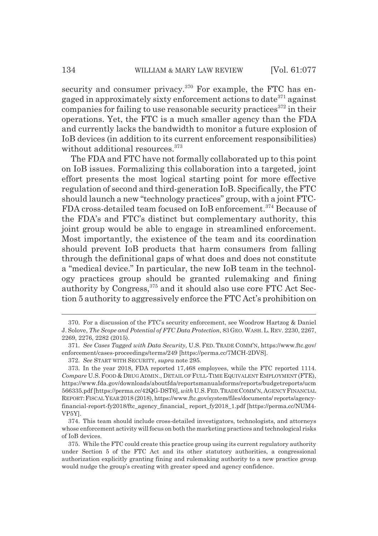security and consumer privacy. $370$  For example, the FTC has engaged in approximately sixty enforcement actions to date  $371$  against companies for failing to use reasonable security practices  $372$  in their operations. Yet, the FTC is a much smaller agency than the FDA and currently lacks the bandwidth to monitor a future explosion of IoB devices (in addition to its current enforcement responsibilities) without additional resources.<sup>373</sup>

The FDA and FTC have not formally collaborated up to this point on IoB issues. Formalizing this collaboration into a targeted, joint effort presents the most logical starting point for more effective regulation of second and third-generation IoB. Specifically, the FTC should launch a new "technology practices" group, with a joint FTC-FDA cross-detailed team focused on IoB enforcement.<sup>374</sup> Because of the FDA's and FTC's distinct but complementary authority, this joint group would be able to engage in streamlined enforcement. Most importantly, the existence of the team and its coordination should prevent IoB products that harm consumers from falling through the definitional gaps of what does and does not constitute a "medical device." In particular, the new IoB team in the technology practices group should be granted rulemaking and fining authority by Congress,375 and it should also use core FTC Act Section 5 authority to aggressively enforce the FTC Act's prohibition on

<sup>370.</sup> For a discussion of the FTC's security enforcement, see Woodrow Hartzog & Daniel J. Solove, *The Scope and Potential of FTC Data Protection*, 83GEO.WASH.L. REV. 2230, 2267, 2269, 2276, 2282 (2015).

<sup>371.</sup> *See Cases Tagged with Data Security*, U.S. FED. TRADE COMM'N, https://www.ftc.gov/ enforcement/cases-proceedings/terms/249 [https://perma.cc/7MCH-2DVS].

<sup>372.</sup> *See* START WITH SECURITY, *supra* note 295.

<sup>373.</sup> In the year 2018, FDA reported 17,468 employees, while the FTC reported 1114. *Compare* U.S.FOOD & DRUG ADMIN., DETAIL OF FULL-TIME EQUIVALENT EMPLOYMENT (FTE), https://www.fda.gov/downloads/aboutfda/reportsmanualsforms/reports/budgetreports/ucm 566335.pdf [https://perma.cc/42QG-DST6], *with* U.S.FED.TRADE COMM'N, AGENCY FINANCIAL REPORT:FISCAL YEAR 2018 (2018), https://www.ftc.gov/system/files/documents/ reports/agencyfinancial-report-fy2018/ftc\_agency\_financial\_ report\_fy2018\_1.pdf [https://perma.cc/NUM4- VP5Y].

<sup>374.</sup> This team should include cross-detailed investigators, technologists, and attorneys whose enforcement activity will focus on both the marketing practices and technological risks of IoB devices.

<sup>375.</sup> While the FTC could create this practice group using its current regulatory authority under Section 5 of the FTC Act and its other statutory authorities, a congressional authorization explicitly granting fining and rulemaking authority to a new practice group would nudge the group's creating with greater speed and agency confidence.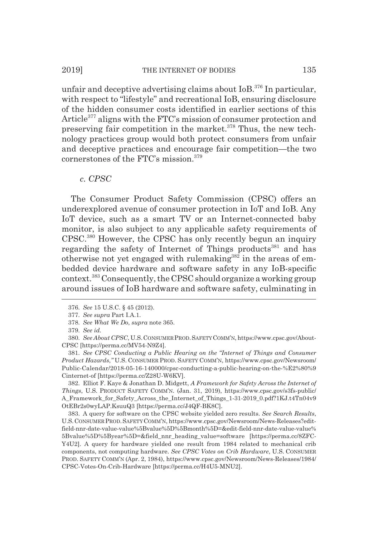unfair and deceptive advertising claims about  $I_0B$ <sup>376</sup> In particular, with respect to "lifestyle" and recreational IoB, ensuring disclosure of the hidden consumer costs identified in earlier sections of this Article<sup>377</sup> aligns with the FTC's mission of consumer protection and preserving fair competition in the market.<sup>378</sup> Thus, the new technology practices group would both protect consumers from unfair and deceptive practices and encourage fair competition—the two cornerstones of the FTC's mission.379

*c. CPSC*

The Consumer Product Safety Commission (CPSC) offers an underexplored avenue of consumer protection in IoT and IoB. Any IoT device, such as a smart TV or an Internet-connected baby monitor, is also subject to any applicable safety requirements of CPSC.380 However, the CPSC has only recently begun an inquiry regarding the safety of Internet of Things products<sup>381</sup> and has otherwise not yet engaged with rulemaking<sup>382</sup> in the areas of embedded device hardware and software safety in any IoB-specific context.383 Consequently, the CPSC should organize a working group around issues of IoB hardware and software safety, culminating in

381. *See CPSC Conducting a Public Hearing on the "Internet of Things and Consumer Product Hazards*,*"* U.S. CONSUMER PROD. SAFETY COMM'N, https://www.cpsc.gov/Newsroom/ Public-Calendar/2018-05-16-140000/cpsc-conducting-a-public-hearing-on-the-%E2%80%9 Cinternet-of [https://perma.cc/Z28U-W6KV].

382. Elliot F. Kaye & Jonathan D. Midgett, *A Framework for Safety Across the Internet of Things*, U.S. PRODUCT SAFETY COMM'N. (Jan. 31, 2019), https://www.cpsc.gov/s3fs-public/ A\_Framework\_for\_Safety\_Across\_the\_Internet\_of\_Things\_1-31-2019\_0.pdf?1KJ.t4Tn04v9 OtEBr2s0wyLAP.KsuuQ3 [https://perma.cc/J4QF-BK8C].

383. A query for software on the CPSC website yielded zero results. *See Search Results*, U.S.CONSUMER PROD.SAFETY COMM'N, https://www.cpsc.gov/Newsroom/News-Releases?editfield-nnr-date-value-value%5Bvalue%5D%5Bmonth%5D=&edit-field-nnr-date-value-value% 5Bvalue%5D%5Byear%5D=&field\_nnr\_heading\_value=software [https://perma.cc/8ZFC-Y4U2]. A query for hardware yielded one result from 1984 related to mechanical crib components, not computing hardware. *See CPSC Votes on Crib Hardware*, U.S. CONSUMER PROD. SAFETY COMM'N (Apr. 2, 1984), https://www.cpsc.gov/Newsroom/News-Releases/1984/ CPSC-Votes-On-Crib-Hardware [https://perma.cc/H4U5-MNU2].

<sup>376.</sup> *See* 15 U.S.C. § 45 (2012).

<sup>377.</sup> *See supra* Part I.A.1.

<sup>378.</sup> *See What We Do*, *supra* note 365.

<sup>379.</sup> *See id.*

<sup>380.</sup> *See About CPSC*, U.S.CONSUMER PROD.SAFETY COMM'N, https://www.cpsc.gov/About-CPSC [https://perma.cc/MV54-N9Z4].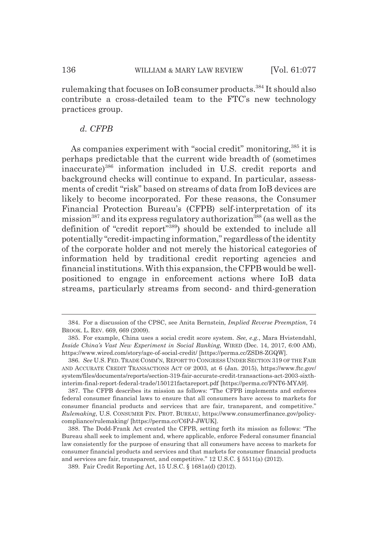rulemaking that focuses on IoB consumer products.<sup>384</sup> It should also contribute a cross-detailed team to the FTC's new technology practices group.

### *d. CFPB*

As companies experiment with "social credit" monitoring,<sup>385</sup> it is perhaps predictable that the current wide breadth of (sometimes inaccurate)386 information included in U.S. credit reports and background checks will continue to expand. In particular, assessments of credit "risk" based on streams of data from IoB devices are likely to become incorporated. For these reasons, the Consumer Financial Protection Bureau's (CFPB) self-interpretation of its mission<sup>387</sup> and its express regulatory authorization<sup>388</sup> (as well as the definition of "credit report"389) should be extended to include all potentially "credit-impacting information," regardless of the identity of the corporate holder and not merely the historical categories of information held by traditional credit reporting agencies and financial institutions. With this expansion, the CFPB would be wellpositioned to engage in enforcement actions where IoB data streams, particularly streams from second- and third-generation

<sup>384.</sup> For a discussion of the CPSC, see Anita Bernstein*, Implied Reverse Preemption*, 74 BROOK. L. REV. 669, 669 (2009).

<sup>385.</sup> For example, China uses a social credit score system. *See, e.g.*, Mara Hvistendahl, *Inside China's Vast New Experiment in Social Ranking*, WIRED (Dec. 14, 2017, 6:00 AM), https://www.wired.com/story/age-of-social-credit/ [https://perma.cc/ZSD8-ZGQW].

<sup>386.</sup> *See* U.S. FED. TRADE COMM'N, REPORT TO CONGRESS UNDER SECTION 319 OF THE FAIR AND ACCURATE CREDIT TRANSACTIONS ACT OF 2003, at 6 (Jan. 2015), https://www.ftc.gov/ system/files/documents/reports/section-319-fair-accurate-credit-transactions-act-2003-sixthinterim-final-report-federal-trade/150121factareport.pdf [https://perma.cc/FNT6-MYA9].

<sup>387.</sup> The CFPB describes its mission as follows: "The CFPB implements and enforces federal consumer financial laws to ensure that all consumers have access to markets for consumer financial products and services that are fair, transparent, and competitive." *Rulemaking*, U.S. CONSUMER FIN. PROT. BUREAU, https://www.consumerfinance.gov/policycompliance/rulemaking/ [https://perma.cc/C6PJ-JWUK].

<sup>388.</sup> The Dodd-Frank Act created the CFPB, setting forth its mission as follows: "The Bureau shall seek to implement and, where applicable, enforce Federal consumer financial law consistently for the purpose of ensuring that all consumers have access to markets for consumer financial products and services and that markets for consumer financial products and services are fair, transparent, and competitive." 12 U.S.C. § 5511(a) (2012).

<sup>389.</sup> Fair Credit Reporting Act, 15 U.S.C. § 1681a(d) (2012).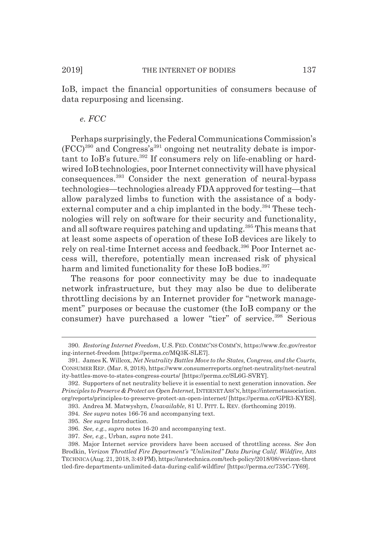IoB, impact the financial opportunities of consumers because of data repurposing and licensing.

### *e. FCC*

Perhaps surprisingly, the Federal Communications Commission's  $(FCC)^{390}$  and Congress's<sup>391</sup> ongoing net neutrality debate is important to IoB's future.<sup>392</sup> If consumers rely on life-enabling or hardwired IoB technologies, poor Internet connectivity will have physical consequences.393 Consider the next generation of neural-bypass technologies—technologies already FDA approved for testing—that allow paralyzed limbs to function with the assistance of a bodyexternal computer and a chip implanted in the body.<sup>394</sup> These technologies will rely on software for their security and functionality, and all software requires patching and updating.395 This means that at least some aspects of operation of these IoB devices are likely to rely on real-time Internet access and feedback.<sup>396</sup> Poor Internet access will, therefore, potentially mean increased risk of physical harm and limited functionality for these IoB bodies.<sup>397</sup>

The reasons for poor connectivity may be due to inadequate network infrastructure, but they may also be due to deliberate throttling decisions by an Internet provider for "network management" purposes or because the customer (the IoB company or the consumer) have purchased a lower "tier" of service.<sup>398</sup> Serious

<sup>390.</sup> *Restoring Internet Freedom*, U.S.FED. COMMC'NS COMM'N, https://www.fcc.gov/restor ing-internet-freedom [https://perma.cc/MQ3K-SLE7].

<sup>391.</sup> James K. Willcox, *Net Neutrality Battles Move to the States, Congress, and the Courts*, CONSUMER REP. (Mar. 8, 2018), https://www.consumerreports.org/net-neutrality/net-neutral ity-battles-move-to-states-congress-courts/ [https://perma.cc/SL6G-SVRY].

<sup>392.</sup> Supporters of net neutrality believe it is essential to next generation innovation. *See Principles to Preserve & Protect an Open Internet*, INTERNET ASS'N, https://internetassociation. org/reports/principles-to-preserve-protect-an-open-internet/ [https://perma.cc/GPR3-KYES].

<sup>393.</sup> Andrea M. Matwyshyn, *Unavailable*, 81 U. PITT. L. REV. (forthcoming 2019).

<sup>394.</sup> *See supra* notes 166-76 and accompanying text.

<sup>395.</sup> *See supra* Introduction.

<sup>396.</sup> *See, e.g.*, *supra* notes 16-20 and accompanying text.

<sup>397.</sup> *See, e.g.*, Urban, *supra* note 241.

<sup>398.</sup> Major Internet service providers have been accused of throttling access. *See* Jon Brodkin, *Verizon Throttled Fire Department's "Unlimited" Data During Calif. Wildfire*, ARS TECHNICA (Aug. 21, 2018, 3:49 PM), https://arstechnica.com/tech-policy/2018/08/verizon-throt tled-fire-departments-unlimited-data-during-calif-wildfire/ [https://perma.cc/735C-7Y69].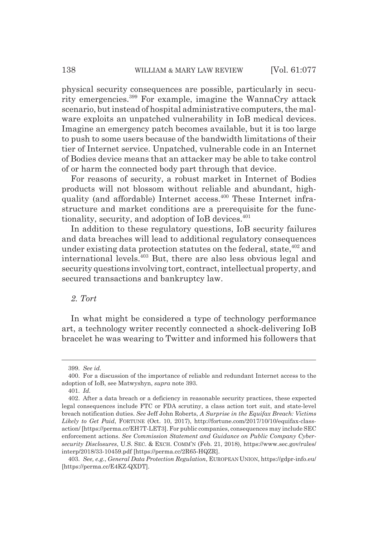physical security consequences are possible, particularly in security emergencies.399 For example, imagine the WannaCry attack scenario, but instead of hospital administrative computers, the malware exploits an unpatched vulnerability in IoB medical devices. Imagine an emergency patch becomes available, but it is too large to push to some users because of the bandwidth limitations of their tier of Internet service. Unpatched, vulnerable code in an Internet of Bodies device means that an attacker may be able to take control of or harm the connected body part through that device.

For reasons of security, a robust market in Internet of Bodies products will not blossom without reliable and abundant, highquality (and affordable) Internet access.<sup>400</sup> These Internet infrastructure and market conditions are a prerequisite for the functionality, security, and adoption of  $I_0B$  devices.<sup>401</sup>

In addition to these regulatory questions, IoB security failures and data breaches will lead to additional regulatory consequences under existing data protection statutes on the federal, state,<sup>402</sup> and international levels.403 But, there are also less obvious legal and security questions involving tort, contract, intellectual property, and secured transactions and bankruptcy law.

*2. Tort*

In what might be considered a type of technology performance art, a technology writer recently connected a shock-delivering IoB bracelet he was wearing to Twitter and informed his followers that

<sup>399.</sup> *See id.*

<sup>400.</sup> For a discussion of the importance of reliable and redundant Internet access to the adoption of IoB, see Matwyshyn, *supra* note 393.

<sup>401.</sup> *Id.*

<sup>402.</sup> After a data breach or a deficiency in reasonable security practices, these expected legal consequences include FTC or FDA scrutiny, a class action tort suit, and state-level breach notification duties. *See* Jeff John Roberts, *A Surprise in the Equifax Breach: Victims Likely to Get Paid*, FORTUNE (Oct. 10, 2017), http://fortune.com/2017/10/10/equifax-classaction/ [https://perma.cc/EH7T-LET3]. For public companies, consequences may include SEC enforcement actions. *See Commission Statement and Guidance on Public Company Cybersecurity Disclosures*, U.S. SEC. & EXCH. COMM'N (Feb. 21, 2018), https://www.sec.gov/rules/ interp/2018/33-10459.pdf [https://perma.cc/2R65-HQZR].

<sup>403.</sup> *See, e.g.*, *General Data Protection Regulation*, EUROPEAN UNION, https://gdpr-info.eu/ [https://perma.cc/E4KZ-QXDT].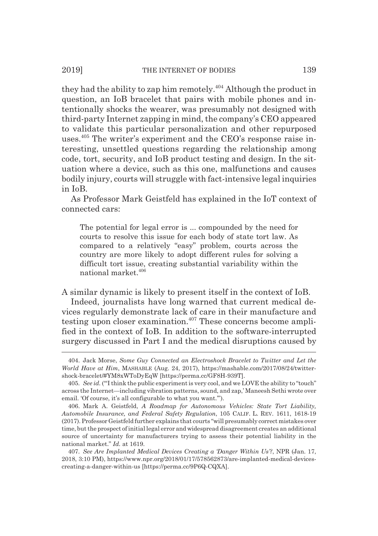they had the ability to zap him remotely.<sup>404</sup> Although the product in question, an IoB bracelet that pairs with mobile phones and intentionally shocks the wearer, was presumably not designed with third-party Internet zapping in mind, the company's CEO appeared to validate this particular personalization and other repurposed uses.405 The writer's experiment and the CEO's response raise interesting, unsettled questions regarding the relationship among code, tort, security, and IoB product testing and design. In the situation where a device, such as this one, malfunctions and causes bodily injury, courts will struggle with fact-intensive legal inquiries in IoB.

As Professor Mark Geistfeld has explained in the IoT context of connected cars:

The potential for legal error is ... compounded by the need for courts to resolve this issue for each body of state tort law. As compared to a relatively "easy" problem, courts across the country are more likely to adopt different rules for solving a difficult tort issue, creating substantial variability within the national market.<sup>406</sup>

A similar dynamic is likely to present itself in the context of IoB.

Indeed, journalists have long warned that current medical devices regularly demonstrate lack of care in their manufacture and testing upon closer examination.407 These concerns become amplified in the context of IoB. In addition to the software-interrupted surgery discussed in Part I and the medical disruptions caused by

<sup>404.</sup> Jack Morse, *Some Guy Connected an Electroshock Bracelet to Twitter and Let the World Have at Him*, MASHABLE (Aug. 24, 2017), https://mashable.com/2017/08/24/twittershock-bracelet/#YM8xWToDyEqW [https://perma.cc/GF8H-939T].

<sup>405.</sup> *See id.* ("'I think the public experiment is very cool, and we LOVE the ability to "touch" across the Internet—including vibration patterns, sound, and zap,' Maneesh Sethi wrote over email. 'Of course, it's all configurable to what you want.'").

<sup>406.</sup> Mark A. Geistfeld, *A Roadmap for Autonomous Vehicles: State Tort Liability, Automobile Insurance, and Federal Safety Regulation*, 105 CALIF. L. REV. 1611, 1618-19 (2017). Professor Geistfeld further explains that courts "will presumably correct mistakes over time, but the prospect of initial legal error and widespread disagreement creates an additional source of uncertainty for manufacturers trying to assess their potential liability in the national market." *Id.* at 1619.

<sup>407.</sup> *See Are Implanted Medical Devices Creating a 'Danger Within Us'?*, NPR (Jan. 17, 2018, 3:10 PM), https://www.npr.org/2018/01/17/578562873/are-implanted-medical-devicescreating-a-danger-within-us [https://perma.cc/9P6Q-CQXA].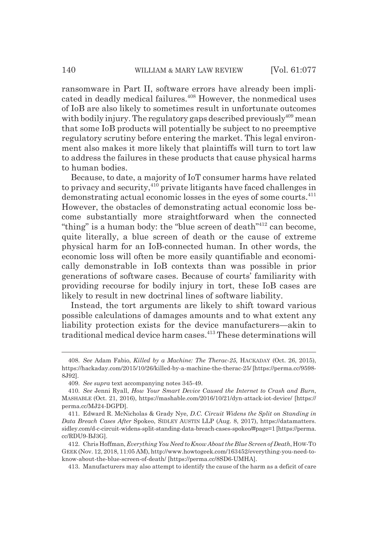ransomware in Part II, software errors have already been implicated in deadly medical failures.<sup>408</sup> However, the nonmedical uses of IoB are also likely to sometimes result in unfortunate outcomes with bodily injury. The regulatory gaps described previously<sup>409</sup> mean that some IoB products will potentially be subject to no preemptive regulatory scrutiny before entering the market. This legal environment also makes it more likely that plaintiffs will turn to tort law to address the failures in these products that cause physical harms to human bodies.

Because, to date, a majority of IoT consumer harms have related to privacy and security,  $410$  private litigants have faced challenges in demonstrating actual economic losses in the eyes of some courts. $411$ However, the obstacles of demonstrating actual economic loss become substantially more straightforward when the connected "thing" is a human body: the "blue screen of death"<sup>412</sup> can become, quite literally, a blue screen of death or the cause of extreme physical harm for an IoB-connected human. In other words, the economic loss will often be more easily quantifiable and economically demonstrable in IoB contexts than was possible in prior generations of software cases. Because of courts' familiarity with providing recourse for bodily injury in tort, these IoB cases are likely to result in new doctrinal lines of software liability.

Instead, the tort arguments are likely to shift toward various possible calculations of damages amounts and to what extent any liability protection exists for the device manufacturers—akin to  $traditional medical device harm cases.<sup>413</sup> These determinations will$ 

<sup>408.</sup> *See* Adam Fabio, *Killed by a Machine: The Therac-25,* HACKADAY (Oct. 26, 2015), https://hackaday.com/2015/10/26/killed-by-a-machine-the-therac-25/ [https://perma.cc/9598- 8J92].

<sup>409.</sup> *See supra* text accompanying notes 345-49.

<sup>410.</sup> *See* Jenni Ryall, *How Your Smart Device Caused the Internet to Crash and Burn*, MASHABLE (Oct. 21, 2016), https://mashable.com/2016/10/21/dyn-attack-iot-device/ [https:// perma.cc/MJ24-DGPD].

<sup>411.</sup> Edward R. McNicholas & Grady Nye, *D.C. Circuit Widens the Split on Standing in Data Breach Cases After* Spokeo, SIDLEY AUSTIN LLP (Aug. 8, 2017), https://datamatters. sidley.com/d-c-circuit-widens-split-standing-data-breach-cases-spokeo/#page=1 [https://perma. cc/RDU9-BJ3G].

<sup>412.</sup> Chris Hoffman, *Everything You Need to Know About the Blue Screen of Death*, HOW-TO GEEK (Nov. 12, 2018, 11:05 AM), http://www.howtogeek.com/163452/everything-you-need-toknow-about-the-blue-screen-of-death/ [https://perma.cc/8SD6-UMHA].

<sup>413.</sup> Manufacturers may also attempt to identify the cause of the harm as a deficit of care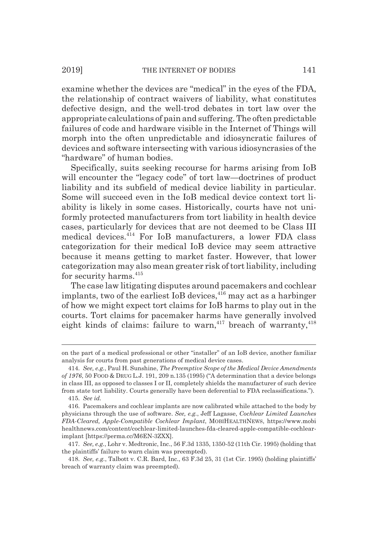examine whether the devices are "medical" in the eyes of the FDA, the relationship of contract waivers of liability, what constitutes defective design, and the well-trod debates in tort law over the appropriate calculations of pain and suffering. The often predictable failures of code and hardware visible in the Internet of Things will morph into the often unpredictable and idiosyncratic failures of devices and software intersecting with various idiosyncrasies of the "hardware" of human bodies.

Specifically, suits seeking recourse for harms arising from IoB will encounter the "legacy code" of tort law—doctrines of product liability and its subfield of medical device liability in particular. Some will succeed even in the IoB medical device context tort liability is likely in some cases. Historically, courts have not uniformly protected manufacturers from tort liability in health device cases, particularly for devices that are not deemed to be Class III medical devices.414 For IoB manufacturers, a lower FDA class categorization for their medical IoB device may seem attractive because it means getting to market faster. However, that lower categorization may also mean greater risk of tort liability, including for security harms. $415$ 

The case law litigating disputes around pacemakers and cochlear implants, two of the earliest  $I_0$ B devices,  $4^{16}$  may act as a harbinger of how we might expect tort claims for IoB harms to play out in the courts. Tort claims for pacemaker harms have generally involved eight kinds of claims: failure to warn, $417$  breach of warranty, $418$ 

on the part of a medical professional or other "installer" of an IoB device, another familiar analysis for courts from past generations of medical device cases.

<sup>414.</sup> *See, e.g.*, Paul H. Sunshine, *The Preemptive Scope of the Medical Device Amendments of 1976*, 50 FOOD & DRUG L.J. 191, 209 n.135 (1995) ("A determination that a device belongs in class III, as opposed to classes I or II, completely shields the manufacturer of such device from state tort liability. Courts generally have been deferential to FDA reclassifications."). 415. *See id.*

<sup>416.</sup> Pacemakers and cochlear implants are now calibrated while attached to the body by physicians through the use of software. *See, e.g.*, Jeff Lagasse, *Cochlear Limited Launches FDA-Cleared, Apple-Compatible Cochlear Implant*, MOBIHEALTHNEWS, https://www.mobi healthnews.com/content/cochlear-limited-launches-fda-cleared-apple-compatible-cochlearimplant [https://perma.cc/M6EN-3ZXX].

<sup>417.</sup> *See, e.g.*, Lohr v. Medtronic, Inc., 56 F.3d 1335, 1350-52 (11th Cir. 1995) (holding that the plaintiffs' failure to warn claim was preempted).

<sup>418.</sup> *See, e.g.*, Talbott v. C.R. Bard, Inc., 63 F.3d 25, 31 (1st Cir. 1995) (holding plaintiffs' breach of warranty claim was preempted).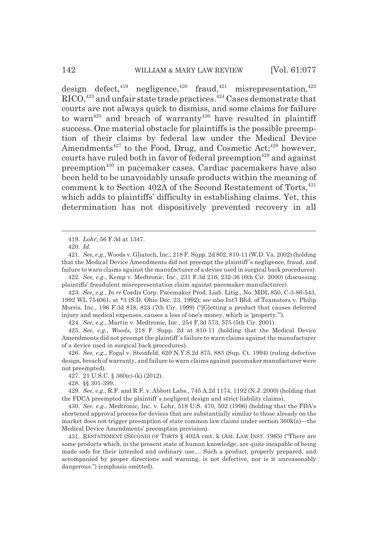design defect,  $419$  negligence,  $420$  fraud,  $421$  misrepresentation,  $422$  $RICO<sup>423</sup>$  and unfair state trade practices.<sup> $424$ </sup> Cases demonstrate that courts are not always quick to dismiss, and some claims for failure to warn<sup>425</sup> and breach of warranty<sup>426</sup> have resulted in plaintiff success. One material obstacle for plaintiffs is the possible preemption of their claims by federal law under the Medical Device Amendments<sup>427</sup> to the Food, Drug, and Cosmetic Act;<sup>428</sup> however, courts have ruled both in favor of federal preemption<sup> $429$ </sup> and against preemption<sup> $430$ </sup> in pacemaker cases. Cardiac pacemakers have also been held to be unavoidably unsafe products within the meaning of comment k to Section 402A of the Second Restatement of Torts, <sup>431</sup> which adds to plaintiffs' difficulty in establishing claims. Yet, this determination has not dispositively prevented recovery in all

422. *See, e.g.*, Kemp v. Medtronic, Inc., 231 F.3d 216, 232-36 (6th Cir. 2000) (discussing plaintiffs' fraudulent misrepresentation claim against pacemaker manufacturer).

423. *See, e.g.*, *In re* Cordis Corp. Pacemaker Prod. Liab. Litig., No. MDL 850, C-3-86-543, 1992 WL 754061, at \*3 (S.D. Ohio Dec. 23, 1992); *see also* Int'l Bhd. of Teamsters v. Philip Morris, Inc., 196 F.3d 818, 823 (7th Cir. 1999) ("[G]etting a product that causes deferred injury and medical expenses, causes a loss of one's money, which is 'property.'").

424. *See, e.g.*, Martin v. Medtronic, Inc., 254 F.3d 573, 575 (5th Cir. 2001).

425. *See, e.g.*, *Woods*, 218 F. Supp. 2d at 810-11 (holding that the Medical Device Amendments did not preempt the plaintiff 's failure to warn claims against the manufacturer of a device used in surgical back procedures).

426. *See, e.g.*, Fogal v. Steinfeld, 620 N.Y.S.2d 875, 883 (Sup. Ct. 1994) (ruling defective design, breach of warranty, and failure to warn claims against pacemaker manufacturer were not preempted).

428. §§ 301-399.

429. *See, e.g.*, R.F. and R.F. v. Abbott Labs., 745 A.2d 1174, 1192 (N.J. 2000) (holding that the FDCA preempted the plaintiff 's negligent design and strict liability claims).

430. *See, e.g.*, Medtronic, Inc. v. Lohr, 518 U.S. 470, 502 (1996) (holding that the FDA's shortened approval process for devices that are substantially similar to those already on the market does not trigger preemption of state common law claims under section 360k(a)—the Medical Device Amendments' preemption provision).

431. RESTATEMENT (SECOND) OF TORTS § 402A cmt. k (AM. LAW INST. 1965) ("There are some products which, in the present state of human knowledge, are quite incapable of being made safe for their intended and ordinary use.... Such a product, properly prepared, and accompanied by proper directions and warning, is not defective, nor is it unreasonably dangerous.") (emphasis omitted).

<sup>419.</sup> *Lohr*, 56 F.3d at 1347.

<sup>420.</sup> *Id.*

<sup>421.</sup> *See, e.g.*, Woods v. Gliatech, Inc., 218 F. Supp. 2d 802, 810-11 (W.D. Va. 2002) (holding that the Medical Device Amendments did not preempt the plaintiff 's negligence, fraud, and failure to warn claims against the manufacturer of a device used in surgical back procedures).

<sup>427. 21</sup> U.S.C. § 360(c)-(k) (2012).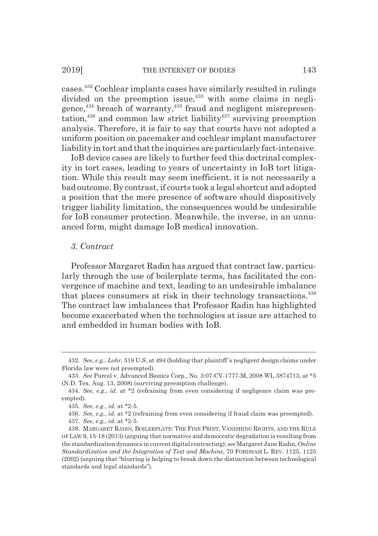cases.432 Cochlear implants cases have similarly resulted in rulings divided on the preemption issue, $433$  with some claims in negligence,<sup>434</sup> breach of warranty,<sup>435</sup> fraud and negligent misrepresentation, $436$  and common law strict liability $437$  surviving preemption analysis. Therefore, it is fair to say that courts have not adopted a uniform position on pacemaker and cochlear implant manufacturer liability in tort and that the inquiries are particularly fact-intensive.

IoB device cases are likely to further feed this doctrinal complexity in tort cases, leading to years of uncertainty in IoB tort litigation. While this result may seem inefficient, it is not necessarily a bad outcome. By contrast, if courts took a legal shortcut and adopted a position that the mere presence of software should dispositively trigger liability limitation, the consequences would be undesirable for IoB consumer protection. Meanwhile, the inverse, in an unnuanced form, might damage IoB medical innovation.

#### *3. Contract*

Professor Margaret Radin has argued that contract law, particularly through the use of boilerplate terms, has facilitated the convergence of machine and text, leading to an undesirable imbalance that places consumers at risk in their technology transactions.<sup>438</sup> The contract law imbalances that Professor Radin has highlighted become exacerbated when the technologies at issue are attached to and embedded in human bodies with IoB.

<sup>432.</sup> *See, e.g.*, *Lohr*, 518 U.S. at 494 (holding that plaintiff 's negligent design claims under Florida law were not preempted).

<sup>433.</sup> *See* Purcel v. Advanced Bionics Corp., No. 3:07-CV-1777-M, 2008 WL 3874713, at \*5 (N.D. Tex. Aug. 13, 2008) (surviving preemption challenge).

<sup>434.</sup> *See, e.g.*, *id.* at \*2 (refraining from even considering if negligence claim was preempted).

<sup>435.</sup> *See, e.g.*, *id.* at \*2-5.

<sup>436.</sup> *See, e.g.*, *id.* at \*2 (refraining from even considering if fraud claim was preempted).

<sup>437.</sup> *See, e.g.*, *id.* at \*2-5.

<sup>438.</sup> MARGARET RADIN, BOILERPLATE: THE FINE PRINT, VANISHING RIGHTS, AND THE RULE OF LAW 9, 15-18 (2013) (arguing that normative and democratic degradation is resulting from the standardization dynamics in current digital contracting); *see* Margaret Jane Radin, *Online Standardization and the Integration of Text and Machine*, 70 FORDHAM L. REV. 1125, 1125 (2002) (arguing that "blurring is helping to break down the distinction between technological standards and legal standards").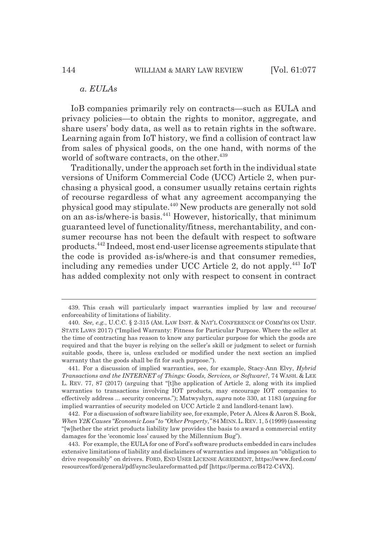## *a. EULAs*

IoB companies primarily rely on contracts—such as EULA and privacy policies—to obtain the rights to monitor, aggregate, and share users' body data, as well as to retain rights in the software. Learning again from IoT history, we find a collision of contract law from sales of physical goods, on the one hand, with norms of the world of software contracts, on the other.<sup>439</sup>

Traditionally, under the approach set forth in the individual state versions of Uniform Commercial Code (UCC) Article 2, when purchasing a physical good, a consumer usually retains certain rights of recourse regardless of what any agreement accompanying the physical good may stipulate.440 New products are generally not sold on an as-is/where-is basis.<sup>441</sup> However, historically, that minimum guaranteed level of functionality/fitness, merchantability, and consumer recourse has not been the default with respect to software products.442 Indeed, most end-user license agreements stipulate that the code is provided as-is/where-is and that consumer remedies, including any remedies under UCC Article 2, do not apply.443 IoT has added complexity not only with respect to consent in contract

<sup>439.</sup> This crash will particularly impact warranties implied by law and recourse/ enforceability of limitations of liability.

<sup>440.</sup> *See, e.g.*, U.C.C. § 2-315 (AM. LAW INST. & NAT'L CONFERENCE OF COMM'RS ON UNIF. STATE LAWS 2017) ("Implied Warranty: Fitness for Particular Purpose. Where the seller at the time of contracting has reason to know any particular purpose for which the goods are required and that the buyer is relying on the seller's skill or judgment to select or furnish suitable goods, there is, unless excluded or modified under the next section an implied warranty that the goods shall be fit for such purpose.").

<sup>441.</sup> For a discussion of implied warranties, see, for example, Stacy-Ann Elvy, *Hybrid Transactions and the INTERNET of Things: Goods, Services, or Software?*, 74 WASH. & LEE L. REV. 77, 87 (2017) (arguing that "[t]he application of Article 2, along with its implied warranties to transactions involving IOT products, may encourage IOT companies to effectively address ... security concerns."); Matwyshyn, *supra* note 330, at 1183 (arguing for implied warranties of security modeled on UCC Article 2 and landlord-tenant law).

<sup>442.</sup> For a discussion of software liability see, for example, Peter A. Alces & Aaron S. Book, *When Y2K Causes "Economic Loss" to "Other Property*,*"* 84 MINN.L.REV. 1, 5 (1999) (assessing "[w]hether the strict products liability law provides the basis to award a commercial entity damages for the 'economic loss' caused by the Millennium Bug").

<sup>443.</sup> For example, the EULA for one of Ford's software products embedded in cars includes extensive limitations of liability and disclaimers of warranties and imposes an "obligation to drive responsibly" on drivers. FORD, END USER LICENSE AGREEMENT, https://www.ford.com/ resources/ford/general/pdf/sync3eulareformatted.pdf [https://perma.cc/B472-C4VX].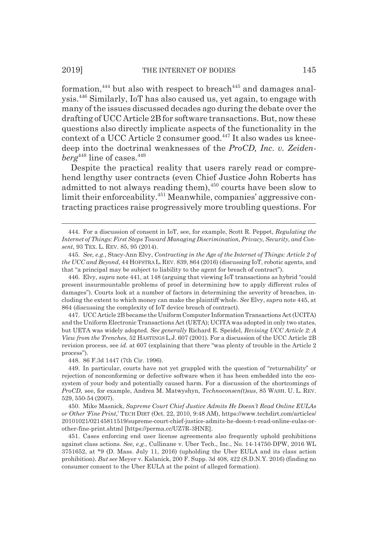formation,<sup>444</sup> but also with respect to breach<sup> $445$ </sup> and damages analysis.446 Similarly, IoT has also caused us, yet again, to engage with many of the issues discussed decades ago during the debate over the drafting of UCC Article 2B for software transactions. But, now these questions also directly implicate aspects of the functionality in the context of a UCC Article  $2$  consumer good.<sup>447</sup> It also wades us kneedeep into the doctrinal weaknesses of the *ProCD, Inc. v. Zeidenberg*<sup>448</sup> line of cases.<sup>449</sup>

Despite the practical reality that users rarely read or comprehend lengthy user contracts (even Chief Justice John Roberts has admitted to not always reading them),  $450$  courts have been slow to limit their enforceability.451 Meanwhile, companies' aggressive contracting practices raise progressively more troubling questions. For

446. Elvy, *supra* note 441, at 148 (arguing that viewing IoT transactions as hybrid "could present insurmountable problems of proof in determining how to apply different rules of damages"). Courts look at a number of factors in determining the severity of breaches, including the extent to which money can make the plaintiff whole. *See* Elvy, *supra* note 445, at 864 (discussing the complexity of IoT device breach of contract).

447. UCC Article 2B became the Uniform Computer Information Transactions Act (UCITA) and the Uniform Electronic Transactions Act (UETA); UCITA was adopted in only two states, but UETA was widely adopted. *See generally* Richard E. Speidel, *Revising UCC Article 2: A View from the Trenches*, 52 HASTINGS L.J. 607 (2001). For a discussion of the UCC Article 2B revision process, see *id.* at 607 (explaining that there "was plenty of trouble in the Article 2 process").

448. 86 F.3d 1447 (7th Cir. 1996).

450. Mike Masnick, *Supreme Court Chief Justice Admits He Doesn't Read Online EULAs or Other 'Fine Print*,' TECH DIRT (Oct. 22, 2010, 9:48 AM), https://www.techdirt.com/articles/ 20101021/02145811519/supreme-court-chief-justice-admits-he-doesn-t-read-online-eulas-orother-fine-print.shtml [https://perma.cc/UZ7R-3HNE].

451. Cases enforcing end user license agreements also frequently uphold prohibitions against class actions. *See, e.g.*, Cullinane v. Uber Tech., Inc., No. 14-14750-DPW, 2016 WL 3751652, at \*9 (D. Mass. July 11, 2016) (upholding the Uber EULA and its class action prohibition). *But see* Meyer v. Kalanick, 200 F. Supp. 3d 408, 422 (S.D.N.Y. 2016) (finding no consumer consent to the Uber EULA at the point of alleged formation).

<sup>444.</sup> For a discussion of consent in IoT, see, for example, Scott R. Peppet, *Regulating the Internet of Things: First Steps Toward Managing Discrimination, Privacy, Security, and Consent*, 93 TEX. L. REV. 85, 95 (2014).

<sup>445.</sup> *See, e.g.*, Stacy-Ann Elvy, *Contracting in the Age of the Internet of Things: Article 2 of the UCC and Beyond*, 44 HOFSTRA L.REV. 839, 864 (2016) (discussing IoT, robotic agents, and that "a principal may be subject to liability to the agent for breach of contract").

<sup>449.</sup> In particular, courts have not yet grappled with the question of "returnability" or rejection of nonconforming or defective software when it has been embedded into the ecosystem of your body and potentially caused harm. For a discussion of the shortcomings of *ProCD*, see, for example, Andrea M. Matwyshyn, *Technoconsen(t)sus*, 85 WASH. U. L. REV. 529, 550-54 (2007).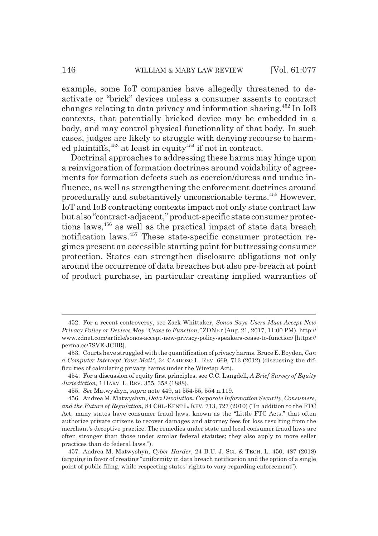example, some IoT companies have allegedly threatened to deactivate or "brick" devices unless a consumer assents to contract changes relating to data privacy and information sharing.452 In IoB contexts, that potentially bricked device may be embedded in a body, and may control physical functionality of that body. In such cases, judges are likely to struggle with denying recourse to harmed plaintiffs,  $453$  at least in equity  $454$  if not in contract.

Doctrinal approaches to addressing these harms may hinge upon a reinvigoration of formation doctrines around voidability of agreements for formation defects such as coercion/duress and undue influence, as well as strengthening the enforcement doctrines around procedurally and substantively unconscionable terms.<sup>455</sup> However, IoT and IoB contracting contexts impact not only state contract law but also "contract-adjacent," product-specific state consumer protections laws,<sup>456</sup> as well as the practical impact of state data breach notification laws.457 These state-specific consumer protection regimes present an accessible starting point for buttressing consumer protection. States can strengthen disclosure obligations not only around the occurrence of data breaches but also pre-breach at point of product purchase, in particular creating implied warranties of

<sup>452.</sup> For a recent controversy, see Zack Whittaker, *Sonos Says Users Must Accept New Privacy Policy or Devices May "Cease to Function*,*"* ZDNET (Aug. 21, 2017, 11:00 PM), http:// www.zdnet.com/article/sonos-accept-new-privacy-policy-speakers-cease-to-function/ [https:// perma.cc/7SVE-JCBR].

<sup>453.</sup> Courts have struggled with the quantification of privacy harms. Bruce E. Boyden, *Can a Computer Intercept Your Mail?*, 34 CARDOZO L. REV. 669, 713 (2012) (discussing the difficulties of calculating privacy harms under the Wiretap Act).

<sup>454.</sup> For a discussion of equity first principles, see C.C. Langdell, *A Brief Survey of Equity Jurisdiction*, 1 HARV. L. REV. 355, 358 (1888).

<sup>455.</sup> *See* Matwyshyn, *supra* note 449, at 554-55, 554 n.119.

<sup>456.</sup> Andrea M. Matwyshyn, *Data Devolution: Corporate Information Security, Consumers, and the Future of Regulation*, 84 CHI.-KENT L. REV. 713, 727 (2010) ("In addition to the FTC Act, many states have consumer fraud laws, known as the "Little FTC Acts," that often authorize private citizens to recover damages and attorney fees for loss resulting from the merchant's deceptive practice. The remedies under state and local consumer fraud laws are often stronger than those under similar federal statutes; they also apply to more seller practices than do federal laws.").

<sup>457.</sup> Andrea M. Matwyshyn, *Cyber Harder*, 24 B.U. J. SCI. & TECH. L. 450, 487 (2018) (arguing in favor of creating "uniformity in data breach notification and the option of a single point of public filing, while respecting states' rights to vary regarding enforcement").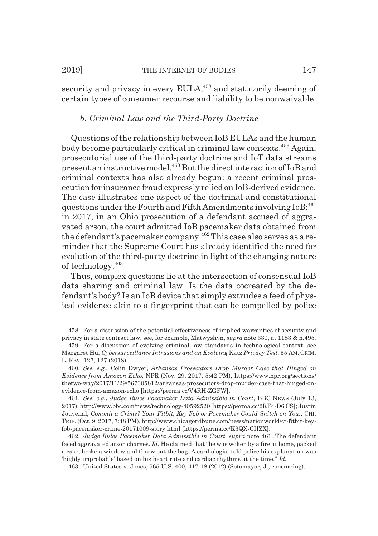### *b. Criminal Law and the Third-Party Doctrine*

Questions of the relationship between IoB EULAs and the human body become particularly critical in criminal law contexts.459 Again, prosecutorial use of the third-party doctrine and IoT data streams present an instructive model.460 But the direct interaction of IoB and criminal contexts has also already begun: a recent criminal prosecution for insurance fraud expressly relied on IoB-derived evidence. The case illustrates one aspect of the doctrinal and constitutional questions under the Fourth and Fifth Amendments involving IoB:<sup>461</sup> in 2017, in an Ohio prosecution of a defendant accused of aggravated arson, the court admitted IoB pacemaker data obtained from the defendant's pacemaker company.  $462$  This case also serves as a reminder that the Supreme Court has already identified the need for evolution of the third-party doctrine in light of the changing nature of technology.463

Thus, complex questions lie at the intersection of consensual IoB data sharing and criminal law. Is the data cocreated by the defendant's body? Is an IoB device that simply extrudes a feed of physical evidence akin to a fingerprint that can be compelled by police

<sup>458.</sup> For a discussion of the potential effectiveness of implied warranties of security and privacy in state contract law, see, for example, Matwyshyn, *supra* note 330, at 1183 & n.495.

<sup>459.</sup> For a discussion of evolving criminal law standards in technological context, see Margaret Hu, *Cybersurveillance Intrusions and an Evolving* Katz *Privacy Test*, 55 AM. CRIM. L. REV. 127, 127 (2018).

<sup>460.</sup> *See, e.g.*, Colin Dwyer, *Arkansas Prosecutors Drop Murder Case that Hinged on Evidence from Amazon Echo,* NPR (Nov. 29, 2017, 5:42 PM), https://www.npr.org/sections/ thetwo-way/2017/11/29/567305812/arkansas-prosecutors-drop-murder-case-that-hinged-onevidence-from-amazon-echo [https://perma.cc/V4RH-ZGFW].

<sup>461.</sup> *See, e.g.*, *Judge Rules Pacemaker Data Admissible in Court*, BBC NEWS (July 13, 2017), http://www.bbc.com/news/technology-40592520 [https://perma.cc/2RF4-D6 CS]; Justin Jouvenal, *Commit a Crime? Your Fitbit, Key Fob or Pacemaker Could Snitch on You.*, CHI. TRIB. (Oct. 9, 2017, 7:48 PM), http://www.chicagotribune.com/news/nationworld/ct-fitbit-keyfob-pacemaker-crime-20171009-story.html [https://perma.cc/K3QX-CHZX].

<sup>462.</sup> *Judge Rules Pacemaker Data Admissible in Court*, *supra* note 461. The defendant faced aggravated arson charges. *Id.* He claimed that "he was woken by a fire at home, packed a case, broke a window and threw out the bag. A cardiologist told police his explanation was 'highly improbable' based on his heart rate and cardiac rhythms at the time." *Id.*

<sup>463.</sup> United States v. Jones, 565 U.S. 400, 417-18 (2012) (Sotomayor, J., concurring).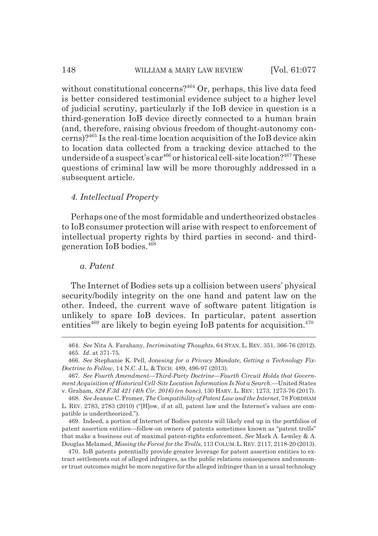without constitutional concerns?<sup>464</sup> Or, perhaps, this live data feed is better considered testimonial evidence subject to a higher level of judicial scrutiny, particularly if the IoB device in question is a third-generation IoB device directly connected to a human brain (and, therefore, raising obvious freedom of thought-autonomy concerns)?465 Is the real-time location acquisition of the IoB device akin to location data collected from a tracking device attached to the underside of a suspect's car<sup>466</sup> or historical cell-site location?<sup>467</sup> These questions of criminal law will be more thoroughly addressed in a subsequent article.

## *4. Intellectual Property*

Perhaps one of the most formidable and undertheorized obstacles to IoB consumer protection will arise with respect to enforcement of intellectual property rights by third parties in second- and thirdgeneration IoB bodies.<sup>468</sup>

#### *a. Patent*

The Internet of Bodies sets up a collision between users' physical security/bodily integrity on the one hand and patent law on the other. Indeed, the current wave of software patent litigation is unlikely to spare IoB devices. In particular, patent assertion entities<sup>469</sup> are likely to begin eyeing IoB patents for acquisition.<sup>470</sup>

469. Indeed, a portion of Internet of Bodies patents will likely end up in the portfolios of patent assertion entities—follow-on owners of patents sometimes known as "patent trolls" that make a business out of maximal patent-rights enforcement. *See* Mark A. Lemley & A. Douglas Melamed, *Missing the Forest for the Trolls*, 113 COLUM.L.REV. 2117, 2118-20 (2013).

<sup>464.</sup> *See* Nita A. Farahany, *Incriminating Thoughts*, 64 STAN. L. REV. 351, 366-76 (2012). 465. *Id.* at 371-75.

<sup>466.</sup> *See* Stephanie K. Pell, Jones*ing for a Privacy Mandate, Getting a Technology Fix-Doctrine to Follow*, 14 N.C. J.L. & TECH. 489, 496-97 (2013).

<sup>467.</sup> *See Fourth Amendment—Third-Party Doctrine—Fourth Circuit Holds that Government Acquisition of Historical Cell-Site Location Information Is Not a Search.—*United States v. Graham*, 824 F.3d 421 (4th Cir. 2016) (en banc)*, 130 HARV. L. REV. 1273, 1273-76 (2017).

<sup>468.</sup> *See* Jeanne C. Fromer, *The Compatibility of Patent Law and the Internet*, 78 FORDHAM L. REV. 2783, 2783 (2010) ("[H]ow, if at all, patent law and the Internet's values are compatible is undertheorized.").

<sup>470.</sup> IoB patents potentially provide greater leverage for patent assertion entities to extract settlements out of alleged infringers, as the public relations consequences and consumer trust outcomes might be more negative for the alleged infringer than in a usual technology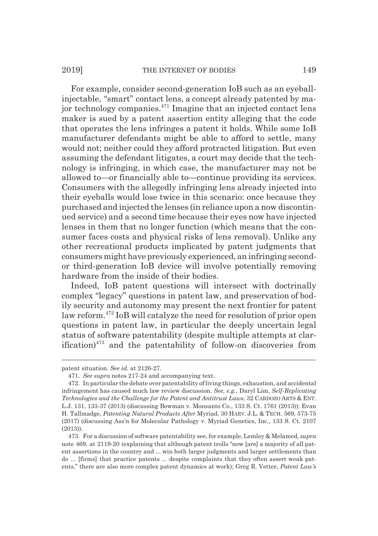For example, consider second-generation IoB such as an eyeballinjectable, "smart" contact lens, a concept already patented by major technology companies.<sup>471</sup> Imagine that an injected contact lens maker is sued by a patent assertion entity alleging that the code that operates the lens infringes a patent it holds. While some IoB manufacturer defendants might be able to afford to settle, many would not; neither could they afford protracted litigation. But even assuming the defendant litigates, a court may decide that the technology is infringing, in which case, the manufacturer may not be allowed to—or financially able to—continue providing its services. Consumers with the allegedly infringing lens already injected into their eyeballs would lose twice in this scenario: once because they purchased and injected the lenses (in reliance upon a now discontinued service) and a second time because their eyes now have injected lenses in them that no longer function (which means that the consumer faces costs and physical risks of lens removal). Unlike any other recreational products implicated by patent judgments that consumers might have previously experienced, an infringing secondor third-generation IoB device will involve potentially removing hardware from the inside of their bodies.

Indeed, IoB patent questions will intersect with doctrinally complex "legacy" questions in patent law, and preservation of bodily security and autonomy may present the next frontier for patent law reform.472 IoB will catalyze the need for resolution of prior open questions in patent law, in particular the deeply uncertain legal status of software patentability (despite multiple attempts at clarification)473 and the patentability of follow-on discoveries from

patent situation. *See id.* at 2126-27.

<sup>471.</sup> *See supra* notes 217-24 and accompanying text.

<sup>472.</sup> In particular the debate over patentability of living things, exhaustion, and accidental infringement has caused much law review discussion. *See, e.g.*, Daryl Lim, *Self-Replicating Technologies and the Challenge for the Patent and Antitrust Laws*, 32 CARDOZO ARTS & ENT. L.J. 131, 133-37 (2013) (discussing Bowman v. Monsanto Co., 133 S. Ct. 1761 (2013)); Evan H. Tallmadge, *Patenting Natural Products After* Myriad, 30 HARV. J.L. & TECH. 569, 573-75 (2017) (discussing Ass'n for Molecular Pathology v. Myriad Genetics, Inc., 133 S. Ct. 2107 (2013)).

<sup>473.</sup> For a discussion of software patentability see, for example, Lemley & Melamed, *supra* note 469, at 2119-20 (explaining that although patent trolls "now [are] a majority of all patent assertions in the country and ... win both larger judgments and larger settlements than do ... [firms] that practice patents ... despite complaints that they often assert weak patents," there are also more complex patent dynamics at work); Greg R. Vetter*, Patent Law's*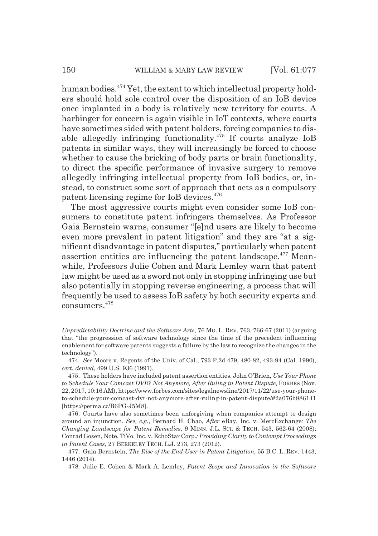human bodies.<sup>474</sup> Yet, the extent to which intellectual property holders should hold sole control over the disposition of an IoB device once implanted in a body is relatively new territory for courts. A harbinger for concern is again visible in IoT contexts, where courts have sometimes sided with patent holders, forcing companies to disable allegedly infringing functionality.<sup> $475$ </sup> If courts analyze IoB patents in similar ways, they will increasingly be forced to choose whether to cause the bricking of body parts or brain functionality, to direct the specific performance of invasive surgery to remove allegedly infringing intellectual property from IoB bodies, or, instead, to construct some sort of approach that acts as a compulsory patent licensing regime for IoB devices.<sup>476</sup>

The most aggressive courts might even consider some IoB consumers to constitute patent infringers themselves. As Professor Gaia Bernstein warns, consumer "[e]nd users are likely to become even more prevalent in patent litigation" and they are "at a significant disadvantage in patent disputes," particularly when patent assertion entities are influencing the patent landscape. $477$  Meanwhile, Professors Julie Cohen and Mark Lemley warn that patent law might be used as a sword not only in stopping infringing use but also potentially in stopping reverse engineering, a process that will frequently be used to assess IoB safety by both security experts and consumers.<sup>478</sup>

*Unpredictability Doctrine and the Software Arts*, 76 MO. L. REV. 763, 766-67 (2011) (arguing that "the progression of software technology since the time of the precedent influencing enablement for software patents suggests a failure by the law to recognize the changes in the technology").

<sup>474.</sup> *See* Moore v. Regents of the Univ. of Cal., 793 P.2d 479, 480-82, 493-94 (Cal. 1990), *cert. denied*, 499 U.S. 936 (1991).

<sup>475.</sup> These holders have included patent assertion entities. John O'Brien, *Use Your Phone to Schedule Your Comcast DVR? Not Anymore, After Ruling in Patent Dispute,* FORBES (Nov. 22, 2017, 10:16 AM), https://www.forbes.com/sites/legalnewsline/2017/11/22/use-your-phoneto-schedule-your-comcast-dvr-not-anymore-after-ruling-in-patent-dispute/#2a076b886141 [https://perma.cc/B6PG-J5M8].

<sup>476.</sup> Courts have also sometimes been unforgiving when companies attempt to design around an injunction. *See, e.g.*, Bernard H. Chao, *After* eBay, Inc. v. MercExchange*: The Changing Landscape for Patent Remedies*, 9 MINN. J.L. SCI. & TECH. 543, 562-64 (2008); Conrad Gosen, Note, TiVo, Inc. v. EchoStar Corp.*: Providing Clarity to Contempt Proceedings in Patent Cases*, 27 BERKELEY TECH. L.J. 273, 273 (2012).

<sup>477.</sup> Gaia Bernstein, *The Rise of the End User in Patent Litigation*, 55 B.C. L. REV. 1443, 1446 (2014).

<sup>478.</sup> Julie E. Cohen & Mark A. Lemley, *Patent Scope and Innovation in the Software*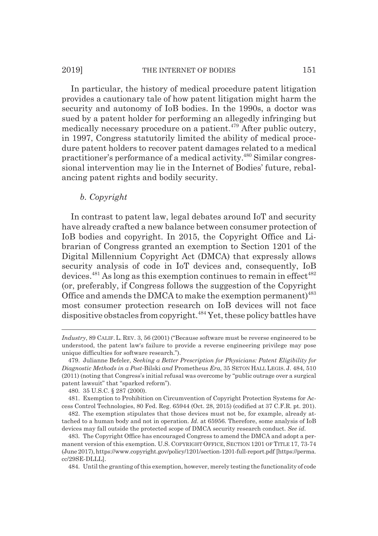In particular, the history of medical procedure patent litigation provides a cautionary tale of how patent litigation might harm the security and autonomy of IoB bodies. In the 1990s, a doctor was sued by a patent holder for performing an allegedly infringing but medically necessary procedure on a patient.<sup>479</sup> After public outcry, in 1997, Congress statutorily limited the ability of medical procedure patent holders to recover patent damages related to a medical practitioner's performance of a medical activity.480 Similar congressional intervention may lie in the Internet of Bodies' future, rebalancing patent rights and bodily security.

#### *b. Copyright*

In contrast to patent law, legal debates around IoT and security have already crafted a new balance between consumer protection of IoB bodies and copyright. In 2015, the Copyright Office and Librarian of Congress granted an exemption to Section 1201 of the Digital Millennium Copyright Act (DMCA) that expressly allows security analysis of code in IoT devices and, consequently, IoB devices.<sup>481</sup> As long as this exemption continues to remain in effect<sup>482</sup> (or, preferably, if Congress follows the suggestion of the Copyright Office and amends the DMCA to make the exemption permanent)<sup>483</sup> most consumer protection research on IoB devices will not face dispositive obstacles from copyright.484 Yet, these policy battles have

*Industry*, 89 CALIF. L. REV. 3, 56 (2001) ("Because software must be reverse engineered to be understood, the patent law's failure to provide a reverse engineering privilege may pose unique difficulties for software research.").

<sup>479.</sup> Julianne Befeler, *Seeking a Better Prescription for Physicians: Patent Eligibility for Diagnostic Methods in a Post-*Bilski *and* Prometheus *Era*, 35 SETON HALL LEGIS. J. 484, 510 (2011) (noting that Congress's initial refusal was overcome by "public outrage over a surgical patent lawsuit" that "sparked reform").

<sup>480. 35</sup> U.S.C. § 287 (2000).

<sup>481.</sup> Exemption to Prohibition on Circumvention of Copyright Protection Systems for Access Control Technologies, 80 Fed. Reg. 65944 (Oct. 28, 2015) (codified at 37 C.F.R. pt. 201).

<sup>482.</sup> The exemption stipulates that those devices must not be, for example, already attached to a human body and not in operation. *Id.* at 65956. Therefore, some analysis of IoB devices may fall outside the protected scope of DMCA security research conduct. *See id.*

<sup>483.</sup> The Copyright Office has encouraged Congress to amend the DMCA and adopt a permanent version of this exemption. U.S. COPYRIGHT OFFICE, SECTION 1201 OF TITLE 17, 73-74 (June 2017), https://www.copyright.gov/policy/1201/section-1201-full-report.pdf [https://perma. cc/29SE-DLLL].

<sup>484.</sup> Until the granting of this exemption, however, merely testing the functionality of code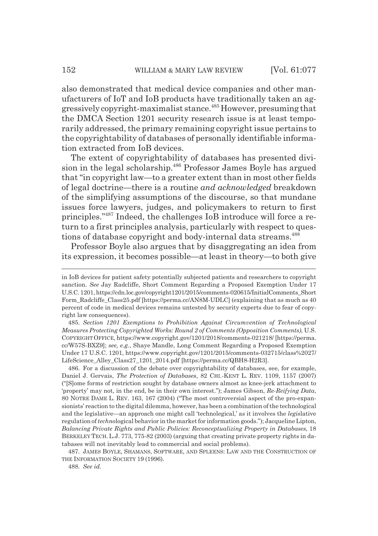also demonstrated that medical device companies and other manufacturers of IoT and IoB products have traditionally taken an aggressively copyright-maximalist stance.<sup>485</sup> However, presuming that the DMCA Section 1201 security research issue is at least temporarily addressed, the primary remaining copyright issue pertains to the copyrightability of databases of personally identifiable information extracted from IoB devices.

The extent of copyrightability of databases has presented division in the legal scholarship.486 Professor James Boyle has argued that "in copyright law—to a greater extent than in most other fields of legal doctrine—there is a routine *and acknowledged* breakdown of the simplifying assumptions of the discourse, so that mundane issues force lawyers, judges, and policymakers to return to first principles."487 Indeed, the challenges IoB introduce will force a return to a first principles analysis, particularly with respect to questions of database copyright and body-internal data streams.<sup>488</sup>

Professor Boyle also argues that by disaggregating an idea from its expression, it becomes possible—at least in theory—to both give

486. For a discussion of the debate over copyrightability of databases, see, for example, Daniel J. Gervais, *The Protection of Databases*, 82 CHI.-KENT L. REV. 1109, 1157 (2007) ("[S]ome forms of restriction sought by database owners almost as knee-jerk attachment to 'property' may not, in the end, be in their own interest."); James Gibson, *Re-Reifying Data*, 80 NOTRE DAME L. REV. 163, 167 (2004) ("The most controversial aspect of the pro-expansionists' reaction to the digital dilemma, however, has been a combination of the technological and the legislative—an approach one might call 'technolegical,' as it involves the *legis*lative regulation of *techno*logical behavior in the market for information goods."); Jacqueline Lipton, *Balancing Private Rights and Public Policies: Reconceptualizing Property in Databases*, 18 BERKELEY TECH.L.J. 773, 775-82 (2003) (arguing that creating private property rights in databases will not inevitably lead to commercial and social problems).

487. JAMES BOYLE, SHAMANS, SOFTWARE, AND SPLEENS: LAW AND THE CONSTRUCTION OF THE INFORMATION SOCIETY 19 (1996).

488. *See id.*

in IoB devices for patient safety potentially subjected patients and researchers to copyright sanction. *See* Jay Radcliffe, Short Comment Regarding a Proposed Exemption Under 17 U.S.C. 1201, https://cdn.loc.gov/copyright1201/2015/comments-020615/InitialComments\_Short Form Radcliffe Class25.pdf [https://perma.cc/AN8M-UDLC] (explaining that as much as 40 percent of code in medical devices remains untested by security experts due to fear of copyright law consequences).

<sup>485.</sup> *Section 1201 Exemptions to Prohibition Against Circumvention of Technological Measures Protecting Copyrighted Works: Round 2 of Comments (Opposition Comments)*, U.S. COPYRIGHT OFFICE, https://www.copyright.gov/1201/2018/comments-021218/ [https://perma. cc/W57S-BXZ9]; *see, e.g.*, Shaye Mandle, Long Comment Regarding a Proposed Exemption Under 17 U.S.C. 1201, https://www.copyright.gov/1201/2015/comments-032715/class%2027/ LifeScience\_Alley\_Class27\_1201\_2014.pdf [https://perma.cc/QBH8-H2R3].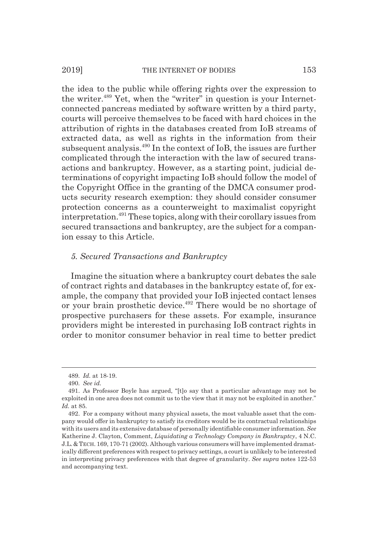## 2019] THE INTERNET OF BODIES 153

the idea to the public while offering rights over the expression to the writer. $489$  Yet, when the "writer" in question is your Internetconnected pancreas mediated by software written by a third party, courts will perceive themselves to be faced with hard choices in the attribution of rights in the databases created from IoB streams of extracted data, as well as rights in the information from their subsequent analysis.490 In the context of IoB, the issues are further complicated through the interaction with the law of secured transactions and bankruptcy. However, as a starting point, judicial determinations of copyright impacting IoB should follow the model of the Copyright Office in the granting of the DMCA consumer products security research exemption: they should consider consumer protection concerns as a counterweight to maximalist copyright interpretation.491 These topics, along with their corollary issues from secured transactions and bankruptcy, are the subject for a companion essay to this Article.

## *5. Secured Transactions and Bankruptcy*

Imagine the situation where a bankruptcy court debates the sale of contract rights and databases in the bankruptcy estate of, for example, the company that provided your IoB injected contact lenses or your brain prosthetic device.492 There would be no shortage of prospective purchasers for these assets. For example, insurance providers might be interested in purchasing IoB contract rights in order to monitor consumer behavior in real time to better predict

<sup>489.</sup> *Id.* at 18-19.

<sup>490.</sup> *See id.*

<sup>491.</sup> As Professor Boyle has argued, "[t]o say that a particular advantage may not be exploited in one area does not commit us to the view that it may not be exploited in another." *Id.* at 85.

<sup>492.</sup> For a company without many physical assets, the most valuable asset that the company would offer in bankruptcy to satisfy its creditors would be its contractual relationships with its users and its extensive database of personally identifiable consumer information. *See* Katherine J. Clayton, Comment, *Liquidating a Technology Company in Bankruptcy*, 4 N.C. J.L.&TECH. 169, 170-71 (2002). Although various consumers will have implemented dramatically different preferences with respect to privacy settings, a court is unlikely to be interested in interpreting privacy preferences with that degree of granularity. *See supra* notes 122-53 and accompanying text.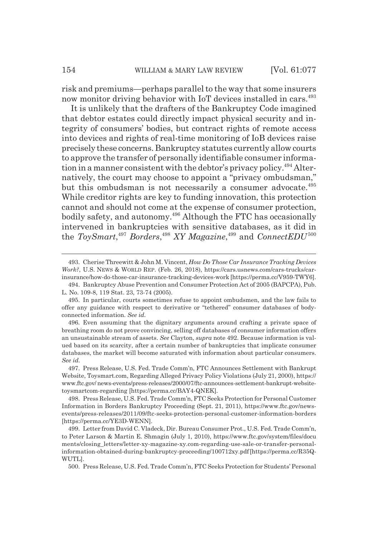risk and premiums—perhaps parallel to the way that some insurers now monitor driving behavior with IoT devices installed in cars.<sup>493</sup>

It is unlikely that the drafters of the Bankruptcy Code imagined that debtor estates could directly impact physical security and integrity of consumers' bodies, but contract rights of remote access into devices and rights of real-time monitoring of IoB devices raise precisely these concerns. Bankruptcy statutes currently allow courts to approve the transfer of personally identifiable consumer information in a manner consistent with the debtor's privacy policy.<sup>494</sup> Alternatively, the court may choose to appoint a "privacy ombudsman," but this ombudsman is not necessarily a consumer advocate.<sup>495</sup> While creditor rights are key to funding innovation, this protection cannot and should not come at the expense of consumer protection, bodily safety, and autonomy.<sup>496</sup> Although the FTC has occasionally intervened in bankruptcies with sensitive databases, as it did in the *ToySmart*, <sup>497</sup> *Borders*, <sup>498</sup> *XY Magazine*, 499 and *ConnectEDU*<sup>500</sup>

<sup>493.</sup> Cherise Threewitt & John M. Vincent, *How Do Those Car Insurance Tracking Devices Work?*, U.S. NEWS & WORLD REP. (Feb. 26, 2018), https://cars.usnews.com/cars-trucks/carinsurance/how-do-those-car-insurance-tracking-devices-work [https://perma.cc/V959-TWY6].

<sup>494.</sup> Bankruptcy Abuse Prevention and Consumer Protection Act of 2005 (BAPCPA), Pub. L. No. 109-8, 119 Stat. 23, 73-74 (2005).

<sup>495.</sup> In particular, courts sometimes refuse to appoint ombudsmen, and the law fails to offer any guidance with respect to derivative or "tethered" consumer databases of bodyconnected information. *See id.*

<sup>496.</sup> Even assuming that the dignitary arguments around crafting a private space of breathing room do not prove convincing, selling off databases of consumer information offers an unsustainable stream of assets. *See* Clayton, *supra* note 492. Because information is valued based on its scarcity, after a certain number of bankruptcies that implicate consumer databases, the market will become saturated with information about particular consumers. *See id.*

<sup>497.</sup> Press Release, U.S. Fed. Trade Comm'n, FTC Announces Settlement with Bankrupt Website, Toysmart.com, Regarding Alleged Privacy Policy Violations (July 21, 2000), https:// www.ftc.gov/ news-events/press-releases/2000/07/ftc-announces-settlement-bankrupt-websitetoysmartcom-regarding [https://perma.cc/BAY4-QNEK].

<sup>498.</sup> Press Release, U.S. Fed. Trade Comm'n, FTC Seeks Protection for Personal Customer Information in Borders Bankruptcy Proceeding (Sept. 21, 2011), https://www.ftc.gov/newsevents/press-releases/2011/09/ftc-seeks-protection-personal-customer-information-borders [https://perma.cc/YE3D-WENN].

<sup>499.</sup> Letter from David C. Vladeck, Dir. Bureau Consumer Prot., U.S. Fed. Trade Comm'n, to Peter Larson & Martin E. Shmagin (July 1, 2010), https://www.ftc.gov/system/files/docu ments/closing\_letters/letter-xy-magazine-xy.com-regarding-use-sale-or-transfer-personalinformation-obtained-during-bankruptcy-proceeding/100712xy.pdf [https://perma.cc/R35Q-WUTL].

<sup>500.</sup> Press Release, U.S. Fed. Trade Comm'n, FTC Seeks Protection for Students' Personal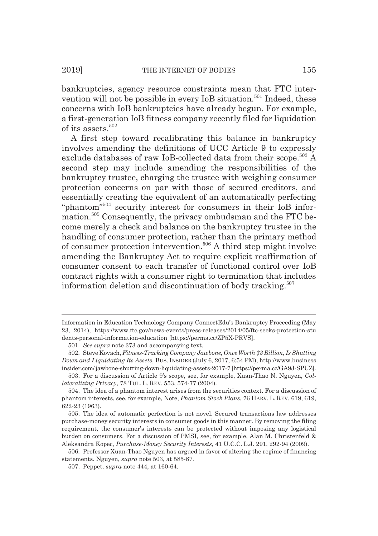bankruptcies, agency resource constraints mean that FTC intervention will not be possible in every  $I_0$ B situation.<sup>501</sup> Indeed, these concerns with IoB bankruptcies have already begun. For example, a first-generation IoB fitness company recently filed for liquidation of its assets  $502$ 

A first step toward recalibrating this balance in bankruptcy involves amending the definitions of UCC Article 9 to expressly exclude databases of raw IoB-collected data from their scope.<sup>503</sup> A second step may include amending the responsibilities of the bankruptcy trustee, charging the trustee with weighing consumer protection concerns on par with those of secured creditors, and essentially creating the equivalent of an automatically perfecting "phantom"<sup>504</sup> security interest for consumers in their IoB information.<sup>505</sup> Consequently, the privacy ombudsman and the FTC become merely a check and balance on the bankruptcy trustee in the handling of consumer protection, rather than the primary method of consumer protection intervention.506 A third step might involve amending the Bankruptcy Act to require explicit reaffirmation of consumer consent to each transfer of functional control over IoB contract rights with a consumer right to termination that includes information deletion and discontinuation of body tracking.<sup>507</sup>

Information in Education Technology Company ConnectEdu's Bankruptcy Proceeding (May 23, 2014), https://www.ftc.gov/news-events/press-releases/2014/05/ftc-seeks-protection-stu dents-personal-information-education [https://perma.cc/ZP5X-PRVS].

<sup>501.</sup> *See supra* note 373 and accompanying text.

<sup>502.</sup> Steve Kovach, *Fitness-Tracking Company Jawbone, Once Worth \$3 Billion, Is Shutting Down and Liquidating Its Assets*, BUS. INSIDER (July 6, 2017, 6:54 PM), http://www.business insider.com/ jawbone-shutting-down-liquidating-assets-2017-7 [https://perma.cc/GA9J-SPUZ].

<sup>503.</sup> For a discussion of Article 9's scope, see, for example, Xuan-Thao N. Nguyen, *Collateralizing Privacy*, 78 TUL. L. REV. 553, 574-77 (2004).

<sup>504.</sup> The idea of a phantom interest arises from the securities context. For a discussion of phantom interests, see, for example, Note, *Phantom Stock Plans*, 76 HARV. L. REV. 619, 619, 622-23 (1963).

<sup>505.</sup> The idea of automatic perfection is not novel. Secured transactions law addresses purchase-money security interests in consumer goods in this manner. By removing the filing requirement, the consumer's interests can be protected without imposing any logistical burden on consumers. For a discussion of PMSI, see, for example, Alan M. Christenfeld & Aleksandra Kopec, *Purchase-Money Security Interests*, 41 U.C.C. L.J. 291, 292-94 (2009).

<sup>506.</sup> Professor Xuan-Thao Nguyen has argued in favor of altering the regime of financing statements. Nguyen, *supra* note 503, at 585-87.

<sup>507.</sup> Peppet, *supra* note 444, at 160-64.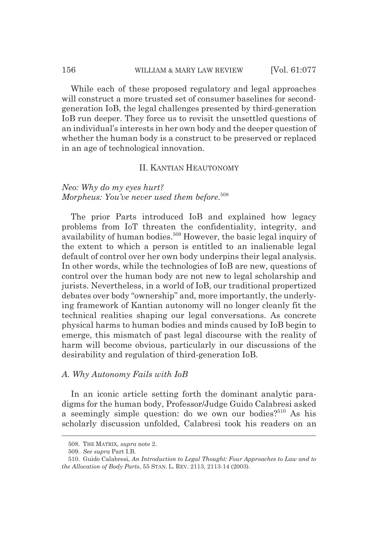#### 156 WILLIAM & MARY LAW REVIEW [Vol. 61:077

While each of these proposed regulatory and legal approaches will construct a more trusted set of consumer baselines for secondgeneration IoB, the legal challenges presented by third-generation IoB run deeper. They force us to revisit the unsettled questions of an individual's interests in her own body and the deeper question of whether the human body is a construct to be preserved or replaced in an age of technological innovation.

# II. KANTIAN HEAUTONOMY

*Neo: Why do my eyes hurt? Morpheus: You've never used them before.*<sup>508</sup>

The prior Parts introduced IoB and explained how legacy problems from IoT threaten the confidentiality, integrity, and availability of human bodies.509 However, the basic legal inquiry of the extent to which a person is entitled to an inalienable legal default of control over her own body underpins their legal analysis. In other words, while the technologies of IoB are new, questions of control over the human body are not new to legal scholarship and jurists. Nevertheless, in a world of IoB, our traditional propertized debates over body "ownership" and, more importantly, the underlying framework of Kantian autonomy will no longer cleanly fit the technical realities shaping our legal conversations. As concrete physical harms to human bodies and minds caused by IoB begin to emerge, this mismatch of past legal discourse with the reality of harm will become obvious, particularly in our discussions of the desirability and regulation of third-generation IoB.

## *A. Why Autonomy Fails with IoB*

In an iconic article setting forth the dominant analytic paradigms for the human body, Professor/Judge Guido Calabresi asked a seemingly simple question: do we own our bodies? $510$  As his scholarly discussion unfolded, Calabresi took his readers on an

<sup>508.</sup> THE MATRIX, *supra* note 2.

<sup>509.</sup> *See supra* Part I.B.

<sup>510.</sup> Guido Calabresi, *An Introduction to Legal Thought: Four Approaches to Law and to the Allocation of Body Parts*, 55 STAN. L. REV. 2113, 2113-14 (2003).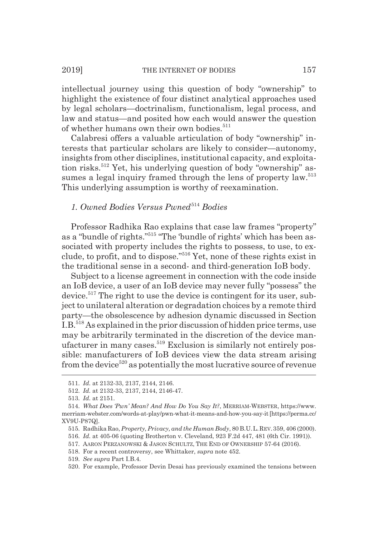intellectual journey using this question of body "ownership" to highlight the existence of four distinct analytical approaches used by legal scholars—doctrinalism, functionalism, legal process, and law and status—and posited how each would answer the question of whether humans own their own bodies. $511$ 

Calabresi offers a valuable articulation of body "ownership" interests that particular scholars are likely to consider—autonomy, insights from other disciplines, institutional capacity, and exploitation risks.<sup>512</sup> Yet, his underlying question of body "ownership" assumes a legal inquiry framed through the lens of property law.<sup>513</sup> This underlying assumption is worthy of reexamination.

# *1. Owned Bodies Versus Pwned*<sup>514</sup> *Bodies*

Professor Radhika Rao explains that case law frames "property" as a "bundle of rights."515 "The 'bundle of rights' which has been associated with property includes the rights to possess, to use, to exclude, to profit, and to dispose."516 Yet, none of these rights exist in the traditional sense in a second- and third-generation IoB body.

Subject to a license agreement in connection with the code inside an IoB device, a user of an IoB device may never fully "possess" the device.<sup>517</sup> The right to use the device is contingent for its user, subject to unilateral alteration or degradation choices by a remote third party—the obsolescence by adhesion dynamic discussed in Section I.B.518 As explained in the prior discussion of hidden price terms, use may be arbitrarily terminated in the discretion of the device manufacturer in many cases.519 Exclusion is similarly not entirely possible: manufacturers of IoB devices view the data stream arising from the device<sup>520</sup> as potentially the most lucrative source of revenue

<sup>511.</sup> *Id.* at 2132-33, 2137, 2144, 2146.

<sup>512.</sup> *Id.* at 2132-33, 2137, 2144, 2146-47.

<sup>513.</sup> *Id.* at 2151.

<sup>514.</sup> *What Does 'Pwn' Mean? And How Do You Say It?*, MERRIAM-WEBSTER, https://www. merriam-webster.com/words-at-play/pwn-what-it-means-and-how-you-say-it [https://perma.cc/ XV9U-P87Q].

<sup>515.</sup> Radhika Rao, *Property, Privacy, and the Human Body*, 80 B.U.L.REV.359, 406 (2000).

<sup>516.</sup> *Id.* at 405-06 (quoting Brotherton v. Cleveland, 923 F.2d 447, 481 (6th Cir. 1991)).

<sup>517.</sup> AARON PERZANOWSKI & JASON SCHULTZ, THE END OF OWNERSHIP 57-64 (2016).

<sup>518.</sup> For a recent controversy, see Whittaker, *supra* note 452.

<sup>519.</sup> *See supra* Part I.B.4.

<sup>520.</sup> For example, Professor Devin Desai has previously examined the tensions between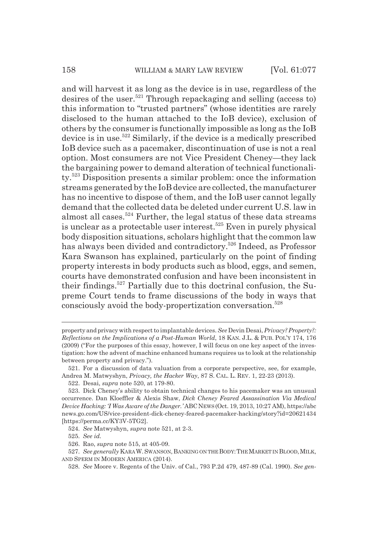and will harvest it as long as the device is in use, regardless of the desires of the user.<sup>521</sup> Through repackaging and selling (access to) this information to "trusted partners" (whose identities are rarely disclosed to the human attached to the IoB device), exclusion of others by the consumer is functionally impossible as long as the IoB device is in use.522 Similarly, if the device is a medically prescribed IoB device such as a pacemaker, discontinuation of use is not a real option. Most consumers are not Vice President Cheney—they lack the bargaining power to demand alteration of technical functionality.523 Disposition presents a similar problem: once the information streams generated by the IoB device are collected, the manufacturer has no incentive to dispose of them, and the IoB user cannot legally demand that the collected data be deleted under current U.S. law in almost all cases.524 Further, the legal status of these data streams is unclear as a protectable user interest.<sup>525</sup> Even in purely physical body disposition situations, scholars highlight that the common law has always been divided and contradictory.526 Indeed, as Professor Kara Swanson has explained, particularly on the point of finding property interests in body products such as blood, eggs, and semen, courts have demonstrated confusion and have been inconsistent in their findings.<sup>527</sup> Partially due to this doctrinal confusion, the Supreme Court tends to frame discussions of the body in ways that consciously avoid the body-propertization conversation.<sup>528</sup>

property and privacy with respect to implantable devices. *See* Devin Desai, *Privacy? Property?: Reflections on the Implications of a Post-Human World*, 18 KAN. J.L. & PUB. POL'Y 174, 176 (2009) ("For the purposes of this essay, however, I will focus on one key aspect of the investigation: how the advent of machine enhanced humans requires us to look at the relationship between property and privacy.").

<sup>521.</sup> For a discussion of data valuation from a corporate perspective, see, for example, Andrea M. Matwyshyn, *Privacy, the Hacker Way*, 87 S. CAL. L. REV. 1, 22-23 (2013).

<sup>522.</sup> Desai, *supra* note 520, at 179-80.

<sup>523.</sup> Dick Cheney's ability to obtain technical changes to his pacemaker was an unusual occurrence. Dan Kloeffler & Alexis Shaw, *Dick Cheney Feared Assassination Via Medical Device Hacking: 'I Was Aware of the Danger.'* ABCNEWS (Oct. 19, 2013, 10:27 AM), https://abc news.go.com/US/vice-president-dick-cheney-feared-pacemaker-hacking/story?id=20621434 [https://perma.cc/KY3V-5TG2].

<sup>524.</sup> *See* Matwyshyn, *supra* note 521, at 2-3.

<sup>525.</sup> *See id.*

<sup>526.</sup> Rao, *supra* note 515, at 405-09.

<sup>527.</sup> *See generally* KARA W.SWANSON,BANKING ON THE BODY:THE MARKET IN BLOOD,MILK, AND SPERM IN MODERN AMERICA (2014).

<sup>528.</sup> *See* Moore v. Regents of the Univ. of Cal., 793 P.2d 479, 487-89 (Cal. 1990). *See gen-*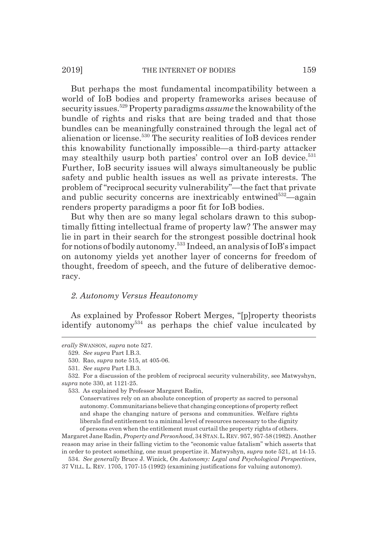But perhaps the most fundamental incompatibility between a world of IoB bodies and property frameworks arises because of security issues.529 Property paradigms *assume* the knowability of the bundle of rights and risks that are being traded and that those bundles can be meaningfully constrained through the legal act of alienation or license.530 The security realities of IoB devices render this knowability functionally impossible—a third-party attacker may stealthily usurp both parties' control over an IoB device.<sup>531</sup> Further, IoB security issues will always simultaneously be public safety and public health issues as well as private interests. The problem of "reciprocal security vulnerability"—the fact that private and public security concerns are inextricably entwined<sup>532</sup>—again renders property paradigms a poor fit for IoB bodies.

But why then are so many legal scholars drawn to this suboptimally fitting intellectual frame of property law? The answer may lie in part in their search for the strongest possible doctrinal hook for notions of bodily autonomy.533 Indeed, an analysis of IoB's impact on autonomy yields yet another layer of concerns for freedom of thought, freedom of speech, and the future of deliberative democracy.

## *2. Autonomy Versus Heautonomy*

As explained by Professor Robert Merges, "[p]roperty theorists identify autonomy534 as perhaps the chief value inculcated by

Margaret Jane Radin, *Property and Personhood*, 34 STAN.L.REV. 957, 957-58 (1982). Another reason may arise in their falling victim to the "economic value fatalism" which asserts that in order to protect something, one must propertize it. Matwyshyn, *supra* note 521, at 14-15. 534. *See generally* Bruce J. Winick, *On Autonomy: Legal and Psychological Perspectives*,

37 VILL. L. REV. 1705, 1707-15 (1992) (examining justifications for valuing autonomy).

*erally* SWANSON, *supra* note 527.

<sup>529.</sup> *See supra* Part I.B.3.

<sup>530.</sup> Rao, *supra* note 515, at 405-06.

<sup>531.</sup> *See supra* Part I.B.3.

<sup>532.</sup> For a discussion of the problem of reciprocal security vulnerability, see Matwyshyn, *supra* note 330, at 1121-25.

<sup>533.</sup> As explained by Professor Margaret Radin,

Conservatives rely on an absolute conception of property as sacred to personal autonomy. Communitarians believe that changing conceptions of property reflect and shape the changing nature of persons and communities. Welfare rights liberals find entitlement to a minimal level of resources necessary to the dignity of persons even when the entitlement must curtail the property rights of others.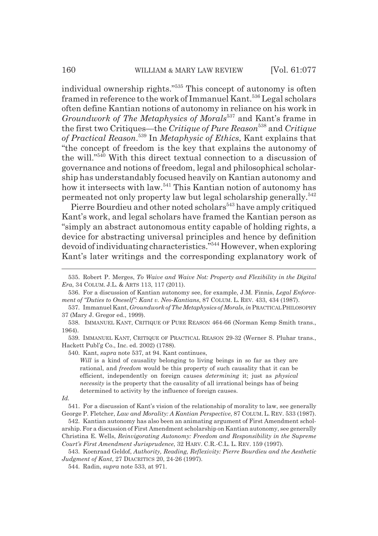individual ownership rights."535 This concept of autonomy is often framed in reference to the work of Immanuel Kant.<sup>536</sup> Legal scholars often define Kantian notions of autonomy in reliance on his work in *Groundwork of The Metaphysics of Morals*537 and Kant's frame in the first two Critiques—the *Critique of Pure Reason*538 and *Critique of Practical Reason*. 539 In *Metaphysic of Ethics*, Kant explains that "the concept of freedom is the key that explains the autonomy of the will."540 With this direct textual connection to a discussion of governance and notions of freedom, legal and philosophical scholarship has understandably focused heavily on Kantian autonomy and how it intersects with law.<sup>541</sup> This Kantian notion of autonomy has permeated not only property law but legal scholarship generally.<sup>542</sup>

Pierre Bourdieu and other noted scholars<sup>543</sup> have amply critiqued Kant's work, and legal scholars have framed the Kantian person as "simply an abstract autonomous entity capable of holding rights, a device for abstracting universal principles and hence by definition devoid of individuating characteristics."544 However, when exploring Kant's later writings and the corresponding explanatory work of

540. Kant, *supra* note 537, at 94. Kant continues,

*Will* is a kind of causality belonging to living beings in so far as they are rational, and *freedom* would be this property of such causality that it can be efficient, independently on foreign causes *determining* it; just as *physical necessity* is the property that the causality of all irrational beings has of being determined to activity by the influence of foreign causes.

<sup>535.</sup> Robert P. Merges, *To Waive and Waive Not: Property and Flexibility in the Digital Era*, 34 COLUM. J.L. & ARTS 113, 117 (2011).

<sup>536.</sup> For a discussion of Kantian autonomy see, for example, J.M. Finnis, *Legal Enforcement of "Duties to Oneself": Kant v. Neo-Kantians*, 87 COLUM. L. REV. 433, 434 (1987).

<sup>537.</sup> Immanuel Kant, *Groundwork of The Metaphysics of Morals*, *in* PRACTICAL PHILOSOPHY 37 (Mary J. Gregor ed., 1999).

<sup>538.</sup> IMMANUEL KANT, CRITIQUE OF PURE REASON 464-66 (Norman Kemp Smith trans., 1964).

<sup>539.</sup> IMMANUEL KANT, CRITIQUE OF PRACTICAL REASON 29-32 (Werner S. Pluhar trans., Hackett Publ'g Co., Inc. ed. 2002) (1788).

*Id.*

<sup>541.</sup> For a discussion of Kant's vision of the relationship of morality to law, see generally George P. Fletcher, *Law and Morality: A Kantian Perspective*, 87 COLUM. L. REV. 533 (1987).

<sup>542.</sup> Kantian autonomy has also been an animating argument of First Amendment scholarship. For a discussion of First Amendment scholarship on Kantian autonomy, see generally Christina E. Wells, *Reinvigorating Autonomy: Freedom and Responsibility in the Supreme Court's First Amendment Jurisprudence*, 32 HARV. C.R.-C.L. L. REV. 159 (1997).

<sup>543.</sup> Koenraad Geldof, *Authority, Reading, Reflexivity: Pierre Bourdieu and the Aesthetic Judgment of Kant*, 27 DIACRITICS 20, 24-26 (1997).

<sup>544.</sup> Radin, *supra* note 533, at 971.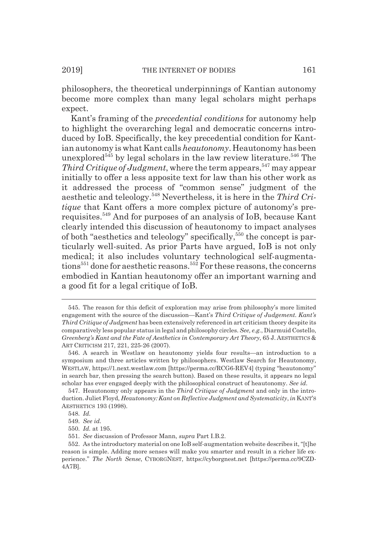philosophers, the theoretical underpinnings of Kantian autonomy become more complex than many legal scholars might perhaps expect.

Kant's framing of the *precedential conditions* for autonomy help to highlight the overarching legal and democratic concerns introduced by IoB. Specifically, the key precedential condition for Kantian autonomy is what Kant calls *heautonomy*. Heautonomy has been unexplored<sup>545</sup> by legal scholars in the law review literature.<sup>546</sup> The *Third Critique of Judgment*, where the term appears,<sup>547</sup> may appear initially to offer a less apposite text for law than his other work as it addressed the process of "common sense" judgment of the aesthetic and teleology.548 Nevertheless, it is here in the *Third Critique* that Kant offers a more complex picture of autonomy's prerequisites.549 And for purposes of an analysis of IoB, because Kant clearly intended this discussion of heautonomy to impact analyses of both "aesthetics and teleology" specifically,<sup>550</sup> the concept is particularly well-suited. As prior Parts have argued, IoB is not only medical; it also includes voluntary technological self-augmenta $tions<sup>551</sup>$  done for aesthetic reasons.<sup>552</sup> For these reasons, the concerns embodied in Kantian heautonomy offer an important warning and a good fit for a legal critique of IoB.

<sup>545.</sup> The reason for this deficit of exploration may arise from philosophy's more limited engagement with the source of the discussion—Kant's *Third Critique of Judgement. Kant's Third Critique of Judgment* has been extensively referenced in art criticism theory despite its comparatively less popular status in legal and philosophy circles. *See, e.g.*, Diarmuid Costello, *Greenberg's Kant and the Fate of Aesthetics in Contemporary Art Theory*, 65 J. AESTHETICS & ART CRITICISM 217, 221, 225-26 (2007).

<sup>546.</sup> A search in Westlaw on heautonomy yields four results—an introduction to a symposium and three articles written by philosophers. Westlaw Search for Heautonomy, WESTLAW, https://1.next.westlaw.com [https://perma.cc/RCG6-REV4] (typing "heautonomy" in search bar, then pressing the search button). Based on these results, it appears no legal scholar has ever engaged deeply with the philosophical construct of heautonomy. *See id.*

<sup>547.</sup> Heautonomy only appears in the *Third Critique of Judgment* and only in the introduction. Juliet Floyd, *Heautonomy: Kant on Reflective Judgment and Systematicity*, *in* KANT'S AESTHETICS 193 (1998).

<sup>548.</sup> *Id.*

<sup>549.</sup> *See id.*

<sup>550.</sup> *Id.* at 195.

<sup>551.</sup> *See* discussion of Professor Mann, *supra* Part I.B.2.

<sup>552.</sup> As the introductory material on one IoB self-augmentation website describes it, "[t]he reason is simple. Adding more senses will make you smarter and result in a richer life experience." *The North Sense*, CYBORGNEST, https://cyborgnest.net [https://perma.cc/9CZD-4A7B].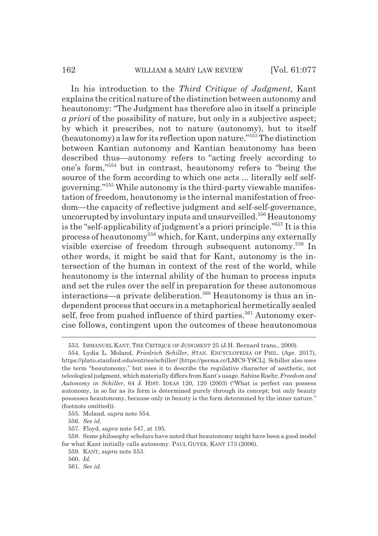## 162 WILLIAM & MARY LAW REVIEW [Vol. 61:077

In his introduction to the *Third Critique of Judgment*, Kant explains the critical nature of the distinction between autonomy and heautonomy: "The Judgment has therefore also in itself a principle *a priori* of the possibility of nature, but only in a subjective aspect; by which it prescribes, not to nature (autonomy), but to itself (heautonomy) a law for its reflection upon nature."553 The distinction between Kantian autonomy and Kantian heautonomy has been described thus—autonomy refers to "acting freely according to one's form,"554 but in contrast, heautonomy refers to "being the source of the form according to which one acts ... literally self selfgoverning."555 While autonomy is the third-party viewable manifestation of freedom, heautonomy is the internal manifestation of freedom—the capacity of reflective judgment and self-self-governance, uncorrupted by involuntary inputs and unsurveilled.556 Heautonomy is the "self-applicability of judgment's a priori principle."557 It is this process of heautonomy558 which, for Kant, underpins any externally visible exercise of freedom through subsequent autonomy.559 In other words, it might be said that for Kant, autonomy is the intersection of the human in context of the rest of the world, while heautonomy is the internal ability of the human to process inputs and set the rules over the self in preparation for these autonomous interactions—a private deliberation.<sup>560</sup> Heautonomy is thus an independent process that occurs in a metaphorical hermetically sealed self, free from pushed influence of third parties.<sup>561</sup> Autonomy exercise follows, contingent upon the outcomes of these heautonomous

<sup>553.</sup> IMMANUEL KANT, THE CRITIQUE OF JUDGMENT 25 (J.H. Bernard trans., 2000).

<sup>554.</sup> Lydia L. Moland, *Friedrich Schiller*, STAN. ENCYCLOPEDIA OF PHIL. (Apr. 2017), https://plato.stanford.edu/entries/schiller/ [https://perma.cc/LMC9-Y9CL]. Schiller also uses the term "heautonomy," but uses it to describe the regulative character of aesthetic, not teleological judgment, which materially differs from Kant's usage. Sabine Roehr, *Freedom and Autonomy in Schiller,* 64 J. HIST. IDEAS 120, 120 (2003) ("What is perfect can possess autonomy, in so far as its form is determined purely through its concept; but only beauty possesses heautonomy, because only in beauty is the form determined by the inner nature." (footnote omitted)).

<sup>555.</sup> Moland, *supra* note 554.

<sup>556.</sup> *See id.*

<sup>557.</sup> Floyd, *supra* note 547, at 195.

<sup>558.</sup> Some philosophy scholars have noted that heautonomy might have been a good model for what Kant initially calls autonomy. PAUL GUYER, KANT 173 (2006).

<sup>559.</sup> KANT, *supra* note 553.

<sup>560.</sup> *Id.*

<sup>561.</sup> *See id.*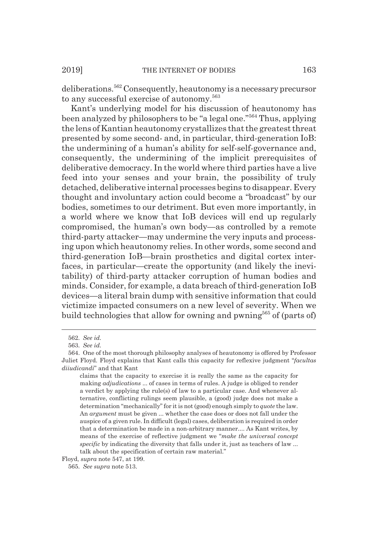deliberations.562 Consequently, heautonomy is a necessary precursor to any successful exercise of autonomy.<sup>563</sup>

Kant's underlying model for his discussion of heautonomy has been analyzed by philosophers to be "a legal one."564 Thus, applying the lens of Kantian heautonomy crystallizes that the greatest threat presented by some second- and, in particular, third-generation IoB: the undermining of a human's ability for self-self-governance and, consequently, the undermining of the implicit prerequisites of deliberative democracy. In the world where third parties have a live feed into your senses and your brain, the possibility of truly detached, deliberative internal processes begins to disappear. Every thought and involuntary action could become a "broadcast" by our bodies, sometimes to our detriment. But even more importantly, in a world where we know that IoB devices will end up regularly compromised, the human's own body—as controlled by a remote third-party attacker—may undermine the very inputs and processing upon which heautonomy relies. In other words, some second and third-generation IoB—brain prosthetics and digital cortex interfaces, in particular—create the opportunity (and likely the inevitability) of third-party attacker corruption of human bodies and minds. Consider, for example, a data breach of third-generation IoB devices—a literal brain dump with sensitive information that could victimize impacted consumers on a new level of severity. When we build technologies that allow for owning and pwning<sup>565</sup> of (parts of)

<sup>562.</sup> *See id.*

<sup>563.</sup> *See id.*

<sup>564.</sup> One of the most thorough philosophy analyses of heautonomy is offered by Professor Juliet Floyd. Floyd explains that Kant calls this capacity for reflexive judgment "*facultas diiudicandi*" and that Kant

claims that the capacity to exercise it is really the same as the capacity for making *adjudications* ... of cases in terms of rules. A judge is obliged to render a verdict by applying the rule(s) of law to a particular case. And whenever alternative, conflicting rulings seem plausible, a (good) judge does not make a determination "mechanically" for it is not (good) enough simply to *quote* the law. An *argument* must be given ... whether the case does or does not fall under the auspice of a given rule. In difficult (legal) cases, deliberation is required in order that a determination be made in a non-arbitrary manner.... As Kant writes, by means of the exercise of reflective judgment we "*make the universal concept specific* by indicating the diversity that falls under it, just as teachers of law ... talk about the specification of certain raw material."

Floyd, *supra* note 547, at 199.

<sup>565.</sup> *See supra* note 513.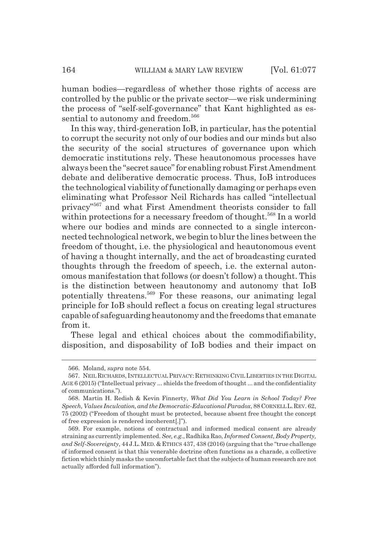human bodies—regardless of whether those rights of access are controlled by the public or the private sector—we risk undermining the process of "self-self-governance" that Kant highlighted as essential to autonomy and freedom.<sup>566</sup>

In this way, third-generation IoB, in particular, has the potential to corrupt the security not only of our bodies and our minds but also the security of the social structures of governance upon which democratic institutions rely. These heautonomous processes have always been the "secret sauce" for enabling robust First Amendment debate and deliberative democratic process. Thus, IoB introduces the technological viability of functionally damaging or perhaps even eliminating what Professor Neil Richards has called "intellectual privacy"567 and what First Amendment theorists consider to fall within protections for a necessary freedom of thought.<sup>568</sup> In a world where our bodies and minds are connected to a single interconnected technological network, we begin to blur the lines between the freedom of thought, i.e. the physiological and heautonomous event of having a thought internally, and the act of broadcasting curated thoughts through the freedom of speech, i.e. the external autonomous manifestation that follows (or doesn't follow) a thought. This is the distinction between heautonomy and autonomy that IoB potentially threatens.569 For these reasons, our animating legal principle for IoB should reflect a focus on creating legal structures capable of safeguarding heautonomy and the freedoms that emanate from it.

These legal and ethical choices about the commodifiability, disposition, and disposability of IoB bodies and their impact on

<sup>566.</sup> Moland, *supra* note 554.

<sup>567.</sup> NEIL RICHARDS, INTELLECTUAL PRIVACY: RETHINKING CIVIL LIBERTIES IN THE DIGITAL AGE 6 (2015) ("Intellectual privacy ... shields the freedom of thought ... and the confidentiality of communications.").

<sup>568.</sup> Martin H. Redish & Kevin Finnerty, *What Did You Learn in School Today? Free Speech, Values Inculcation, and the Democratic-Educational Paradox*, 88 CORNELL L.REV. 62, 75 (2002) ("Freedom of thought must be protected, because absent free thought the concept of free expression is rendered incoherent[.]").

<sup>569.</sup> For example, notions of contractual and informed medical consent are already straining as currently implemented. *See, e.g.*, Radhika Rao, *Informed Consent, Body Property,* and Self-Sovereignty, 44 J.L. MED. & ETHICS 437, 438 (2016) (arguing that the "true challenge of informed consent is that this venerable doctrine often functions as a charade, a collective fiction which thinly masks the uncomfortable fact that the subjects of human research are not actually afforded full information").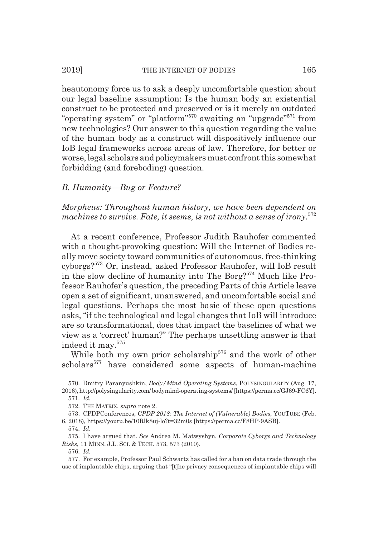#### 2019] THE INTERNET OF BODIES 165

heautonomy force us to ask a deeply uncomfortable question about our legal baseline assumption: Is the human body an existential construct to be protected and preserved or is it merely an outdated "operating system" or "platform"570 awaiting an "upgrade"571 from new technologies? Our answer to this question regarding the value of the human body as a construct will dispositively influence our IoB legal frameworks across areas of law. Therefore, for better or worse, legal scholars and policymakers must confront this somewhat forbidding (and foreboding) question.

# *B. Humanity—Bug or Feature?*

*Morpheus: Throughout human history, we have been dependent on machines to survive. Fate, it seems, is not without a sense of irony.*<sup>572</sup>

At a recent conference, Professor Judith Rauhofer commented with a thought-provoking question: Will the Internet of Bodies really move society toward communities of autonomous, free-thinking cyborgs?573 Or, instead, asked Professor Rauhofer, will IoB result in the slow decline of humanity into The Borg?574 Much like Professor Rauhofer's question, the preceding Parts of this Article leave open a set of significant, unanswered, and uncomfortable social and legal questions. Perhaps the most basic of these open questions asks, "if the technological and legal changes that IoB will introduce are so transformational, does that impact the baselines of what we view as a 'correct' human?" The perhaps unsettling answer is that indeed it may.575

While both my own prior scholarship<sup>576</sup> and the work of other scholars<sup>577</sup> have considered some aspects of human-machine

<sup>570.</sup> Dmitry Paranyushkin, *Body/Mind Operating Systems*, POLYSINGULARITY (Aug. 17, 2016), http://polysingularity.com/ bodymind-operating-systems/ [https://perma.cc/GJ69-FC6Y]. 571. *Id.*

<sup>572.</sup> THE MATRIX, *supra* note 2.

<sup>573.</sup> CPDPConferences, *CPDP 2018: The Internet of (Vulnerable) Bodies*, YOUTUBE (Feb. 6, 2018), https://youtu.be/10Rlk8uj-lo?t=32m0s [https://perma.cc/F8HP-9ASB].

<sup>574.</sup> *Id.*

<sup>575.</sup> I have argued that. *See* Andrea M. Matwyshyn, *Corporate Cyborgs and Technology Risks*, 11 MINN. J.L. SCI. & TECH. 573, 573 (2010).

<sup>576.</sup> *Id.*

<sup>577.</sup> For example, Professor Paul Schwartz has called for a ban on data trade through the use of implantable chips, arguing that "[t]he privacy consequences of implantable chips will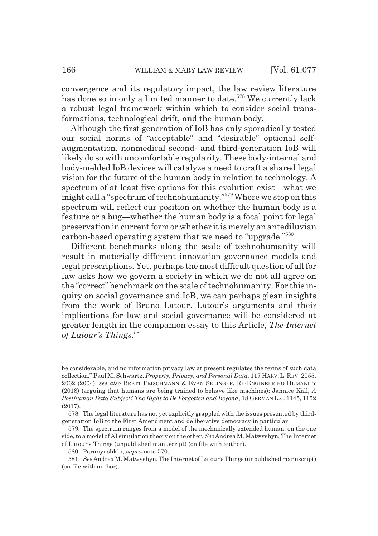convergence and its regulatory impact, the law review literature has done so in only a limited manner to date.<sup>578</sup> We currently lack a robust legal framework within which to consider social transformations, technological drift, and the human body.

Although the first generation of IoB has only sporadically tested our social norms of "acceptable" and "desirable" optional selfaugmentation, nonmedical second- and third-generation IoB will likely do so with uncomfortable regularity. These body-internal and body-melded IoB devices will catalyze a need to craft a shared legal vision for the future of the human body in relation to technology. A spectrum of at least five options for this evolution exist—what we might call a "spectrum of technohumanity."579 Where we stop on this spectrum will reflect our position on whether the human body is a feature or a bug—whether the human body is a focal point for legal preservation in current form or whether it is merely an antediluvian carbon-based operating system that we need to "upgrade."580

Different benchmarks along the scale of technohumanity will result in materially different innovation governance models and legal prescriptions. Yet, perhaps the most difficult question of all for law asks how we govern a society in which we do not all agree on the "correct" benchmark on the scale of technohumanity. For this inquiry on social governance and IoB, we can perhaps glean insights from the work of Bruno Latour. Latour's arguments and their implications for law and social governance will be considered at greater length in the companion essay to this Article, *The Internet of Latour's Things*. 581

be considerable, and no information privacy law at present regulates the terms of such data collection." Paul M. Schwartz, *Property, Privacy, and Personal Data*, 117 HARV.L. REV. 2055, 2062 (2004); *see also* BRETT FRISCHMANN & EVAN SELINGER, RE-ENGINEERING HUMANITY (2018) (arguing that humans are being trained to behave like machines); Jannice Käll, *A Posthuman Data Subject? The Right to Be Forgotten and Beyond*, 18 GERMAN L.J. 1145, 1152 (2017).

<sup>578.</sup> The legal literature has not yet explicitly grappled with the issues presented by thirdgeneration IoB to the First Amendment and deliberative democracy in particular.

<sup>579.</sup> The spectrum ranges from a model of the mechanically extended human, on the one side, to a model of AI simulation theory on the other. *See* Andrea M. Matwyshyn, The Internet of Latour's Things (unpublished manuscript) (on file with author).

<sup>580.</sup> Paranyushkin, *supra* note 570.

<sup>581.</sup> *See* Andrea M. Matwyshyn, The Internet of Latour's Things (unpublished manuscript) (on file with author).